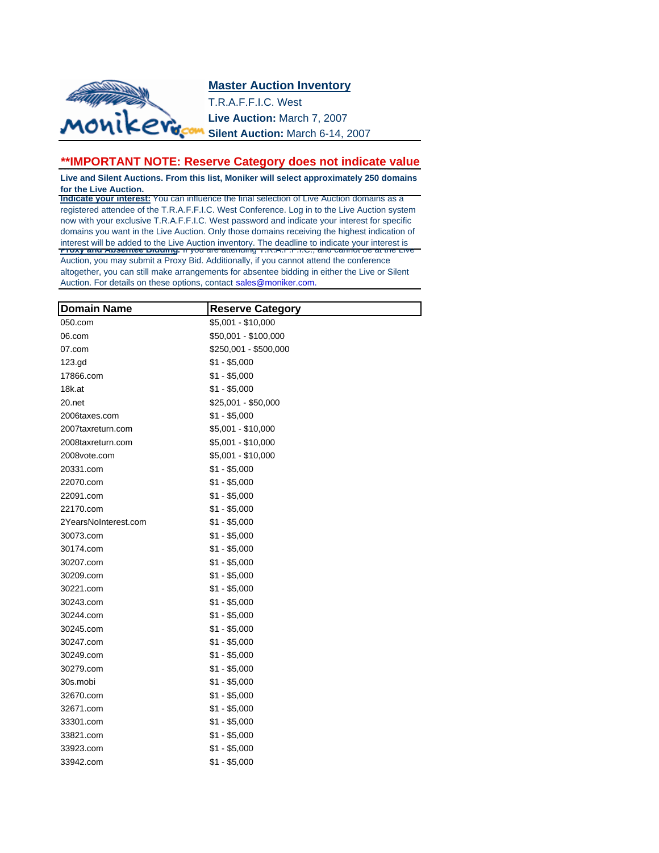## **Master Auction Inventory**



T.R.A.F.F.I.C. West **Live Auction:** March 7, 2007 **Silent Auction:** March 6-14, 2007

## \*\*IMPORTANT NOTE: Reserve Category does not indicate value

**Live and Silent Auctions. From this list, Moniker will select approximately 250 domains for the Live Auction.**

**Indicate your interest:** You can influence the final selection of Live Auction domains as a registered attendee of the T.R.A.F.F.I.C. West Conference. Log in to the Live Auction system now with your exclusive T.R.A.F.F.I.C. West password and indicate your interest for specific domains you want in the Live Auction. Only those domains receiving the highest indication of interest will be added to the Live Auction inventory. The deadline to indicate your interest is **Proxy and Absentee Bidding:** If you are attending T.R.A.F.F.I.C., and cannot be at the Live Auction, you may submit a Proxy Bid. Additionally, if you cannot attend the conference altogether, you can still make arrangements for absentee bidding in either the Live or Silent Auction. For details on these options, contact sales@moniker.com.

| <b>Domain Name</b>   | <b>Reserve Category</b> |
|----------------------|-------------------------|
| 050.com              | $$5,001 - $10,000$      |
| 06.com               | \$50,001 - \$100,000    |
| 07.com               | \$250,001 - \$500,000   |
| 123.gd               | $$1 - $5,000$           |
| 17866.com            | $$1 - $5,000$           |
| 18k.at               | $$1 - $5,000$           |
| $20$ .net            | $$25,001 - $50,000$     |
| 2006taxes.com        | $$1 - $5,000$           |
| 2007taxreturn.com    | $$5,001 - $10,000$      |
| 2008taxreturn.com    | $$5,001 - $10,000$      |
| 2008vote.com         | $$5,001 - $10,000$      |
| 20331.com            | $$1 - $5,000$           |
| 22070.com            | $$1 - $5,000$           |
| 22091.com            | $$1 - $5,000$           |
| 22170.com            | $$1 - $5,000$           |
| 2YearsNoInterest.com | $$1 - $5,000$           |
| 30073.com            | $$1 - $5,000$           |
| 30174.com            | $$1 - $5,000$           |
| 30207.com            | $$1 - $5,000$           |
| 30209.com            | $$1 - $5,000$           |
| 30221.com            | $$1 - $5,000$           |
| 30243.com            | $$1 - $5,000$           |
| 30244.com            | $$1 - $5,000$           |
| 30245.com            | $$1 - $5,000$           |
| 30247.com            | $$1 - $5,000$           |
| 30249.com            | $$1 - $5,000$           |
| 30279.com            | $$1 - $5,000$           |
| 30s.mobi             | $$1 - $5,000$           |
| 32670.com            | $$1 - $5,000$           |
| 32671.com            | $$1 - $5,000$           |
| 33301.com            | $$1 - $5,000$           |
| 33821.com            | $$1 - $5,000$           |
| 33923.com            | $$1 - $5,000$           |
| 33942.com            | $$1 - $5,000$           |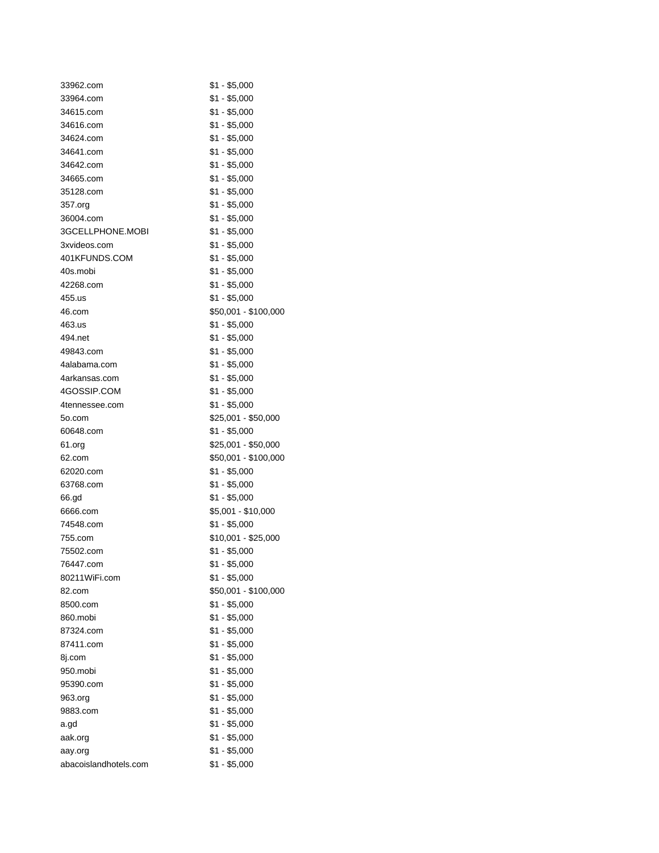| 33962.com             | $$1 - $5,000$                  |
|-----------------------|--------------------------------|
| 33964.com             | $$1 - $5,000$                  |
| 34615.com             | \$1 - \$5,000                  |
| 34616.com             | \$1 - \$5,000                  |
| 34624.com             | $$1 - $5,000$                  |
| 34641.com             | $$1 - $5,000$                  |
| 34642.com             | $$1 - $5,000$                  |
| 34665.com             | $$1 - $5,000$                  |
| 35128.com             | \$1 - \$5,000                  |
| 357.org               | $$1 - $5,000$                  |
| 36004.com             | $$1 - $5,000$                  |
| 3GCELLPHONE.MOBI      | $$1 - $5,000$                  |
| 3xvideos.com          | $$1 - $5,000$                  |
| 401KFUNDS.COM         | $$1 - $5,000$                  |
| 40s.mobi              | $$1 - $5,000$                  |
| 42268.com             | $$1 - $5,000$                  |
| 455.us                | $$1 - $5,000$                  |
| 46.com                | \$50,001 - \$100,000           |
| 463.us                | $$1 - $5,000$                  |
| 494.net               | $$1 - $5,000$                  |
| 49843.com             | $$1 - $5,000$                  |
| 4alabama.com          | $$1 - $5,000$                  |
| 4arkansas.com         | \$1 - \$5,000                  |
| 4GOSSIP.COM           | $$1 - $5,000$                  |
| 4tennessee.com        | \$1 - \$5,000                  |
| 5o.com                | \$25,001 - \$50,000            |
| 60648.com             | $$1 - $5,000$                  |
| 61.org                | \$25,001 - \$50,000            |
| 62.com                | \$50,001 - \$100,000           |
| 62020.com             | $$1 - $5,000$                  |
| 63768.com             | $$1 - $5,000$                  |
| 66.gd                 | $$1 - $5,000$                  |
| 6666.com              | \$5,001 - \$10,000             |
| 74548.com             | \$1 - \$5,000                  |
| 755.com               | \$10,001 - \$25,000            |
| 75502.com             | \$1 - \$5,000                  |
| 76447.com             | $$1 - $5,000$                  |
| 80211WiFi.com         | $$1 - $5,000$                  |
| 82.com                | \$50,001 - \$100,000           |
| 8500.com              | $$1 - $5,000$                  |
| 860.mobi              | $$1 - $5,000$                  |
| 87324.com             | $$1 - $5,000$                  |
| 87411.com             | $$1 - $5,000$                  |
| 8i.com                | $$1 - $5,000$                  |
| 950.mobi              | $$1 - $5,000$                  |
| 95390.com             | $$1 - $5,000$                  |
| 963.org               | $$1 - $5,000$                  |
|                       |                                |
| 9883.com              | $$1 - $5,000$<br>$$1 - $5,000$ |
| a.gd                  |                                |
| aak.org               | $$1 - $5,000$                  |
| aay.org               | $$1 - $5,000$                  |
| abacoislandhotels.com | $$1 - $5,000$                  |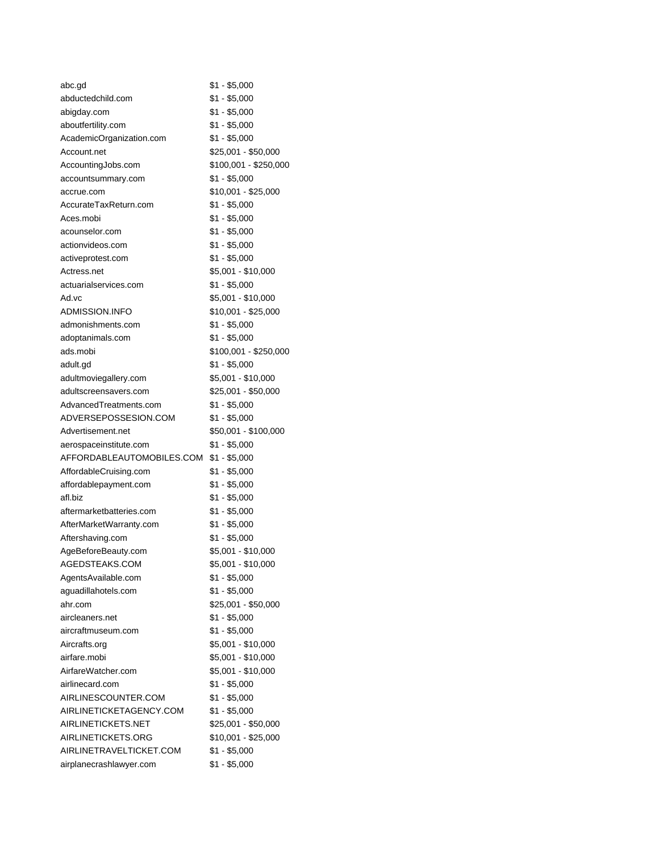| abc.gd                    | $$1 - $5,000$         |
|---------------------------|-----------------------|
| abductedchild.com         | $$1 - $5,000$         |
| abigday.com               | \$1 - \$5,000         |
| aboutfertility.com        | \$1 - \$5,000         |
| AcademicOrganization.com  | $$1 - $5,000$         |
| Account.net               | \$25,001 - \$50,000   |
| AccountingJobs.com        | \$100,001 - \$250,000 |
| accountsummary.com        | $$1 - $5,000$         |
| accrue.com                | \$10,001 - \$25,000   |
| AccurateTaxReturn.com     | $$1 - $5,000$         |
| Aces.mobi                 | \$1 - \$5,000         |
| acounselor.com            | \$1 - \$5,000         |
| actionvideos.com          | $$1 - $5,000$         |
| activeprotest.com         | $$1 - $5,000$         |
| Actress.net               | \$5,001 - \$10,000    |
| actuarialservices.com     | $$1 - $5,000$         |
| Ad.vc                     | \$5,001 - \$10,000    |
| ADMISSION.INFO            | \$10,001 - \$25,000   |
| admonishments.com         | $$1 - $5,000$         |
| adoptanimals.com          | \$1 - \$5,000         |
| ads.mobi                  | \$100,001 - \$250,000 |
| adult.gd                  | $$1 - $5,000$         |
| adultmoviegallery.com     | $$5,001 - $10,000$    |
| adultscreensavers.com     | \$25,001 - \$50,000   |
| AdvancedTreatments.com    | $$1 - $5,000$         |
| ADVERSEPOSSESION.COM      | $$1 - $5,000$         |
| Advertisement.net         | \$50,001 - \$100,000  |
| aerospaceinstitute.com    | $$1 - $5,000$         |
| AFFORDABLEAUTOMOBILES.COM | $$1 - $5,000$         |
| AffordableCruising.com    | \$1 - \$5,000         |
| affordablepayment.com     | $$1 - $5,000$         |
| afl.biz                   | $$1 - $5,000$         |
| aftermarketbatteries.com  | \$1 - \$5,000         |
| AfterMarketWarranty.com   | $$1 - $5,000$         |
| Aftershaving.com          | $$1 - $5,000$         |
| AgeBeforeBeauty.com       | \$5,001 - \$10,000    |
| AGEDSTEAKS.COM            | \$5,001 - \$10,000    |
| AgentsAvailable.com       | $$1 - $5,000$         |
| aguadillahotels.com       | $$1 - $5,000$         |
| ahr.com                   | \$25,001 - \$50,000   |
| aircleaners.net           | $$1 - $5,000$         |
| aircraftmuseum.com        | $$1 - $5,000$         |
| Aircrafts.org             | \$5,001 - \$10,000    |
| airfare.mobi              | \$5,001 - \$10,000    |
| AirfareWatcher.com        | \$5,001 - \$10,000    |
| airlinecard.com           | $$1 - $5,000$         |
| AIRLINESCOUNTER.COM       | $$1 - $5,000$         |
| AIRLINETICKETAGENCY.COM   | $$1 - $5,000$         |
| AIRLINETICKETS.NET        | \$25,001 - \$50,000   |
| AIRLINETICKETS.ORG        | \$10,001 - \$25,000   |
| AIRLINETRAVELTICKET.COM   | $$1 - $5,000$         |
| airplanecrashlawyer.com   | $$1 - $5,000$         |
|                           |                       |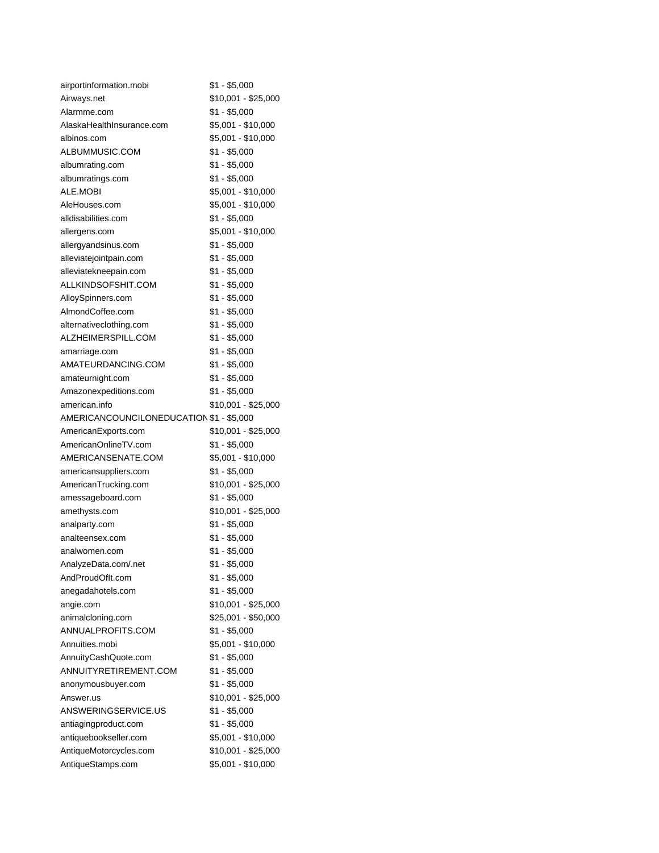| airportinformation.mobi                  | $$1 - $5,000$       |
|------------------------------------------|---------------------|
| Airways.net                              | \$10,001 - \$25,000 |
| Alarmme.com                              | $$1 - $5,000$       |
| AlaskaHealthInsurance.com                | \$5,001 - \$10,000  |
| albinos.com                              | \$5,001 - \$10,000  |
| ALBUMMUSIC.COM                           | $$1 - $5,000$       |
| albumrating.com                          | $$1 - $5,000$       |
| albumratings.com                         | $$1 - $5,000$       |
| ALE.MOBI                                 | \$5,001 - \$10,000  |
| AleHouses.com                            | \$5,001 - \$10,000  |
| alldisabilities.com                      | $$1 - $5,000$       |
| allergens.com                            | \$5,001 - \$10,000  |
| allergyandsinus.com                      | \$1 - \$5,000       |
| alleviatejointpain.com                   | $$1 - $5,000$       |
| alleviatekneepain.com                    | $$1 - $5,000$       |
| ALLKINDSOFSHIT.COM                       | $$1 - $5,000$       |
| AlloySpinners.com                        | $$1 - $5,000$       |
| AlmondCoffee.com                         | $$1 - $5,000$       |
| alternativeclothing.com                  | $$1 - $5,000$       |
| ALZHEIMERSPILL.COM                       | $$1 - $5,000$       |
| amarriage.com                            | $$1 - $5,000$       |
| AMATEURDANCING.COM                       | $$1 - $5,000$       |
| amateurnight.com                         | $$1 - $5,000$       |
| Amazonexpeditions.com                    | $$1 - $5,000$       |
| american.info                            | \$10,001 - \$25,000 |
| AMERICANCOUNCILONEDUCATION \$1 - \$5,000 |                     |
| AmericanExports.com                      | \$10,001 - \$25,000 |
| AmericanOnlineTV.com                     | $$1 - $5,000$       |
| AMERICANSENATE.COM                       | \$5,001 - \$10,000  |
| americansuppliers.com                    | $$1 - $5,000$       |
| AmericanTrucking.com                     | \$10,001 - \$25,000 |
| amessageboard.com                        | $$1 - $5,000$       |
| amethysts.com                            | \$10,001 - \$25,000 |
| analparty.com                            | $$1 - $5,000$       |
| analteensex.com                          | $$1 - $5,000$       |
| analwomen.com                            | $$1 - $5,000$       |
| AnalyzeData.com/.net                     | $$1 - $5,000$       |
| AndProudOfIt.com                         | $$1 - $5,000$       |
| anegadahotels.com                        | $$1 - $5,000$       |
| angie.com                                | \$10,001 - \$25,000 |
| animalcloning.com                        | \$25,001 - \$50,000 |
| ANNUALPROFITS.COM                        | $$1 - $5,000$       |
| Annuities.mobi                           | \$5,001 - \$10,000  |
| AnnuityCashQuote.com                     | $$1 - $5,000$       |
| ANNUITYRETIREMENT.COM                    | $$1 - $5,000$       |
| anonymousbuyer.com                       | $$1 - $5,000$       |
| Answer.us                                | \$10,001 - \$25,000 |
| ANSWERINGSERVICE.US                      | $$1 - $5,000$       |
| antiagingproduct.com                     | $$1 - $5,000$       |
| antiquebookseller.com                    | \$5,001 - \$10,000  |
| AntiqueMotorcycles.com                   | \$10,001 - \$25,000 |
| AntiqueStamps.com                        | \$5,001 - \$10,000  |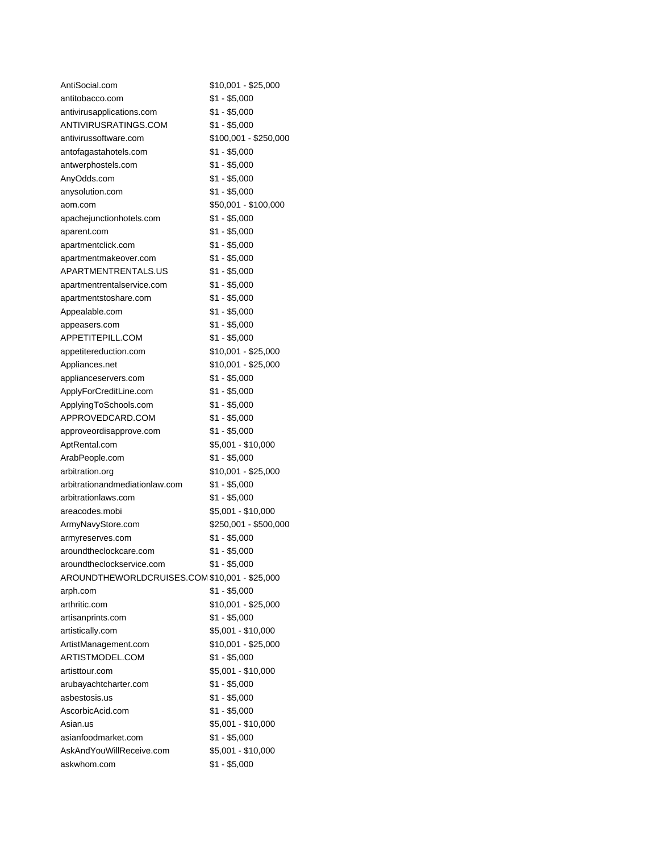| AntiSocial.com                                | \$10,001 - \$25,000   |
|-----------------------------------------------|-----------------------|
| antitobacco.com                               | \$1 - \$5,000         |
| antivirusapplications.com                     | \$1 - \$5,000         |
| ANTIVIRUSRATINGS.COM                          | $$1 - $5,000$         |
| antivirussoftware.com                         | $$100,001 - $250,000$ |
| antofagastahotels.com                         | \$1 - \$5,000         |
| antwerphostels.com                            | \$1 - \$5,000         |
| AnyOdds.com                                   | $$1 - $5,000$         |
| anysolution.com                               | \$1 - \$5,000         |
| aom.com                                       | \$50,001 - \$100,000  |
| apachejunctionhotels.com                      | \$1 - \$5,000         |
| aparent.com                                   | $$1 - $5,000$         |
| apartmentclick.com                            | $$1 - $5,000$         |
| apartmentmakeover.com                         | $$1 - $5,000$         |
| APARTMENTRENTALS.US                           | $$1 - $5,000$         |
| apartmentrentalservice.com                    | $$1 - $5,000$         |
| apartmentstoshare.com                         | $$1 - $5,000$         |
| Appealable.com                                | \$1 - \$5,000         |
| appeasers.com                                 | \$1 - \$5,000         |
| APPETITEPILL.COM                              | \$1 - \$5,000         |
| appetitereduction.com                         | \$10,001 - \$25,000   |
| Appliances.net                                | \$10,001 - \$25,000   |
| applianceservers.com                          | $$1 - $5,000$         |
| ApplyForCreditLine.com                        | $$1 - $5,000$         |
| ApplyingToSchools.com                         | $$1 - $5,000$         |
| APPROVEDCARD.COM                              | $$1 - $5,000$         |
| approveordisapprove.com                       | $$1 - $5,000$         |
| AptRental.com                                 | \$5,001 - \$10,000    |
| ArabPeople.com                                | $$1 - $5,000$         |
| arbitration.org                               | \$10,001 - \$25,000   |
| arbitrationandmediationlaw.com                | $$1 - $5,000$         |
| arbitrationlaws.com                           | $$1 - $5,000$         |
| areacodes.mobi                                | \$5,001 - \$10,000    |
| ArmyNavyStore.com                             | \$250,001 - \$500,000 |
| armyreserves.com                              | \$1 - \$5,000         |
| aroundtheclockcare.com                        | \$1 - \$5,000         |
| aroundtheclockservice.com                     | $$1 - $5,000$         |
| AROUNDTHEWORLDCRUISES.COM \$10,001 - \$25,000 |                       |
| arph.com                                      | $$1 - $5,000$         |
| arthritic.com                                 | \$10,001 - \$25,000   |
| artisanprints.com                             | $$1 - $5,000$         |
| artistically.com                              | \$5,001 - \$10,000    |
| ArtistManagement.com                          | \$10,001 - \$25,000   |
| ARTISTMODEL.COM                               | \$1 - \$5,000         |
| artisttour.com                                | \$5,001 - \$10,000    |
| arubayachtcharter.com                         | $$1 - $5,000$         |
| asbestosis.us                                 | $$1 - $5,000$         |
| AscorbicAcid.com                              | $$1 - $5,000$         |
| Asian.us                                      | \$5,001 - \$10,000    |
| asianfoodmarket.com                           | $$1 - $5,000$         |
| AskAndYouWillReceive.com                      | \$5,001 - \$10,000    |
| askwhom.com                                   | $$1 - $5,000$         |
|                                               |                       |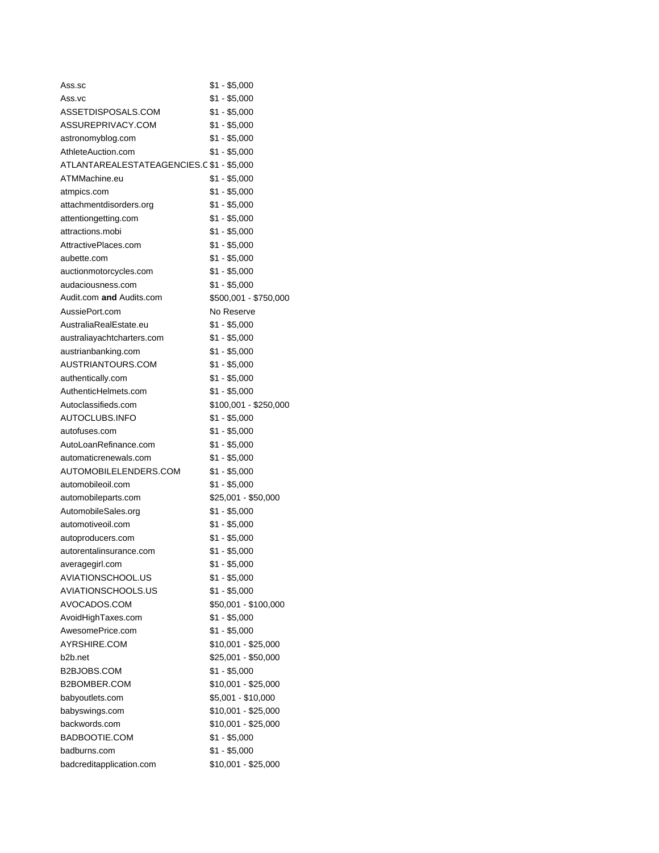| Ass.sc                                    | \$1 - \$5,000         |
|-------------------------------------------|-----------------------|
| Ass.vc                                    | \$1 - \$5,000         |
| ASSETDISPOSALS.COM                        | \$1 - \$5,000         |
| ASSUREPRIVACY.COM                         | \$1 - \$5,000         |
| astronomyblog.com                         | \$1 - \$5,000         |
| AthleteAuction.com                        | \$1 - \$5,000         |
| ATLANTAREALESTATEAGENCIES.C \$1 - \$5,000 |                       |
| ATMMachine.eu                             | \$1 - \$5,000         |
| atmpics.com                               | \$1 - \$5,000         |
| attachmentdisorders.org                   | \$1 - \$5,000         |
| attentiongetting.com                      | $$1 - $5,000$         |
| attractions.mobi                          | $$1 - $5,000$         |
| AttractivePlaces.com                      | $$1 - $5,000$         |
| aubette.com                               | $$1 - $5,000$         |
| auctionmotorcycles.com                    | $$1 - $5,000$         |
| audaciousness.com                         | $$1 - $5,000$         |
| Audit.com and Audits.com                  | \$500,001 - \$750,000 |
| AussiePort.com                            | No Reserve            |
| AustraliaRealEstate.eu                    | \$1 - \$5,000         |
| australiayachtcharters.com                | $$1 - $5,000$         |
| austrianbanking.com                       | \$1 - \$5,000         |
| AUSTRIANTOURS.COM                         | \$1 - \$5,000         |
| authentically.com                         | \$1 - \$5,000         |
| AuthenticHelmets.com                      | \$1 - \$5,000         |
| Autoclassifieds.com                       | \$100,001 - \$250,000 |
| AUTOCLUBS.INFO                            | $$1 - $5,000$         |
| autofuses.com                             | \$1 - \$5,000         |
| AutoLoanRefinance.com                     | $$1 - $5,000$         |
| automaticrenewals.com                     | $$1 - $5,000$         |
| AUTOMOBILELENDERS.COM                     | \$1 - \$5,000         |
| automobileoil.com                         | \$1 - \$5,000         |
| automobileparts.com                       | \$25,001 - \$50,000   |
| AutomobileSales.org                       | \$1 - \$5,000         |
| automotiveoil.com                         | \$1 - \$5,000         |
| autoproducers.com                         | \$1 - \$5,000         |
| autorentalinsurance.com                   | $$1 - $5,000$         |
| averagegirl.com                           | $$1 - $5,000$         |
| AVIATIONSCHOOL.US                         | $$1 - $5,000$         |
| AVIATIONSCHOOLS.US                        | $$1 - $5,000$         |
| AVOCADOS.COM                              | \$50,001 - \$100,000  |
| AvoidHighTaxes.com                        | $$1 - $5,000$         |
| AwesomePrice.com                          | $$1 - $5,000$         |
| AYRSHIRE.COM                              | \$10,001 - \$25,000   |
| b2b.net                                   | \$25,001 - \$50,000   |
| B2BJOBS.COM                               | $$1 - $5,000$         |
| B2BOMBER.COM                              | \$10,001 - \$25,000   |
| babyoutlets.com                           | \$5,001 - \$10,000    |
| babyswings.com                            | \$10,001 - \$25,000   |
| backwords.com                             | \$10,001 - \$25,000   |
| BADBOOTIE.COM                             | $$1 - $5,000$         |
| badburns.com                              | $$1 - $5,000$         |
| badcreditapplication.com                  | \$10,001 - \$25,000   |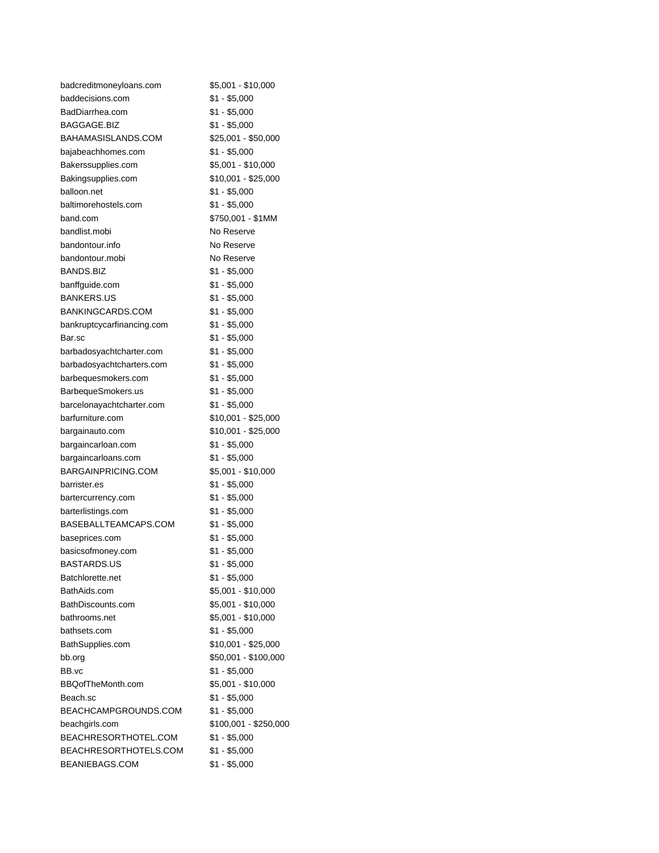| badcreditmoneyloans.com    | \$5,001 - \$10,000    |
|----------------------------|-----------------------|
| baddecisions.com           | $$1 - $5,000$         |
| BadDiarrhea.com            | \$1 - \$5,000         |
| BAGGAGE.BIZ                | \$1 - \$5,000         |
| BAHAMASISLANDS.COM         | \$25,001 - \$50,000   |
| bajabeachhomes.com         | \$1 - \$5,000         |
| Bakerssupplies.com         | \$5,001 - \$10,000    |
| Bakingsupplies.com         | \$10,001 - \$25,000   |
| balloon.net                | \$1 - \$5,000         |
| baltimorehostels.com       | $$1 - $5,000$         |
| band.com                   | \$750,001 - \$1MM     |
| bandlist.mobi              | No Reserve            |
| bandontour.info            | No Reserve            |
| bandontour.mobi            | No Reserve            |
| <b>BANDS.BIZ</b>           | $$1 - $5,000$         |
| banffguide.com             | \$1 - \$5,000         |
| <b>BANKERS.US</b>          | \$1 - \$5,000         |
| BANKINGCARDS.COM           | \$1 - \$5,000         |
| bankruptcycarfinancing.com | $$1 - $5,000$         |
| Bar.sc                     | \$1 - \$5,000         |
| barbadosyachtcharter.com   | $$1 - $5,000$         |
| barbadosyachtcharters.com  | $$1 - $5,000$         |
| barbequesmokers.com        | $$1 - $5,000$         |
| BarbequeSmokers.us         | $$1 - $5,000$         |
| barcelonayachtcharter.com  | $$1 - $5,000$         |
| barfurniture.com           | \$10,001 - \$25,000   |
| bargainauto.com            | \$10,001 - \$25,000   |
| bargaincarloan.com         | $$1 - $5,000$         |
| bargaincarloans.com        | \$1 - \$5,000         |
| <b>BARGAINPRICING.COM</b>  | \$5,001 - \$10,000    |
| barrister.es               | $$1 - $5,000$         |
| bartercurrency.com         | $$1 - $5,000$         |
| barterlistings.com         | \$1 - \$5,000         |
| BASEBALLTEAMCAPS.COM       | $$1 - $5,000$         |
| baseprices.com             | $$1 - $5,000$         |
| basicsofmoney.com          | $$1 - $5,000$         |
| <b>BASTARDS.US</b>         | \$1 - \$5,000         |
| Batchlorette.net           | $$1 - $5,000$         |
| BathAids.com               | \$5,001 - \$10,000    |
| BathDiscounts.com          | \$5,001 - \$10,000    |
| bathrooms.net              | \$5,001 - \$10,000    |
| bathsets.com               | $$1 - $5,000$         |
| BathSupplies.com           | \$10,001 - \$25,000   |
| bb.org                     | \$50,001 - \$100,000  |
| BB.vc                      | $$1 - $5,000$         |
| BBQofTheMonth.com          | \$5,001 - \$10,000    |
| Beach.sc                   | $$1 - $5,000$         |
| BEACHCAMPGROUNDS.COM       | $$1 - $5,000$         |
| beachgirls.com             | \$100,001 - \$250,000 |
| BEACHRESORTHOTEL.COM       | \$1 - \$5,000         |
| BEACHRESORTHOTELS.COM      | $$1 - $5,000$         |
| BEANIEBAGS.COM             | \$1 - \$5,000         |
|                            |                       |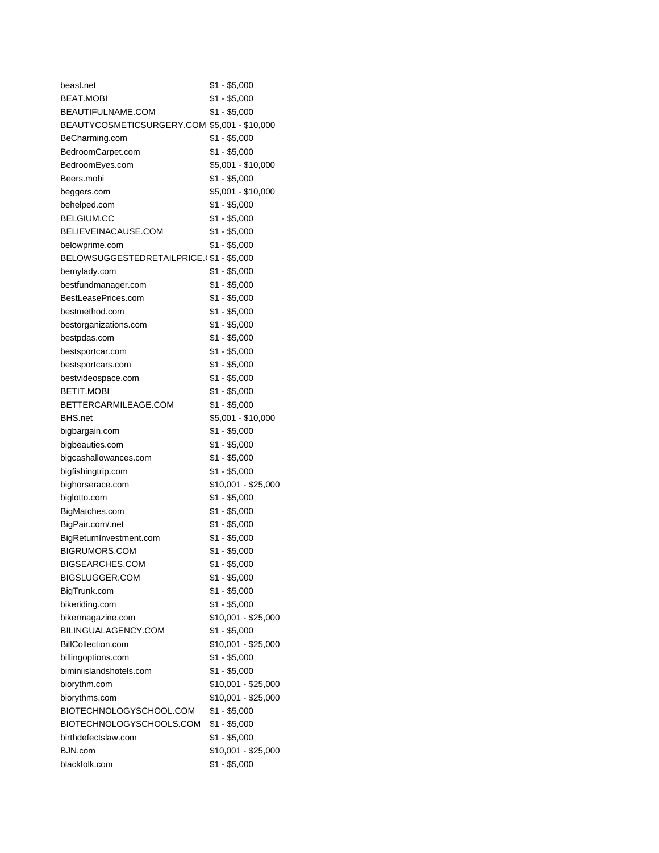| beast.net                                    | \$1 - \$5,000       |
|----------------------------------------------|---------------------|
| BEAT.MOBI                                    | $$1 - $5,000$       |
| BEAUTIFULNAME.COM                            | \$1 - \$5,000       |
| BEAUTYCOSMETICSURGERY.COM \$5,001 - \$10,000 |                     |
| BeCharming.com                               | $$1 - $5,000$       |
| BedroomCarpet.com                            | $$1 - $5,000$       |
| BedroomEyes.com                              | \$5,001 - \$10,000  |
| Beers.mobi                                   | \$1 - \$5,000       |
| beggers.com                                  | \$5,001 - \$10,000  |
| behelped.com                                 | \$1 - \$5,000       |
| <b>BELGIUM.CC</b>                            | $$1 - $5,000$       |
| BELIEVEINACAUSE.COM                          | $$1 - $5,000$       |
| belowprime.com                               | $$1 - $5,000$       |
| BELOWSUGGESTEDRETAILPRICE.(\$1-\$5,000       |                     |
| bemylady.com                                 | $$1 - $5,000$       |
| bestfundmanager.com                          | \$1 - \$5,000       |
| BestLeasePrices.com                          | $$1 - $5,000$       |
| bestmethod.com                               | $$1 - $5,000$       |
| bestorganizations.com                        | \$1 - \$5,000       |
| bestpdas.com                                 | $$1 - $5,000$       |
| bestsportcar.com                             | $$1 - $5,000$       |
| bestsportcars.com                            | \$1 - \$5,000       |
| bestvideospace.com                           | \$1 - \$5,000       |
| <b>BETIT.MOBI</b>                            | \$1 - \$5,000       |
| BETTERCARMILEAGE.COM                         | \$1 - \$5,000       |
| <b>BHS.net</b>                               | \$5,001 - \$10,000  |
| bigbargain.com                               | $$1 - $5,000$       |
| bigbeauties.com                              | \$1 - \$5,000       |
| bigcashallowances.com                        | \$1 - \$5,000       |
| bigfishingtrip.com                           | \$1 - \$5,000       |
| bighorserace.com                             | \$10,001 - \$25,000 |
| biglotto.com                                 | \$1 - \$5,000       |
| BigMatches.com                               | $$1 - $5,000$       |
| BigPair.com/.net                             | $$1 - $5,000$       |
| BigReturnInvestment.com                      | $$1 - $5,000$       |
| <b>BIGRUMORS.COM</b>                         | $$1 - $5,000$       |
| BIGSEARCHES.COM                              | \$1 - \$5,000       |
| BIGSLUGGER.COM                               | $$1 - $5,000$       |
| BigTrunk.com                                 | $$1 - $5,000$       |
| bikeriding.com                               | $$1 - $5,000$       |
| bikermagazine.com                            | \$10,001 - \$25,000 |
| BILINGUALAGENCY.COM                          | $$1 - $5,000$       |
| BillCollection.com                           | \$10,001 - \$25,000 |
| billingoptions.com                           | $$1 - $5,000$       |
| biminiislandshotels.com                      | $$1 - $5,000$       |
| biorythm.com                                 | \$10,001 - \$25,000 |
| biorythms.com                                | \$10,001 - \$25,000 |
| BIOTECHNOLOGYSCHOOL.COM                      | $$1 - $5,000$       |
| BIOTECHNOLOGYSCHOOLS.COM                     | $$1 - $5,000$       |
| birthdefectslaw.com                          | $$1 - $5,000$       |
| BJN.com                                      | \$10,001 - \$25,000 |
| blackfolk.com                                | $$1 - $5,000$       |
|                                              |                     |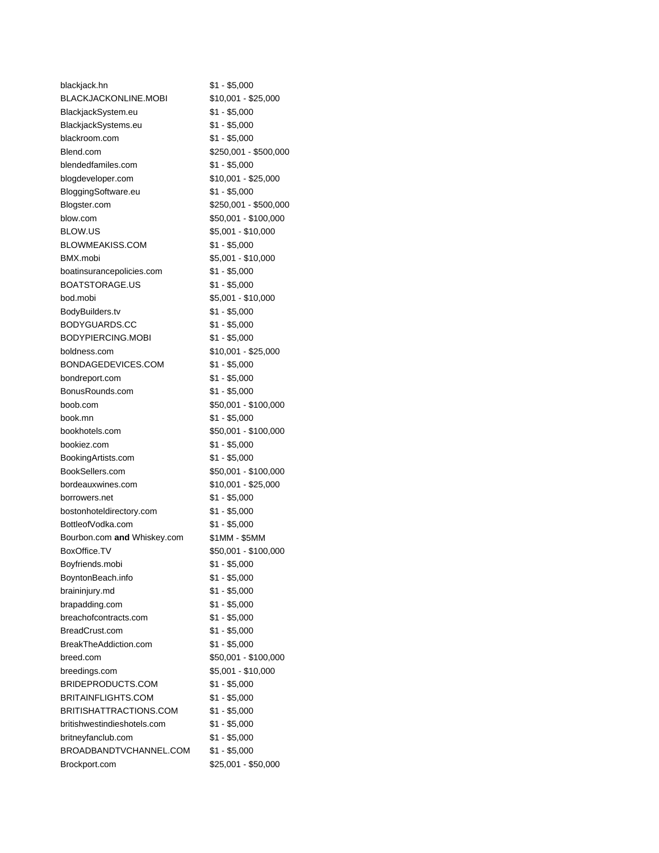| blackjack.hn                      | \$1 - \$5,000         |
|-----------------------------------|-----------------------|
| BLACKJACKONLINE.MOBI              | \$10,001 - \$25,000   |
| BlackjackSystem.eu                | \$1 - \$5,000         |
| BlackjackSystems.eu               | \$1 - \$5,000         |
| blackroom.com                     | \$1 - \$5,000         |
| Blend.com                         | \$250,001 - \$500,000 |
| blendedfamiles.com                | \$1 - \$5,000         |
| blogdeveloper.com                 | \$10,001 - \$25,000   |
| BloggingSoftware.eu               | \$1 - \$5,000         |
| Blogster.com                      | \$250,001 - \$500,000 |
| blow.com                          | \$50,001 - \$100,000  |
| BLOW.US                           | \$5,001 - \$10,000    |
| BLOWMEAKISS.COM                   | $$1 - $5,000$         |
| BMX.mobi                          | \$5,001 - \$10,000    |
| boatinsurancepolicies.com         | \$1 - \$5,000         |
| <b>BOATSTORAGE.US</b>             | \$1 - \$5,000         |
| bod.mobi                          | \$5,001 - \$10,000    |
| BodyBuilders.tv                   | \$1 - \$5,000         |
| BODYGUARDS.CC                     | $$1 - $5,000$         |
| BODYPIERCING.MOBI                 | $$1 - $5,000$         |
| boldness.com                      | \$10,001 - \$25,000   |
| BONDAGEDEVICES.COM                |                       |
|                                   | \$1 - \$5,000         |
| bondreport.com<br>BonusRounds.com | \$1 - \$5,000         |
|                                   | \$1 - \$5,000         |
| boob.com                          | \$50,001 - \$100,000  |
| book.mn                           | $$1 - $5,000$         |
| bookhotels.com                    | \$50,001 - \$100,000  |
| bookiez.com                       | \$1 - \$5,000         |
| BookingArtists.com                | \$1 - \$5,000         |
| BookSellers.com                   | \$50,001 - \$100,000  |
| bordeauxwines.com                 | \$10,001 - \$25,000   |
| borrowers.net                     | \$1 - \$5,000         |
| bostonhoteldirectory.com          | \$1 - \$5,000         |
| BottleofVodka.com                 | $$1 - $5,000$         |
| Bourbon.com and Whiskey.com       | \$1MM - \$5MM         |
| BoxOffice.TV                      | \$50,001 - \$100,000  |
| Boyfriends.mobi                   | \$1 - \$5,000         |
| BoyntonBeach.info                 | $$1 - $5,000$         |
| braininjury.md                    | $$1 - $5,000$         |
| brapadding.com                    | $$1 - $5,000$         |
| breachofcontracts.com             | $$1 - $5,000$         |
| BreadCrust.com                    | $$1 - $5,000$         |
| BreakTheAddiction.com             | $$1 - $5,000$         |
| breed.com                         | \$50,001 - \$100,000  |
| breedings.com                     | \$5,001 - \$10,000    |
| BRIDEPRODUCTS.COM                 | $$1 - $5,000$         |
| <b>BRITAINFLIGHTS.COM</b>         | $$1 - $5,000$         |
| BRITISHATTRACTIONS.COM            | \$1 - \$5,000         |
| britishwestindieshotels.com       | \$1 - \$5,000         |
| britneyfanclub.com                | $$1 - $5,000$         |
| BROADBANDTVCHANNEL.COM            | $$1 - $5,000$         |
| Brockport.com                     | \$25,001 - \$50,000   |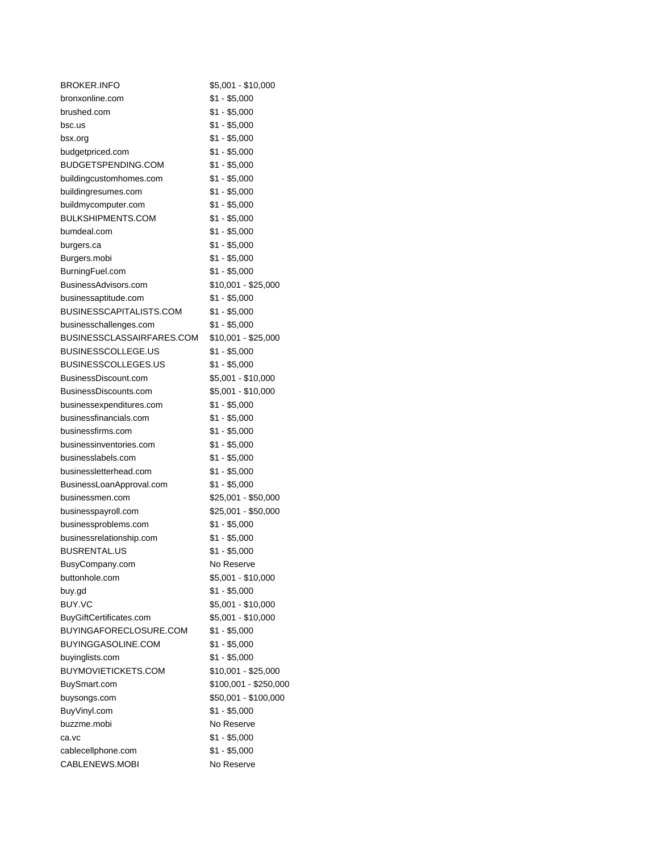| <b>BROKER.INFO</b>         | \$5,001 - \$10,000    |
|----------------------------|-----------------------|
| bronxonline.com            | $$1 - $5,000$         |
| brushed.com                | \$1 - \$5,000         |
| bsc.us                     | \$1 - \$5,000         |
| bsx.org                    | \$1 - \$5,000         |
| budgetpriced.com           | \$1 - \$5,000         |
| BUDGETSPENDING.COM         | $$1 - $5,000$         |
| buildingcustomhomes.com    | $$1 - $5,000$         |
| buildingresumes.com        | $$1 - $5,000$         |
| buildmycomputer.com        | $$1 - $5,000$         |
| <b>BULKSHIPMENTS.COM</b>   | $$1 - $5,000$         |
| bumdeal.com                | $$1 - $5,000$         |
| burgers.ca                 | $$1 - $5,000$         |
| Burgers.mobi               | $$1 - $5,000$         |
| BurningFuel.com            | $$1 - $5,000$         |
| BusinessAdvisors.com       | \$10,001 - \$25,000   |
| businessaptitude.com       | $$1 - $5,000$         |
| BUSINESSCAPITALISTS.COM    | $$1 - $5,000$         |
| businesschallenges.com     | \$1 - \$5,000         |
| BUSINESSCLASSAIRFARES.COM  | $$10,001 - $25,000$   |
| <b>BUSINESSCOLLEGE.US</b>  | $$1 - $5,000$         |
| <b>BUSINESSCOLLEGES.US</b> | $$1 - $5,000$         |
| BusinessDiscount.com       | \$5,001 - \$10,000    |
| BusinessDiscounts.com      | \$5,001 - \$10,000    |
| businessexpenditures.com   | $$1 - $5,000$         |
| businessfinancials.com     | $$1 - $5,000$         |
| businessfirms.com          | $$1 - $5,000$         |
| businessinventories.com    | $$1 - $5,000$         |
| businesslabels.com         | $$1 - $5,000$         |
| businessletterhead.com     | $$1 - $5,000$         |
| BusinessLoanApproval.com   | $$1 - $5,000$         |
| businessmen.com            | \$25,001 - \$50,000   |
| businesspayroll.com        | \$25,001 - \$50,000   |
| businessproblems.com       | $$1 - $5,000$         |
| businessrelationship.com   | \$1 - \$5,000         |
| <b>BUSRENTAL.US</b>        | $$1 - $5,000$         |
| BusyCompany.com            | No Reserve            |
| buttonhole.com             | \$5,001 - \$10,000    |
| buy.gd                     | $$1 - $5,000$         |
| BUY.VC                     | \$5,001 - \$10,000    |
| BuyGiftCertificates.com    | \$5,001 - \$10,000    |
| BUYINGAFORECLOSURE.COM     | $$1 - $5,000$         |
| BUYINGGASOLINE.COM         | $$1 - $5,000$         |
| buyinglists.com            | $$1 - $5,000$         |
| <b>BUYMOVIETICKETS.COM</b> | \$10,001 - \$25,000   |
| BuySmart.com               | \$100,001 - \$250,000 |
| buysongs.com               | \$50,001 - \$100,000  |
| BuyVinyl.com               | $$1 - $5,000$         |
| buzzme.mobi                | No Reserve            |
| ca.vc                      | $$1 - $5,000$         |
| cablecellphone.com         | $$1 - $5,000$         |
| CABLENEWS.MOBI             | No Reserve            |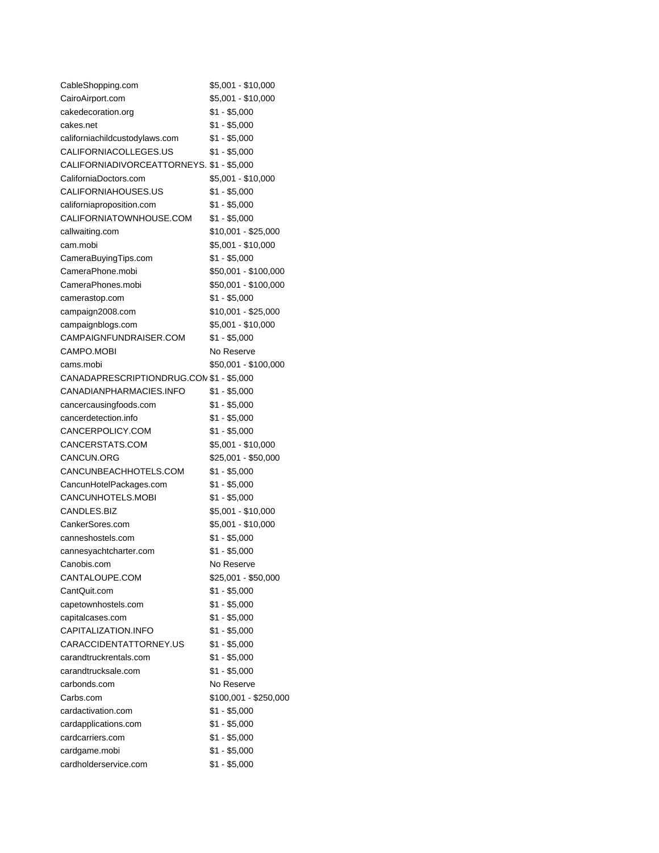| CableShopping.com                         | \$5,001 - \$10,000    |
|-------------------------------------------|-----------------------|
| CairoAirport.com                          | \$5,001 - \$10,000    |
| cakedecoration.org                        | \$1 - \$5,000         |
| cakes.net                                 | \$1 - \$5,000         |
| californiachildcustodylaws.com            | $$1 - $5,000$         |
| CALIFORNIACOLLEGES.US                     | \$1 - \$5,000         |
| CALIFORNIADIVORCEATTORNEYS. \$1 - \$5,000 |                       |
| CaliforniaDoctors.com                     | \$5,001 - \$10,000    |
| CALIFORNIAHOUSES.US                       | $$1 - $5,000$         |
| californiaproposition.com                 | \$1 - \$5,000         |
| CALIFORNIATOWNHOUSE.COM                   | \$1 - \$5,000         |
| callwaiting.com                           | \$10,001 - \$25,000   |
| cam.mobi                                  | \$5,001 - \$10,000    |
| CameraBuyingTips.com                      | \$1 - \$5,000         |
| CameraPhone.mobi                          | \$50,001 - \$100,000  |
| CameraPhones.mobi                         | \$50,001 - \$100,000  |
| camerastop.com                            | \$1 - \$5,000         |
| campaign2008.com                          | \$10,001 - \$25,000   |
| campaignblogs.com                         | \$5,001 - \$10,000    |
| CAMPAIGNFUNDRAISER.COM                    | \$1 - \$5,000         |
| CAMPO.MOBI                                | No Reserve            |
| cams.mobi                                 | \$50,001 - \$100,000  |
| CANADAPRESCRIPTIONDRUG.CON \$1 - \$5,000  |                       |
| CANADIANPHARMACIES.INFO                   | \$1 - \$5,000         |
| cancercausingfoods.com                    | $$1 - $5,000$         |
| cancerdetection.info                      | $$1 - $5,000$         |
| CANCERPOLICY.COM                          | $$1 - $5,000$         |
| CANCERSTATS.COM                           | \$5,001 - \$10,000    |
| CANCUN.ORG                                | \$25,001 - \$50,000   |
| CANCUNBEACHHOTELS.COM                     | \$1 - \$5,000         |
| CancunHotelPackages.com                   | $$1 - $5,000$         |
| CANCUNHOTELS.MOBI                         | $$1 - $5,000$         |
| CANDLES.BIZ                               | \$5,001 - \$10,000    |
| CankerSores.com                           | $$5,001 - $10,000$    |
| canneshostels.com                         | $$1 - $5,000$         |
| cannesyachtcharter.com                    | \$1 - \$5,000         |
| Canobis.com                               | No Reserve            |
| CANTALOUPE.COM                            | \$25,001 - \$50,000   |
| CantQuit.com                              | $$1 - $5,000$         |
| capetownhostels.com                       | $$1 - $5,000$         |
| capitalcases.com                          | $$1 - $5,000$         |
| CAPITALIZATION.INFO                       | $$1 - $5,000$         |
| CARACCIDENTATTORNEY.US                    | \$1 - \$5,000         |
| carandtruckrentals.com                    | \$1 - \$5,000         |
| carandtrucksale.com                       | \$1 - \$5,000         |
| carbonds.com                              | No Reserve            |
| Carbs.com                                 | \$100,001 - \$250,000 |
| cardactivation.com                        | $$1 - $5,000$         |
| cardapplications.com                      | $$1 - $5,000$         |
| cardcarriers.com                          | $$1 - $5,000$         |
| cardgame.mobi                             | $$1 - $5,000$         |
| cardholderservice.com                     | \$1 - \$5,000         |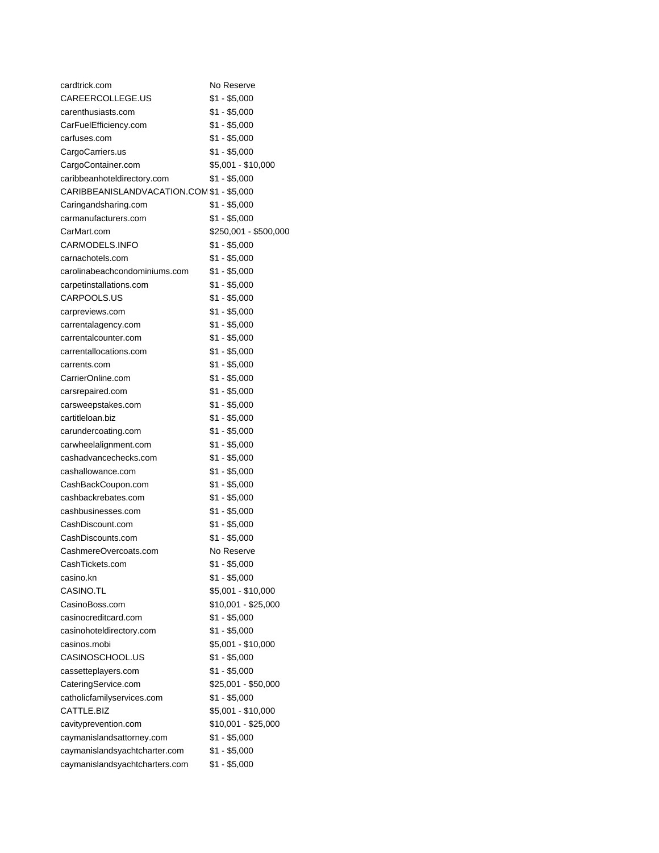| cardtrick.com                             | No Reserve            |
|-------------------------------------------|-----------------------|
| CAREERCOLLEGE.US                          | $$1 - $5,000$         |
| carenthusiasts.com                        | $$1 - $5,000$         |
| CarFuelEfficiency.com                     | $$1 - $5,000$         |
| carfuses.com                              | $$1 - $5,000$         |
| CargoCarriers.us                          | \$1 - \$5,000         |
| CargoContainer.com                        | \$5,001 - \$10,000    |
| caribbeanhoteldirectory.com               | \$1 - \$5,000         |
| CARIBBEANISLANDVACATION.COM \$1 - \$5,000 |                       |
| Caringandsharing.com                      | \$1 - \$5,000         |
| carmanufacturers.com                      | \$1 - \$5,000         |
| CarMart.com                               | \$250,001 - \$500,000 |
| CARMODELS.INFO                            | \$1 - \$5,000         |
| carnachotels.com                          | \$1 - \$5,000         |
| carolinabeachcondominiums.com             | $$1 - $5,000$         |
| carpetinstallations.com                   | $$1 - $5,000$         |
| CARPOOLS.US                               | $$1 - $5,000$         |
| carpreviews.com                           | $$1 - $5,000$         |
| carrentalagency.com                       | $$1 - $5,000$         |
| carrentalcounter.com                      | $$1 - $5,000$         |
| carrentallocations.com                    | $$1 - $5,000$         |
| carrents.com                              | $$1 - $5,000$         |
| CarrierOnline.com                         | $$1 - $5,000$         |
| carsrepaired.com                          | $$1 - $5,000$         |
| carsweepstakes.com                        | $$1 - $5,000$         |
| cartitleloan.biz                          | \$1 - \$5,000         |
| carundercoating.com                       | $$1 - $5,000$         |
| carwheelalignment.com                     | $$1 - $5,000$         |
| cashadvancechecks.com                     | $$1 - $5,000$         |
| cashallowance.com                         | $$1 - $5,000$         |
| CashBackCoupon.com                        | \$1 - \$5,000         |
| cashbackrebates.com                       | $$1 - $5,000$         |
| cashbusinesses.com                        | $$1 - $5,000$         |
| CashDiscount.com                          | $$1 - $5,000$         |
| CashDiscounts.com                         | \$1 - \$5,000         |
| CashmereOvercoats.com                     | No Reserve            |
| CashTickets.com                           | $$1 - $5,000$         |
| casino.kn                                 | $$1 - $5,000$         |
| CASINO.TL                                 | \$5,001 - \$10,000    |
| CasinoBoss.com                            | \$10,001 - \$25,000   |
| casinocreditcard.com                      | $$1 - $5,000$         |
| casinohoteldirectory.com                  | $$1 - $5,000$         |
| casinos.mobi                              | $$5,001 - $10,000$    |
| CASINOSCHOOL.US                           | $$1 - $5,000$         |
| cassetteplayers.com                       | $$1 - $5,000$         |
| CateringService.com                       | \$25,001 - \$50,000   |
| catholicfamilyservices.com                | $$1 - $5,000$         |
| CATTLE.BIZ                                | \$5,001 - \$10,000    |
| cavityprevention.com                      | \$10,001 - \$25,000   |
| caymanislandsattorney.com                 | $$1 - $5,000$         |
| caymanislandsyachtcharter.com             | $$1 - $5,000$         |
| caymanislandsyachtcharters.com            | $$1 - $5,000$         |
|                                           |                       |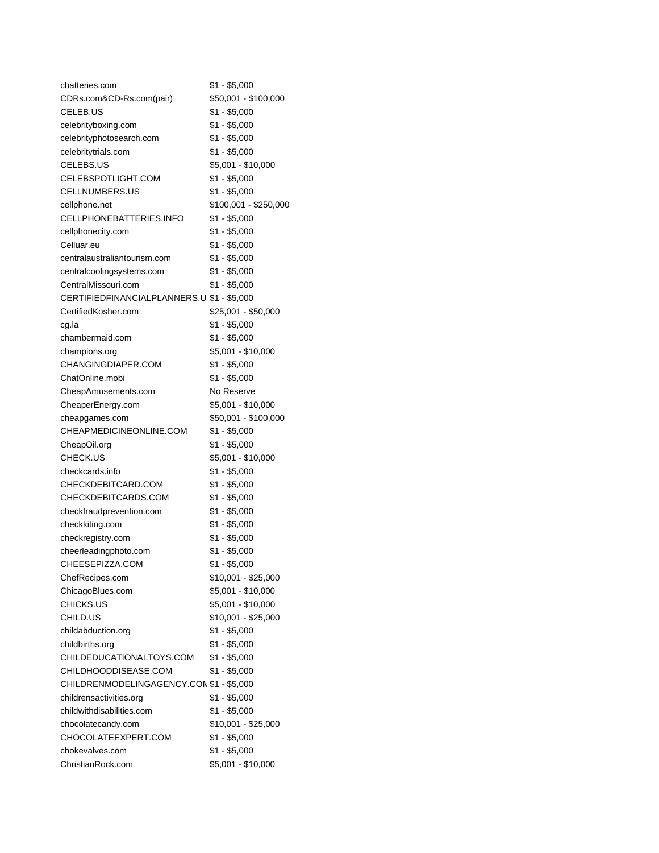| cbatteries.com                             | \$1 - \$5,000         |
|--------------------------------------------|-----------------------|
| CDRs.com&CD-Rs.com(pair)                   | \$50,001 - \$100,000  |
| CELEB.US                                   | \$1 - \$5,000         |
| celebrityboxing.com                        | $$1 - $5,000$         |
| celebrityphotosearch.com                   | \$1 - \$5,000         |
| celebritytrials.com                        | \$1 - \$5,000         |
| CELEBS.US                                  | \$5,001 - \$10,000    |
| CELEBSPOTLIGHT.COM                         | $$1 - $5,000$         |
| CELLNUMBERS.US                             | \$1 - \$5,000         |
| cellphone.net                              | \$100,001 - \$250,000 |
| CELLPHONEBATTERIES.INFO                    | $$1 - $5,000$         |
| cellphonecity.com                          | $$1 - $5,000$         |
| Celluar.eu                                 | $$1 - $5,000$         |
| centralaustraliantourism.com               | $$1 - $5,000$         |
| centralcoolingsystems.com                  | $$1 - $5,000$         |
| CentralMissouri.com                        | $$1 - $5,000$         |
| CERTIFIEDFINANCIALPLANNERS.U \$1 - \$5,000 |                       |
| CertifiedKosher.com                        | \$25,001 - \$50,000   |
| cg.la                                      | $$1 - $5,000$         |
| chambermaid.com                            | $$1 - $5,000$         |
| champions.org                              | $$5,001 - $10,000$    |
| CHANGINGDIAPER.COM                         | $$1 - $5,000$         |
| ChatOnline.mobi                            | \$1 - \$5,000         |
| CheapAmusements.com                        | No Reserve            |
| CheaperEnergy.com                          | \$5,001 - \$10,000    |
| cheapgames.com                             | \$50,001 - \$100,000  |
| CHEAPMEDICINEONLINE.COM                    | $$1 - $5,000$         |
| CheapOil.org                               | $$1 - $5,000$         |
| CHECK.US                                   | \$5,001 - \$10,000    |
| checkcards.info                            | \$1 - \$5,000         |
| CHECKDEBITCARD.COM                         | \$1 - \$5,000         |
| CHECKDEBITCARDS.COM                        | $$1 - $5,000$         |
| checkfraudprevention.com                   | $$1 - $5,000$         |
| checkkiting.com                            | $$1 - $5,000$         |
| checkregistry.com                          | $$1 - $5,000$         |
| cheerleadingphoto.com                      | $$1 - $5,000$         |
| CHEESEPIZZA.COM                            | $$1 - $5,000$         |
| ChefRecipes.com                            | \$10,001 - \$25,000   |
| ChicagoBlues.com                           | \$5,001 - \$10,000    |
| CHICKS.US                                  | \$5,001 - \$10,000    |
| CHILD.US                                   | \$10,001 - \$25,000   |
| childabduction.org                         | \$1 - \$5,000         |
| childbirths.org                            | \$1 - \$5,000         |
| CHILDEDUCATIONALTOYS.COM                   | \$1 - \$5,000         |
| CHILDHOODDISEASE.COM                       | \$1 - \$5,000         |
| CHILDRENMODELINGAGENCY.CON \$1 - \$5,000   |                       |
| childrensactivities.org                    | \$1 - \$5,000         |
| childwithdisabilities.com                  | \$1 - \$5,000         |
| chocolatecandy.com                         | \$10,001 - \$25,000   |
| CHOCOLATEEXPERT.COM                        | \$1 - \$5,000         |
| chokevalves.com                            | $$1 - $5,000$         |
|                                            |                       |
| ChristianRock.com                          | \$5,001 - \$10,000    |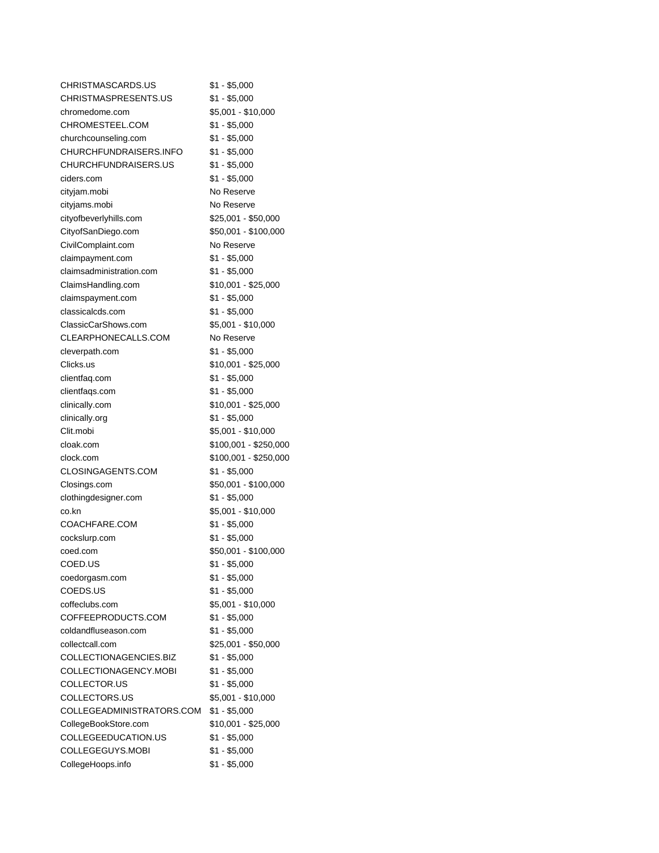| CHRISTMASCARDS.US         | \$1 - \$5,000         |
|---------------------------|-----------------------|
| CHRISTMASPRESENTS.US      | $$1 - $5,000$         |
| chromedome.com            | \$5,001 - \$10,000    |
| CHROMESTEEL.COM           | \$1 - \$5,000         |
| churchcounseling.com      | \$1 - \$5,000         |
| CHURCHFUNDRAISERS.INFO    | $$1 - $5,000$         |
| CHURCHFUNDRAISERS.US      | $$1 - $5,000$         |
| ciders.com                | \$1 - \$5,000         |
| cityjam.mobi              | No Reserve            |
| cityjams.mobi             | No Reserve            |
| cityofbeverlyhills.com    | \$25,001 - \$50,000   |
| CityofSanDiego.com        | \$50,001 - \$100,000  |
| CivilComplaint.com        | No Reserve            |
| claimpayment.com          | \$1 - \$5,000         |
| claimsadministration.com  | \$1 - \$5,000         |
| ClaimsHandling.com        | \$10,001 - \$25,000   |
| claimspayment.com         | \$1 - \$5,000         |
| classicalcds.com          | $$1 - $5,000$         |
| ClassicCarShows.com       | \$5,001 - \$10,000    |
| CLEARPHONECALLS.COM       | No Reserve            |
| cleverpath.com            | \$1 - \$5,000         |
| Clicks.us                 | \$10,001 - \$25,000   |
| clientfaq.com             | $$1 - $5,000$         |
| clientfaqs.com            | $$1 - $5,000$         |
| clinically.com            | $$10,001 - $25,000$   |
| clinically.org            | $$1 - $5,000$         |
| Clit.mobi                 | \$5,001 - \$10,000    |
| cloak.com                 | \$100,001 - \$250,000 |
| clock.com                 | \$100,001 - \$250,000 |
| CLOSINGAGENTS.COM         | \$1 - \$5,000         |
| Closings.com              | \$50,001 - \$100,000  |
| clothingdesigner.com      | $$1 - $5,000$         |
| co.kn                     | \$5,001 - \$10,000    |
| COACHFARE.COM             | $$1 - $5,000$         |
| cockslurp.com             | $$1 - $5,000$         |
| coed.com                  | \$50,001 - \$100,000  |
| COED.US                   | $$1 - $5,000$         |
| coedorgasm.com            | $$1 - $5,000$         |
| COEDS.US                  | $$1 - $5,000$         |
| coffeclubs.com            | \$5,001 - \$10,000    |
| COFFEEPRODUCTS.COM        | $$1 - $5,000$         |
| coldandfluseason.com      | $$1 - $5,000$         |
| collectcall.com           | \$25,001 - \$50,000   |
| COLLECTIONAGENCIES.BIZ    | $$1 - $5,000$         |
| COLLECTIONAGENCY.MOBI     | $$1 - $5,000$         |
| COLLECTOR.US              | $$1 - $5,000$         |
| COLLECTORS.US             | \$5,001 - \$10,000    |
| COLLEGEADMINISTRATORS.COM | $$1 - $5,000$         |
| CollegeBookStore.com      | \$10,001 - \$25,000   |
| COLLEGEEDUCATION.US       | $$1 - $5,000$         |
| COLLEGEGUYS.MOBI          | $$1 - $5,000$         |
| CollegeHoops.info         | \$1 - \$5,000         |
|                           |                       |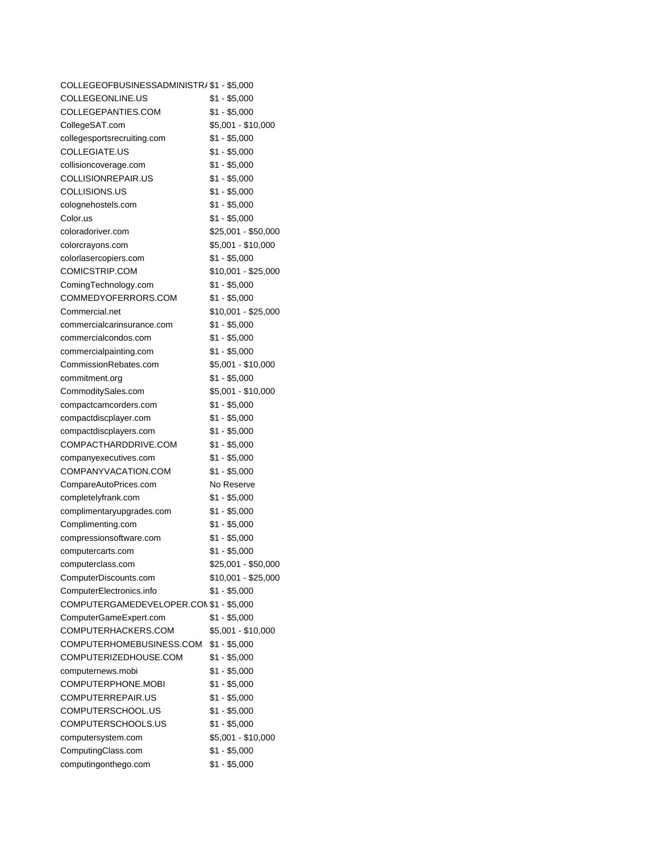| COLLEGEOFBUSINESSADMINISTR/ \$1 - \$5,000 |                     |
|-------------------------------------------|---------------------|
| COLLEGEONLINE.US                          | $$1 - $5,000$       |
| COLLEGEPANTIES.COM                        | \$1 - \$5,000       |
| CollegeSAT.com                            | \$5,001 - \$10,000  |
| collegesportsrecruiting.com               | $$1 - $5,000$       |
| COLLEGIATE.US                             | \$1 - \$5,000       |
| collisioncoverage.com                     | $$1 - $5,000$       |
| COLLISIONREPAIR.US                        | $$1 - $5,000$       |
| COLLISIONS.US                             | $$1 - $5,000$       |
| colognehostels.com                        | $$1 - $5,000$       |
| Color.us                                  | $$1 - $5,000$       |
| coloradoriver.com                         | $$25,001 - $50,000$ |
| colorcrayons.com                          | $$5,001 - $10,000$  |
| colorlasercopiers.com                     | \$1 - \$5,000       |
| COMICSTRIP.COM                            | \$10,001 - \$25,000 |
| ComingTechnology.com                      | $$1 - $5,000$       |
| COMMEDYOFERRORS.COM                       | $$1 - $5,000$       |
| Commercial.net                            | $$10,001 - $25,000$ |
| commercialcarinsurance.com                | \$1 - \$5,000       |
| commercialcondos.com                      | $$1 - $5,000$       |
| commercialpainting.com                    | $$1 - $5,000$       |
| CommissionRebates.com                     | \$5,001 - \$10,000  |
| commitment.org                            | \$1 - \$5,000       |
| CommoditySales.com                        | \$5,001 - \$10,000  |
| compactcamcorders.com                     | $$1 - $5,000$       |
| compactdiscplayer.com                     | \$1 - \$5,000       |
| compactdiscplayers.com                    | $$1 - $5,000$       |
| COMPACTHARDDRIVE.COM                      | $$1 - $5,000$       |
| companyexecutives.com                     | $$1 - $5,000$       |
| COMPANYVACATION.COM                       | \$1 - \$5,000       |
| CompareAutoPrices.com                     | No Reserve          |
| completelyfrank.com                       | \$1 - \$5,000       |
| complimentaryupgrades.com                 | $$1 - $5,000$       |
| Complimenting.com                         | $$1 - $5,000$       |
| compressionsoftware.com                   | $$1 - $5,000$       |
| computercarts.com                         | $$1 - $5,000$       |
| computerclass.com                         | \$25,001 - \$50,000 |
| ComputerDiscounts.com                     | $$10,001 - $25,000$ |
| ComputerElectronics.info                  | $$1 - $5,000$       |
| COMPUTERGAMEDEVELOPER.CON \$1 - \$5,000   |                     |
| ComputerGameExpert.com                    | $$1 - $5,000$       |
| COMPUTERHACKERS.COM                       | \$5,001 - \$10,000  |
| COMPUTERHOMEBUSINESS.COM                  | $$1 - $5,000$       |
| COMPUTERIZEDHOUSE.COM                     | $$1 - $5,000$       |
| computernews.mobi                         | \$1 - \$5,000       |
| COMPUTERPHONE.MOBI                        | $$1 - $5,000$       |
| COMPUTERREPAIR.US                         | $$1 - $5,000$       |
| COMPUTERSCHOOL.US                         | $$1 - $5,000$       |
| COMPUTERSCHOOLS.US                        | $$1 - $5,000$       |
| computersystem.com                        | \$5,001 - \$10,000  |
| ComputingClass.com                        | $$1 - $5,000$       |
| computingonthego.com                      | \$1 - \$5,000       |
|                                           |                     |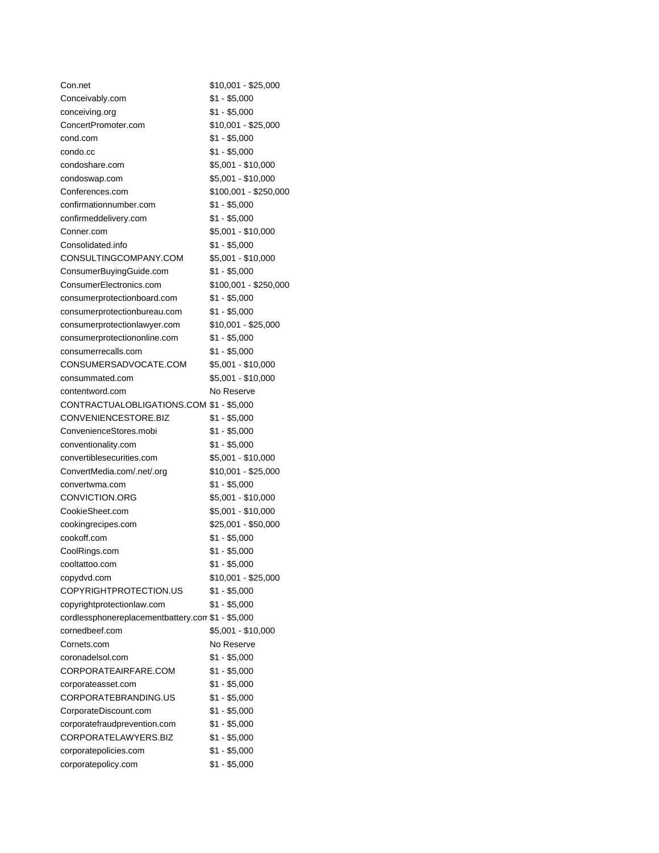| Con.net                                           | \$10,001 - \$25,000   |
|---------------------------------------------------|-----------------------|
| Conceivably.com                                   | $$1 - $5,000$         |
| conceiving.org                                    | \$1 - \$5,000         |
| ConcertPromoter.com                               | \$10,001 - \$25,000   |
| cond.com                                          | $$1 - $5,000$         |
| condo.cc                                          | $$1 - $5,000$         |
| condoshare.com                                    | \$5,001 - \$10,000    |
| condoswap.com                                     | \$5,001 - \$10,000    |
| Conferences.com                                   | \$100,001 - \$250,000 |
| confirmationnumber.com                            | $$1 - $5,000$         |
| confirmeddelivery.com                             | $$1 - $5,000$         |
| Conner.com                                        | \$5,001 - \$10,000    |
| Consolidated.info                                 | $$1 - $5,000$         |
| CONSULTINGCOMPANY.COM                             | \$5,001 - \$10,000    |
| ConsumerBuyingGuide.com                           | \$1 - \$5,000         |
| ConsumerElectronics.com                           | \$100,001 - \$250,000 |
| consumerprotectionboard.com                       | $$1 - $5,000$         |
| consumerprotectionbureau.com                      | $$1 - $5,000$         |
| consumerprotectionlawyer.com                      | $$10,001 - $25,000$   |
| consumerprotectiononline.com                      | $$1 - $5,000$         |
| consumerrecalls.com                               | $$1 - $5,000$         |
| CONSUMERSADVOCATE.COM                             | \$5,001 - \$10,000    |
| consummated.com                                   | \$5,001 - \$10,000    |
| contentword.com                                   | No Reserve            |
| CONTRACTUALOBLIGATIONS.COM \$1 - \$5,000          |                       |
| CONVENIENCESTORE.BIZ                              | $$1 - $5,000$         |
| ConvenienceStores.mobi                            | $$1 - $5,000$         |
| conventionality.com                               | $$1 - $5,000$         |
| convertiblesecurities.com                         | \$5,001 - \$10,000    |
| ConvertMedia.com/.net/.org                        | $$10,001 - $25,000$   |
| convertwma.com                                    | $$1 - $5,000$         |
| CONVICTION.ORG                                    | \$5,001 - \$10,000    |
| CookieSheet.com                                   | \$5,001 - \$10,000    |
| cookingrecipes.com                                | \$25,001 - \$50,000   |
| cookoff.com                                       | $$1 - $5,000$         |
| CoolRings.com                                     | $$1 - $5,000$         |
| cooltattoo.com                                    | \$1 - \$5,000         |
| copydvd.com                                       | \$10,001 - \$25,000   |
| COPYRIGHTPROTECTION.US                            | $$1 - $5,000$         |
| copyrightprotectionlaw.com                        | $$1 - $5,000$         |
| cordlessphonereplacementbattery.com \$1 - \$5,000 |                       |
| cornedbeef.com                                    | \$5,001 - \$10,000    |
| Cornets.com                                       | No Reserve            |
| coronadelsol.com                                  | \$1 - \$5,000         |
| CORPORATEAIRFARE.COM                              | \$1 - \$5,000         |
| corporateasset.com                                | $$1 - $5,000$         |
| CORPORATEBRANDING.US                              | $$1 - $5,000$         |
| CorporateDiscount.com                             | $$1 - $5,000$         |
| corporatefraudprevention.com                      | \$1 - \$5,000         |
| CORPORATELAWYERS.BIZ                              | $$1 - $5,000$         |
| corporatepolicies.com                             | $$1 - $5,000$         |
| corporatepolicy.com                               | $$1 - $5,000$         |
|                                                   |                       |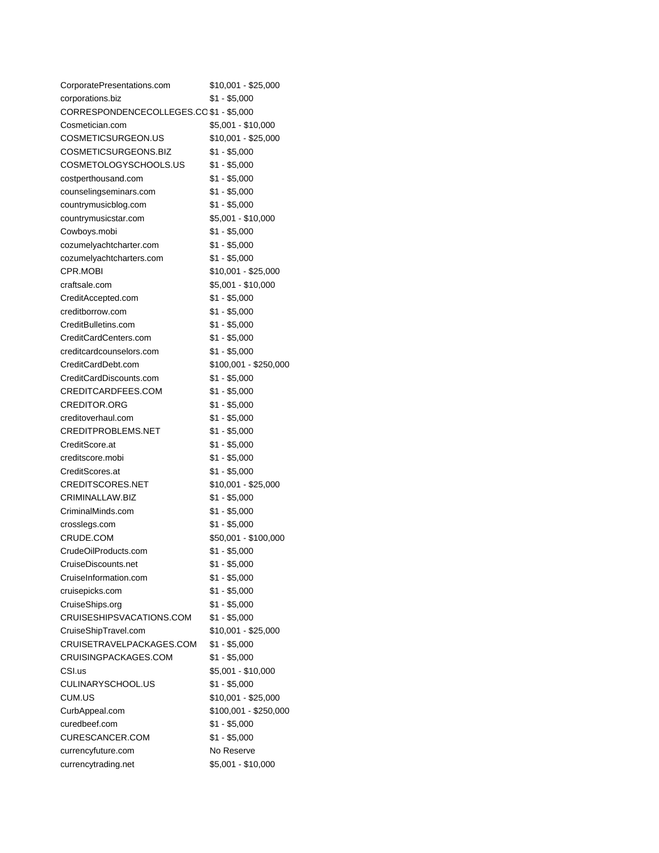| CorporatePresentations.com              | \$10,001 - \$25,000   |
|-----------------------------------------|-----------------------|
| corporations.biz                        | \$1 - \$5,000         |
| CORRESPONDENCECOLLEGES.CO \$1 - \$5,000 |                       |
| Cosmetician.com                         | \$5,001 - \$10,000    |
| COSMETICSURGEON.US                      | \$10,001 - \$25,000   |
| COSMETICSURGEONS.BIZ                    | \$1 - \$5,000         |
| COSMETOLOGYSCHOOLS.US                   | \$1 - \$5,000         |
| costperthousand.com                     | \$1 - \$5,000         |
| counselingseminars.com                  | $$1 - $5,000$         |
| countrymusicblog.com                    | $$1 - $5,000$         |
| countrymusicstar.com                    | \$5,001 - \$10,000    |
| Cowboys.mobi                            | \$1 - \$5,000         |
| cozumelyachtcharter.com                 | $$1 - $5,000$         |
| cozumelyachtcharters.com                | $$1 - $5,000$         |
| CPR.MOBI                                | \$10,001 - \$25,000   |
| craftsale.com                           | \$5,001 - \$10,000    |
| CreditAccepted.com                      | \$1 - \$5,000         |
| creditborrow.com                        | \$1 - \$5,000         |
| CreditBulletins.com                     | \$1 - \$5,000         |
| CreditCardCenters.com                   | $$1 - $5,000$         |
| creditcardcounselors.com                | $$1 - $5,000$         |
| CreditCardDebt.com                      | \$100,001 - \$250,000 |
| CreditCardDiscounts.com                 | $$1 - $5,000$         |
| CREDITCARDFEES.COM                      | \$1 - \$5,000         |
| <b>CREDITOR.ORG</b>                     | $$1 - $5,000$         |
| creditoverhaul.com                      | $$1 - $5,000$         |
| CREDITPROBLEMS.NET                      | $$1 - $5,000$         |
| CreditScore.at                          | \$1 - \$5,000         |
| creditscore.mobi                        | \$1 - \$5,000         |
| CreditScores.at                         | $$1 - $5,000$         |
| CREDITSCORES.NET                        | \$10,001 - \$25,000   |
| CRIMINALLAW.BIZ                         | $$1 - $5,000$         |
| CriminalMinds.com                       | \$1 - \$5,000         |
| crosslegs.com                           | $$1 - $5,000$         |
| CRUDE.COM                               | \$50,001 - \$100,000  |
| CrudeOilProducts.com                    | $$1 - $5,000$         |
| CruiseDiscounts.net                     | $$1 - $5,000$         |
| CruiseInformation.com                   | $$1 - $5,000$         |
| cruisepicks.com                         | $$1 - $5,000$         |
| CruiseShips.org                         | $$1 - $5,000$         |
| CRUISESHIPSVACATIONS.COM                | $$1 - $5,000$         |
| CruiseShipTravel.com                    | \$10,001 - \$25,000   |
| CRUISETRAVELPACKAGES.COM                | $$1 - $5,000$         |
| CRUISINGPACKAGES.COM                    | $$1 - $5,000$         |
| CSI.us                                  | \$5,001 - \$10,000    |
| CULINARYSCHOOL.US                       | $$1 - $5,000$         |
| CUM.US                                  | \$10,001 - \$25,000   |
| CurbAppeal.com                          | \$100,001 - \$250,000 |
| curedbeef.com                           | $$1 - $5,000$         |
| CURESCANCER.COM                         | $$1 - $5,000$         |
| currencyfuture.com                      | No Reserve            |
| currencytrading.net                     | \$5,001 - \$10,000    |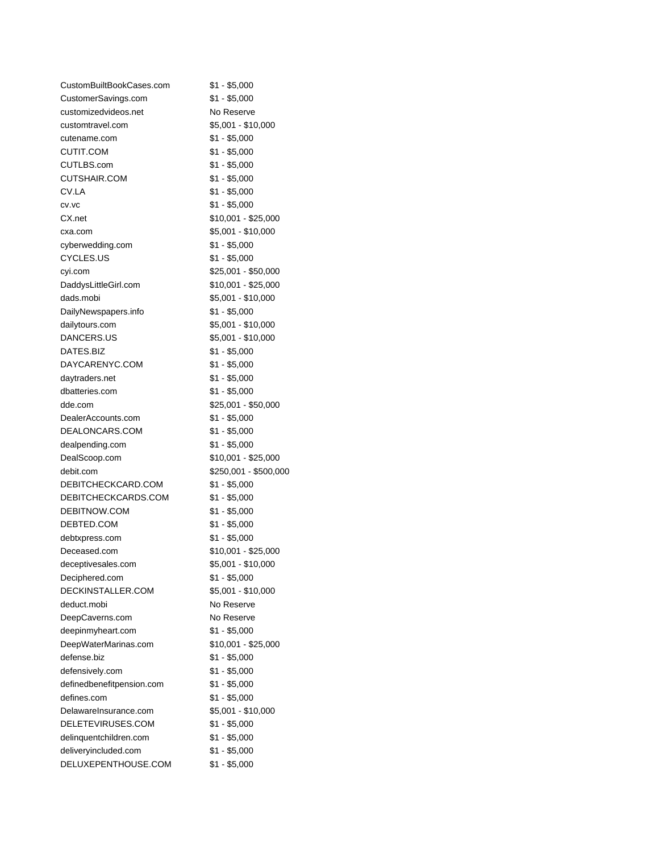| CustomBuiltBookCases.com  | $$1 - $5,000$         |
|---------------------------|-----------------------|
| CustomerSavings.com       | $$1 - $5,000$         |
| customizedvideos.net      | No Reserve            |
| customtravel.com          | \$5,001 - \$10,000    |
| cutename.com              | \$1 - \$5,000         |
| <b>CUTIT.COM</b>          | \$1 - \$5,000         |
| CUTLBS.com                | $$1 - $5,000$         |
| <b>CUTSHAIR.COM</b>       | $$1 - $5,000$         |
| CV.LA                     | $$1 - $5,000$         |
| CV.VC                     | $$1 - $5,000$         |
| CX.net                    | \$10,001 - \$25,000   |
| cxa.com                   | \$5,001 - \$10,000    |
| cyberwedding.com          | \$1 - \$5,000         |
| CYCLES.US                 | $$1 - $5,000$         |
| cyi.com                   | \$25,001 - \$50,000   |
| DaddysLittleGirl.com      | \$10,001 - \$25,000   |
| dads.mobi                 | \$5,001 - \$10,000    |
| DailyNewspapers.info      | $$1 - $5,000$         |
| dailytours.com            | \$5,001 - \$10,000    |
| DANCERS.US                | \$5,001 - \$10,000    |
| DATES.BIZ                 | $$1 - $5,000$         |
| DAYCARENYC.COM            | $$1 - $5,000$         |
| daytraders.net            | $$1 - $5,000$         |
| dbatteries.com            | $$1 - $5,000$         |
| dde.com                   | \$25,001 - \$50,000   |
| DealerAccounts.com        | $$1 - $5,000$         |
| DEALONCARS.COM            | $$1 - $5,000$         |
| dealpending.com           | $$1 - $5,000$         |
| DealScoop.com             | \$10,001 - \$25,000   |
| debit.com                 | \$250,001 - \$500,000 |
| DEBITCHECKCARD.COM        | $$1 - $5,000$         |
| DEBITCHECKCARDS.COM       | $$1 - $5,000$         |
| DEBITNOW.COM              | $$1 - $5,000$         |
| DEBTED.COM                | $$1 - $5,000$         |
| debtxpress.com            | $$1 - $5,000$         |
| Deceased.com              | \$10,001 - \$25,000   |
| deceptivesales.com        | \$5,001 - \$10,000    |
| Deciphered.com            | \$1 - \$5,000         |
| DECKINSTALLER.COM         | \$5,001 - \$10,000    |
| deduct.mobi               | No Reserve            |
| DeepCaverns.com           | No Reserve            |
| deepinmyheart.com         | $$1 - $5,000$         |
| DeepWaterMarinas.com      | \$10,001 - \$25,000   |
| defense.biz               | $$1 - $5,000$         |
| defensively.com           | $$1 - $5,000$         |
| definedbenefitpension.com | $$1 - $5,000$         |
| defines.com               | $$1 - $5,000$         |
| DelawareInsurance.com     | \$5,001 - \$10,000    |
| DELETEVIRUSES.COM         | $$1 - $5,000$         |
| delinquentchildren.com    | $$1 - $5,000$         |
| deliveryincluded.com      | $$1 - $5,000$         |
| DELUXEPENTHOUSE.COM       | $$1 - $5,000$         |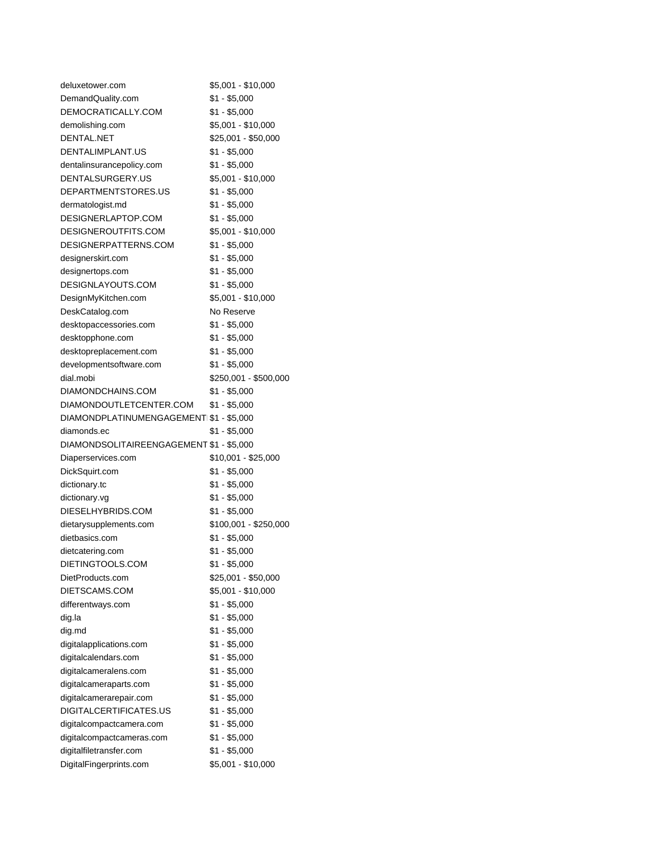| deluxetower.com                          | \$5,001 - \$10,000    |
|------------------------------------------|-----------------------|
| DemandQuality.com                        | $$1 - $5,000$         |
| DEMOCRATICALLY.COM                       | \$1 - \$5,000         |
| demolishing.com                          | \$5,001 - \$10,000    |
| DENTAL.NET                               | \$25,001 - \$50,000   |
| DENTALIMPLANT.US                         | \$1 - \$5,000         |
| dentalinsurancepolicy.com                | $$1 - $5,000$         |
| DENTALSURGERY.US                         | \$5,001 - \$10,000    |
| DEPARTMENTSTORES.US                      | \$1 - \$5,000         |
| dermatologist.md                         | \$1 - \$5,000         |
| DESIGNERLAPTOP.COM                       | $$1 - $5,000$         |
| DESIGNEROUTFITS.COM                      | \$5,001 - \$10,000    |
| DESIGNERPATTERNS.COM                     | $$1 - $5,000$         |
| designerskirt.com                        | $$1 - $5,000$         |
| designertops.com                         | $$1 - $5,000$         |
| DESIGNLAYOUTS.COM                        | $$1 - $5,000$         |
| DesignMyKitchen.com                      | \$5,001 - \$10,000    |
| DeskCatalog.com                          | No Reserve            |
| desktopaccessories.com                   | $$1 - $5,000$         |
| desktopphone.com                         | $$1 - $5,000$         |
| desktopreplacement.com                   | $$1 - $5,000$         |
|                                          | $$1 - $5,000$         |
| developmentsoftware.com                  |                       |
| dial.mobi                                | \$250,001 - \$500,000 |
| DIAMONDCHAINS.COM                        | $$1 - $5,000$         |
| DIAMONDOUTLETCENTER.COM                  | $$1 - $5,000$         |
| DIAMONDPLATINUMENGAGEMENT \$1 - \$5,000  |                       |
| diamonds.ec                              | \$1 - \$5,000         |
| DIAMONDSOLITAIREENGAGEMENT \$1 - \$5,000 |                       |
| Diaperservices.com                       | \$10,001 - \$25,000   |
| DickSquirt.com                           | $$1 - $5,000$         |
| dictionary.tc                            | \$1 - \$5,000         |
| dictionary.vg                            | $$1 - $5,000$         |
| DIESELHYBRIDS.COM                        | $$1 - $5,000$         |
| dietarysupplements.com                   | \$100,001 - \$250,000 |
| dietbasics.com                           | $$1 - $5,000$         |
| dietcatering.com                         | $$1 - $5,000$         |
| DIETINGTOOLS.COM                         | $$1 - $5,000$         |
| DietProducts.com                         | \$25,001 - \$50,000   |
| DIETSCAMS.COM                            | \$5,001 - \$10,000    |
| differentways.com                        | $$1 - $5,000$         |
| dig.la                                   | $$1 - $5,000$         |
| dig.md                                   | $$1 - $5,000$         |
| digitalapplications.com                  | $$1 - $5,000$         |
| digitalcalendars.com                     | \$1 - \$5,000         |
| digitalcameralens.com                    | $$1 - $5,000$         |
| digitalcameraparts.com                   | $$1 - $5,000$         |
| digitalcamerarepair.com                  | $$1 - $5,000$         |
| DIGITALCERTIFICATES.US                   | $$1 - $5,000$         |
| digitalcompactcamera.com                 | $$1 - $5,000$         |
| digitalcompactcameras.com                | $$1 - $5,000$         |
| digitalfiletransfer.com                  | $$1 - $5,000$         |
| DigitalFingerprints.com                  | \$5,001 - \$10,000    |
|                                          |                       |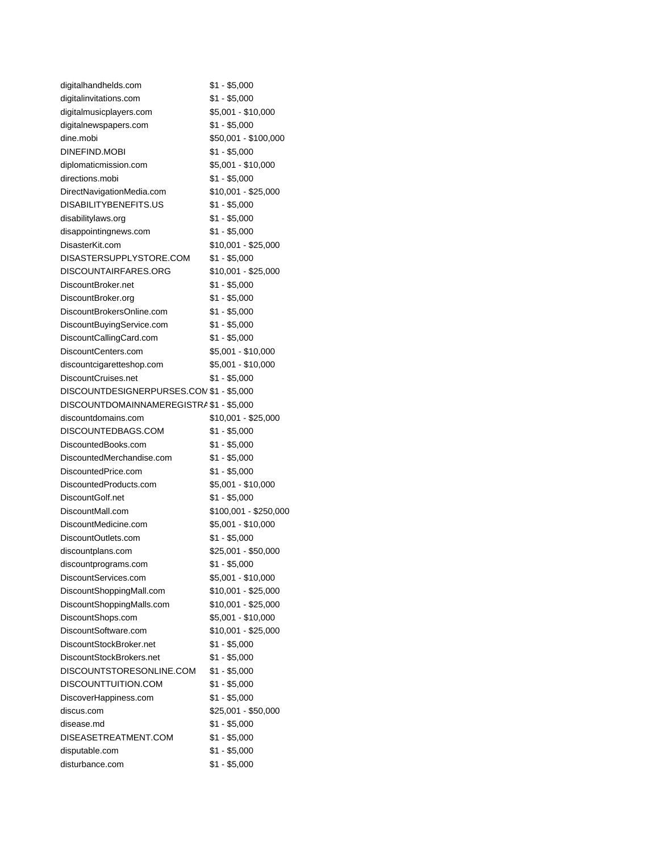| digitalhandhelds.com                     | \$1 - \$5,000         |
|------------------------------------------|-----------------------|
| digitalinvitations.com                   | $$1 - $5,000$         |
| digitalmusicplayers.com                  | \$5,001 - \$10,000    |
| digitalnewspapers.com                    | $$1 - $5,000$         |
| dine.mobi                                | \$50,001 - \$100,000  |
| DINEFIND.MOBI                            | $$1 - $5,000$         |
| diplomaticmission.com                    | \$5,001 - \$10,000    |
| directions.mobi                          | $$1 - $5,000$         |
| DirectNavigationMedia.com                | \$10,001 - \$25,000   |
| DISABILITYBENEFITS.US                    | $$1 - $5,000$         |
| disabilitylaws.org                       | \$1 - \$5,000         |
| disappointingnews.com                    | $$1 - $5,000$         |
| DisasterKit.com                          | \$10,001 - \$25,000   |
| DISASTERSUPPLYSTORE.COM                  | \$1 - \$5,000         |
| DISCOUNTAIRFARES.ORG                     | \$10,001 - \$25,000   |
| DiscountBroker.net                       | $$1 - $5,000$         |
| DiscountBroker.org                       | \$1 - \$5,000         |
| DiscountBrokersOnline.com                | \$1 - \$5,000         |
| DiscountBuyingService.com                | \$1 - \$5,000         |
| DiscountCallingCard.com                  | $$1 - $5,000$         |
| DiscountCenters.com                      | \$5,001 - \$10,000    |
| discountcigaretteshop.com                | \$5,001 - \$10,000    |
| DiscountCruises.net                      | \$1 - \$5,000         |
| DISCOUNTDESIGNERPURSES.COM \$1 - \$5,000 |                       |
| DISCOUNTDOMAINNAMEREGISTRA \$1 - \$5,000 |                       |
| discountdomains.com                      | \$10,001 - \$25,000   |
| DISCOUNTEDBAGS.COM                       | $$1 - $5,000$         |
| DiscountedBooks.com                      | $$1 - $5,000$         |
| DiscountedMerchandise.com                | \$1 - \$5,000         |
| DiscountedPrice.com                      | $$1 - $5,000$         |
| DiscountedProducts.com                   | \$5,001 - \$10,000    |
| DiscountGolf.net                         | $$1 - $5,000$         |
| DiscountMall.com                         | \$100,001 - \$250,000 |
| DiscountMedicine.com                     | \$5,001 - \$10,000    |
| DiscountOutlets.com                      | $$1 - $5,000$         |
| discountplans.com                        | \$25,001 - \$50,000   |
| discountprograms.com                     | $$1 - $5,000$         |
| DiscountServices.com                     | \$5,001 - \$10,000    |
| DiscountShoppingMall.com                 | \$10,001 - \$25,000   |
| DiscountShoppingMalls.com                | \$10,001 - \$25,000   |
| DiscountShops.com                        | \$5,001 - \$10,000    |
| DiscountSoftware.com                     | \$10,001 - \$25,000   |
| DiscountStockBroker.net                  | $$1 - $5,000$         |
| DiscountStockBrokers.net                 | $$1 - $5,000$         |
| DISCOUNTSTORESONLINE.COM                 | $$1 - $5,000$         |
| DISCOUNTTUITION.COM                      | $$1 - $5,000$         |
| DiscoverHappiness.com                    | $$1 - $5,000$         |
| discus.com                               | \$25,001 - \$50,000   |
| disease.md                               | $$1 - $5,000$         |
| DISEASETREATMENT.COM                     | $$1 - $5,000$         |
| disputable.com                           | $$1 - $5,000$         |
| disturbance.com                          | \$1 - \$5,000         |
|                                          |                       |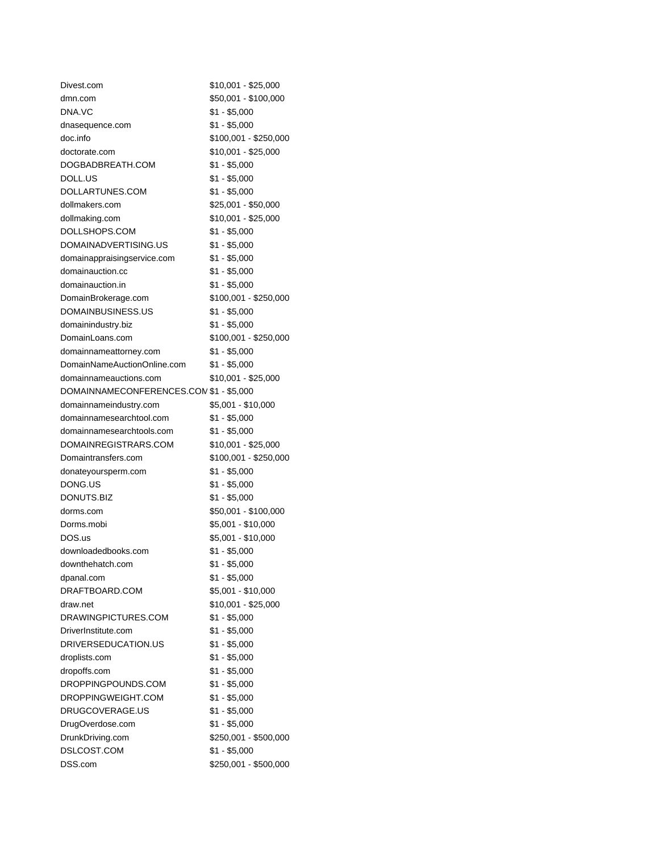| Divest.com                              | \$10,001 - \$25,000   |
|-----------------------------------------|-----------------------|
| dmn.com                                 | \$50,001 - \$100,000  |
| DNA.VC                                  | \$1 - \$5,000         |
| dnasequence.com                         | $$1 - $5,000$         |
| doc.info                                | \$100,001 - \$250,000 |
| doctorate.com                           | \$10,001 - \$25,000   |
| DOGBADBREATH.COM                        | \$1 - \$5,000         |
| DOLL.US                                 | $$1 - $5,000$         |
| DOLLARTUNES.COM                         | $$1 - $5,000$         |
| dollmakers.com                          | \$25,001 - \$50,000   |
| dollmaking.com                          | $$10,001 - $25,000$   |
| DOLLSHOPS.COM                           | \$1 - \$5,000         |
| DOMAINADVERTISING.US                    | \$1 - \$5,000         |
| domainappraisingservice.com             | $$1 - $5,000$         |
| domainauction.cc                        | $$1 - $5,000$         |
| domainauction.in                        | \$1 - \$5,000         |
| DomainBrokerage.com                     | \$100,001 - \$250,000 |
| DOMAINBUSINESS.US                       | \$1 - \$5,000         |
| domainindustry.biz                      | \$1 - \$5,000         |
| DomainLoans.com                         | $$100,001 - $250,000$ |
| domainnameattorney.com                  | \$1 - \$5,000         |
| DomainNameAuctionOnline.com             | \$1 - \$5,000         |
| domainnameauctions.com                  | \$10,001 - \$25,000   |
| DOMAINNAMECONFERENCES.COM \$1 - \$5,000 |                       |
| domainnameindustry.com                  | \$5,001 - \$10,000    |
| domainnamesearchtool.com                | $$1 - $5,000$         |
| domainnamesearchtools.com               | \$1 - \$5,000         |
| DOMAINREGISTRARS.COM                    | $$10,001 - $25,000$   |
| Domaintransfers.com                     | \$100,001 - \$250,000 |
| donateyoursperm.com                     | $$1 - $5,000$         |
| DONG.US                                 | $$1 - $5,000$         |
| DONUTS.BIZ                              | $$1 - $5,000$         |
| dorms.com                               | \$50,001 - \$100,000  |
| Dorms.mobi                              | \$5,001 - \$10,000    |
| DOS.us                                  | \$5,001 - \$10,000    |
|                                         |                       |
| downloadedbooks.com<br>downthehatch.com | \$1 - \$5,000         |
|                                         | $$1 - $5,000$         |
| dpanal.com                              | $$1 - $5,000$         |
| DRAFTBOARD.COM                          | \$5,001 - \$10,000    |
| draw.net                                | \$10,001 - \$25,000   |
| DRAWINGPICTURES.COM                     | $$1 - $5,000$         |
| DriverInstitute.com                     | $$1 - $5,000$         |
| DRIVERSEDUCATION.US                     | $$1 - $5,000$         |
| droplists.com                           | $$1 - $5,000$         |
| dropoffs.com                            | $$1 - $5,000$         |
| DROPPINGPOUNDS.COM                      | $$1 - $5,000$         |
| DROPPINGWEIGHT.COM                      | $$1 - $5,000$         |
| DRUGCOVERAGE.US                         | $$1 - $5,000$         |
| DrugOverdose.com                        | $$1 - $5,000$         |
| DrunkDriving.com                        | \$250,001 - \$500,000 |
| DSLCOST.COM                             | $$1 - $5,000$         |
| DSS.com                                 | \$250,001 - \$500,000 |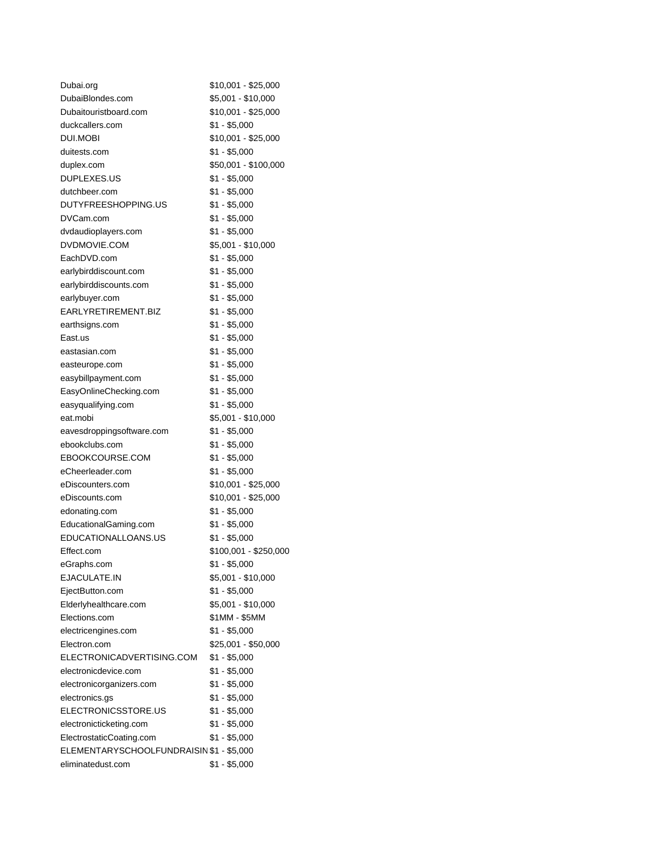| Dubai.org                                | $$10,001 - $25,000$   |
|------------------------------------------|-----------------------|
| DubaiBlondes.com                         | \$5,001 - \$10,000    |
| Dubaitouristboard.com                    | \$10,001 - \$25,000   |
| duckcallers.com                          | $$1 - $5,000$         |
| DUI.MOBI                                 | $$10,001 - $25,000$   |
| duitests.com                             | \$1 - \$5,000         |
| duplex.com                               | \$50,001 - \$100,000  |
| DUPLEXES.US                              | \$1 - \$5,000         |
| dutchbeer.com                            | $$1 - $5,000$         |
| DUTYFREESHOPPING.US                      | $$1 - $5,000$         |
| DVCam.com                                | $$1 - $5,000$         |
| dvdaudioplayers.com                      | \$1 - \$5,000         |
| DVDMOVIE.COM                             | \$5,001 - \$10,000    |
| EachDVD.com                              | $$1 - $5,000$         |
| earlybirddiscount.com                    | $$1 - $5,000$         |
| earlybirddiscounts.com                   | $$1 - $5,000$         |
| earlybuyer.com                           | $$1 - $5,000$         |
| EARLYRETIREMENT.BIZ                      | $$1 - $5,000$         |
| earthsigns.com                           | $$1 - $5,000$         |
| East.us                                  | $$1 - $5,000$         |
| eastasian.com                            | $$1 - $5,000$         |
| easteurope.com                           | $$1 - $5,000$         |
| easybillpayment.com                      | $$1 - $5,000$         |
| EasyOnlineChecking.com                   | $$1 - $5,000$         |
| easyqualifying.com                       | $$1 - $5,000$         |
| eat.mobi                                 | $$5,001 - $10,000$    |
| eavesdroppingsoftware.com                | $$1 - $5,000$         |
| ebookclubs.com                           | $$1 - $5,000$         |
| EBOOKCOURSE.COM                          | \$1 - \$5,000         |
| eCheerleader.com                         | $$1 - $5,000$         |
| eDiscounters.com                         | \$10,001 - \$25,000   |
| eDiscounts.com                           | $$10,001 - $25,000$   |
| edonating.com                            | $$1 - $5,000$         |
| EducationalGaming.com                    | $$1 - $5,000$         |
| EDUCATIONALLOANS.US                      | $$1 - $5,000$         |
| Effect.com                               | \$100,001 - \$250,000 |
| eGraphs.com                              | \$1 - \$5,000         |
| EJACULATE.IN                             | $$5,001 - $10,000$    |
| EjectButton.com                          | $$1 - $5,000$         |
| Elderlyhealthcare.com                    | \$5,001 - \$10,000    |
| Elections.com                            | \$1MM - \$5MM         |
| electricengines.com                      | $$1 - $5,000$         |
| Electron.com                             | \$25,001 - \$50,000   |
| ELECTRONICADVERTISING.COM                | $$1 - $5,000$         |
| electronicdevice.com                     | $$1 - $5,000$         |
| electronicorganizers.com                 | \$1 - \$5,000         |
| electronics.gs                           | $$1 - $5,000$         |
| ELECTRONICSSTORE.US                      | $$1 - $5,000$         |
| electronicticketing.com                  | $$1 - $5,000$         |
| ElectrostaticCoating.com                 | $$1 - $5,000$         |
| ELEMENTARYSCHOOLFUNDRAISIN \$1 - \$5,000 |                       |
| eliminatedust.com                        | $$1 - $5,000$         |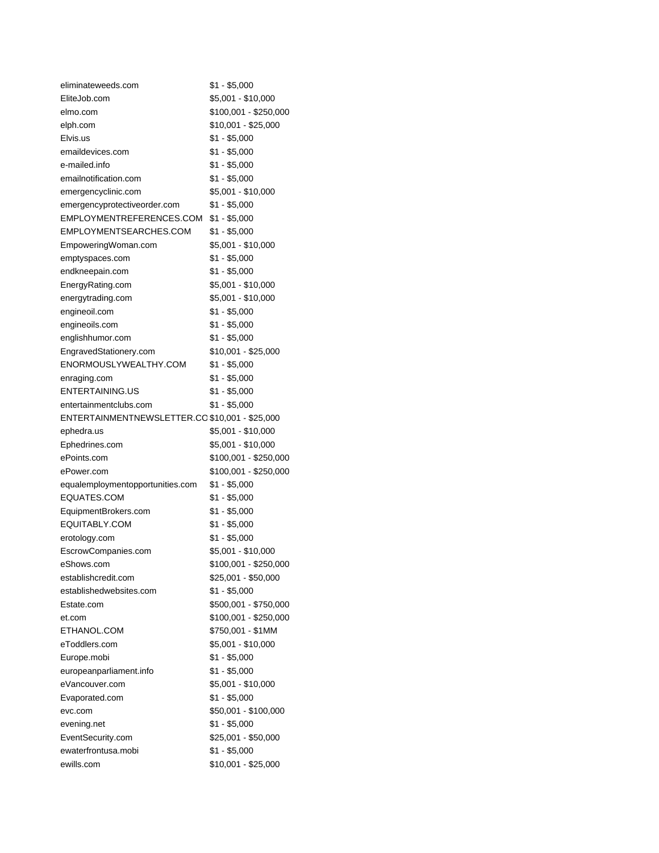| eliminateweeds.com                             | $$1 - $5,000$         |
|------------------------------------------------|-----------------------|
| EliteJob.com                                   | \$5,001 - \$10,000    |
| elmo.com                                       | \$100,001 - \$250,000 |
| elph.com                                       | \$10,001 - \$25,000   |
| Elvis.us                                       | \$1 - \$5,000         |
| emaildevices.com                               | $$1 - $5,000$         |
| e-mailed.info                                  | $$1 - $5,000$         |
| emailnotification.com                          | $$1 - $5,000$         |
| emergencyclinic.com                            | \$5,001 - \$10,000    |
| emergencyprotectiveorder.com                   | $$1 - $5,000$         |
| EMPLOYMENTREFERENCES.COM                       | $$1 - $5,000$         |
| EMPLOYMENTSEARCHES.COM                         | \$1 - \$5,000         |
| EmpoweringWoman.com                            | \$5,001 - \$10,000    |
| emptyspaces.com                                | \$1 - \$5,000         |
| endkneepain.com                                | $$1 - $5,000$         |
| EnergyRating.com                               | \$5,001 - \$10,000    |
| energytrading.com                              | \$5,001 - \$10,000    |
| engineoil.com                                  | $$1 - $5,000$         |
| engineoils.com                                 | $$1 - $5,000$         |
| englishhumor.com                               | \$1 - \$5,000         |
| EngravedStationery.com                         | $$10,001 - $25,000$   |
| ENORMOUSLYWEALTHY.COM                          | $$1 - $5,000$         |
| enraging.com                                   | $$1 - $5,000$         |
| ENTERTAINING.US                                | $$1 - $5,000$         |
| entertainmentclubs.com                         | $$1 - $5,000$         |
| ENTERTAINMENTNEWSLETTER.CO \$10,001 - \$25,000 |                       |
| ephedra.us                                     | \$5,001 - \$10,000    |
| Ephedrines.com                                 | \$5,001 - \$10,000    |
| ePoints.com                                    | \$100,001 - \$250,000 |
| ePower.com                                     | \$100,001 - \$250,000 |
| equalemploymentopportunities.com               | $$1 - $5,000$         |
| EQUATES.COM                                    | \$1 - \$5,000         |
| EquipmentBrokers.com                           | $$1 - $5,000$         |
| EQUITABLY.COM                                  | $$1 - $5,000$         |
| erotology.com                                  | $$1 - $5,000$         |
| EscrowCompanies.com                            | \$5,001 - \$10,000    |
| eShows.com                                     | \$100,001 - \$250,000 |
| establishcredit.com                            | $$25,001 - $50,000$   |
| establishedwebsites.com                        | $$1 - $5,000$         |
| Estate.com                                     | \$500,001 - \$750,000 |
| et.com                                         | \$100,001 - \$250,000 |
| ETHANOL.COM                                    | \$750,001 - \$1MM     |
| eToddlers.com                                  | \$5,001 - \$10,000    |
| Europe.mobi                                    | $$1 - $5,000$         |
| europeanparliament.info                        | $$1 - $5,000$         |
| eVancouver.com                                 | $$5,001 - $10,000$    |
| Evaporated.com                                 | $$1 - $5,000$         |
| evc.com                                        | \$50,001 - \$100,000  |
| evening.net                                    | $$1 - $5,000$         |
| EventSecurity.com                              | \$25,001 - \$50,000   |
| ewaterfrontusa.mobi                            | $$1 - $5,000$         |
| ewills.com                                     | \$10,001 - \$25,000   |
|                                                |                       |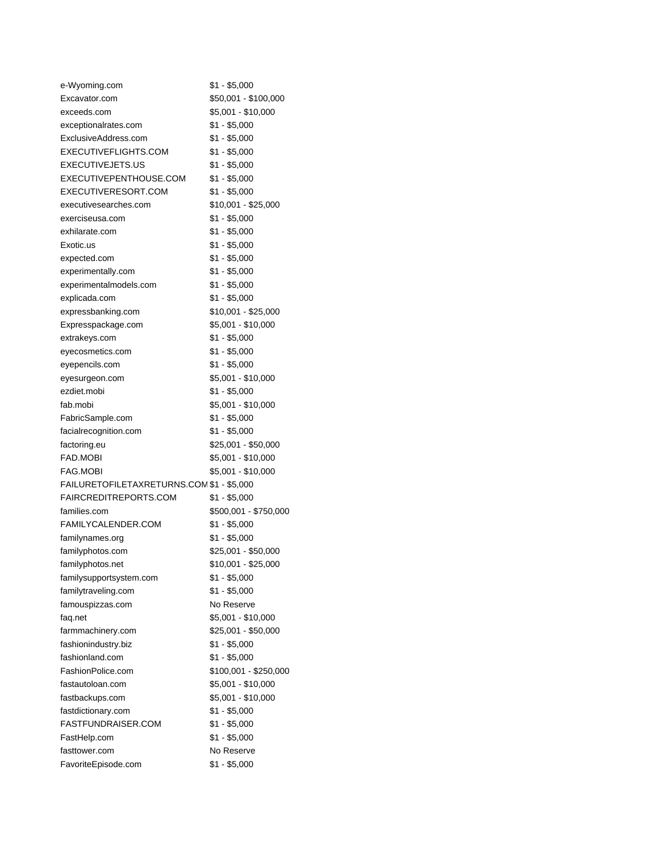| e-Wyoming.com                             | $$1 - $5,000$         |
|-------------------------------------------|-----------------------|
| Excavator.com                             | \$50,001 - \$100,000  |
| exceeds.com                               | \$5,001 - \$10,000    |
| exceptionalrates.com                      | \$1 - \$5,000         |
| ExclusiveAddress.com                      | $$1 - $5,000$         |
| EXECUTIVEFLIGHTS.COM                      | $$1 - $5,000$         |
| EXECUTIVEJETS.US                          | $$1 - $5,000$         |
| EXECUTIVEPENTHOUSE.COM                    | $$1 - $5,000$         |
| EXECUTIVERESORT.COM                       | $$1 - $5,000$         |
| executivesearches.com                     | \$10,001 - \$25,000   |
| exerciseusa.com                           | $$1 - $5,000$         |
| exhilarate.com                            | \$1 - \$5,000         |
| Exotic.us                                 | $$1 - $5,000$         |
| expected.com                              | $$1 - $5,000$         |
| experimentally.com                        | $$1 - $5,000$         |
| experimentalmodels.com                    | $$1 - $5,000$         |
| explicada.com                             | $$1 - $5,000$         |
| expressbanking.com                        | \$10,001 - \$25,000   |
| Expresspackage.com                        | \$5,001 - \$10,000    |
| extrakeys.com                             | \$1 - \$5,000         |
| eyecosmetics.com                          | $$1 - $5,000$         |
| eyepencils.com                            | $$1 - $5,000$         |
| eyesurgeon.com                            | \$5,001 - \$10,000    |
| ezdiet.mobi                               | $$1 - $5,000$         |
| fab.mobi                                  | \$5,001 - \$10,000    |
| FabricSample.com                          | $$1 - $5,000$         |
| facialrecognition.com                     | $$1 - $5,000$         |
| factoring.eu                              | \$25,001 - \$50,000   |
| FAD.MOBI                                  | \$5,001 - \$10,000    |
| <b>FAG.MOBI</b>                           | \$5,001 - \$10,000    |
| FAILURETOFILETAXRETURNS.COM \$1 - \$5,000 |                       |
| FAIRCREDITREPORTS.COM                     | $$1 - $5,000$         |
| families.com                              | \$500,001 - \$750,000 |
| FAMILYCALENDER.COM                        | $$1 - $5,000$         |
| familynames.org                           | $$1 - $5,000$         |
| familyphotos.com                          | \$25,001 - \$50,000   |
| familyphotos.net                          | \$10,001 - \$25,000   |
| familysupportsystem.com                   | \$1 - \$5,000         |
| familytraveling.com                       | $$1 - $5,000$         |
| famouspizzas.com                          | No Reserve            |
| faq.net                                   | \$5,001 - \$10,000    |
| farmmachinery.com                         | \$25,001 - \$50,000   |
| fashionindustry.biz                       | $$1 - $5,000$         |
| fashionland.com                           | $$1 - $5,000$         |
| FashionPolice.com                         | \$100,001 - \$250,000 |
| fastautoloan.com                          | \$5,001 - \$10,000    |
| fastbackups.com                           | \$5,001 - \$10,000    |
| fastdictionary.com                        | $$1 - $5,000$         |
| <b>FASTFUNDRAISER.COM</b>                 | $$1 - $5,000$         |
| FastHelp.com                              | $$1 - $5,000$         |
| fasttower.com                             | No Reserve            |
| FavoriteEpisode.com                       | $$1 - $5,000$         |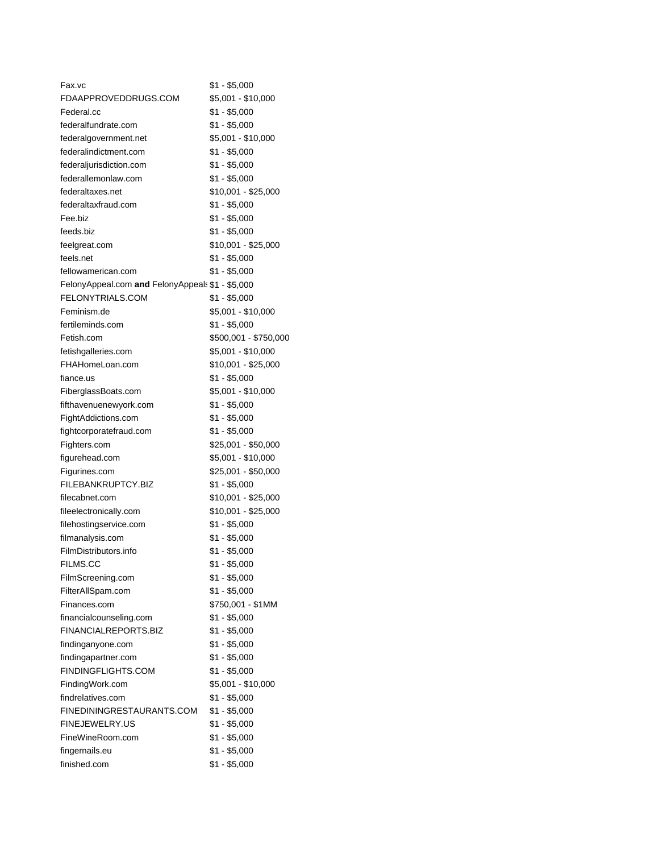| Fax.vc                                           | \$1 - \$5,000                  |
|--------------------------------------------------|--------------------------------|
| FDAAPPROVEDDRUGS.COM                             | \$5,001 - \$10,000             |
| Federal.cc                                       | $$1 - $5,000$                  |
| federalfundrate.com                              | \$1 - \$5,000                  |
| federalgovernment.net                            | \$5,001 - \$10,000             |
| federalindictment.com                            | $$1 - $5,000$                  |
| federaljurisdiction.com                          | $$1 - $5,000$                  |
| federallemonlaw.com                              | \$1 - \$5,000                  |
| federaltaxes.net                                 | \$10,001 - \$25,000            |
| federaltaxfraud.com                              | \$1 - \$5,000                  |
| Fee.biz                                          | $$1 - $5,000$                  |
| feeds.biz                                        | $$1 - $5,000$                  |
| feelgreat.com                                    | \$10,001 - \$25,000            |
| feels.net                                        | \$1 - \$5,000                  |
| fellowamerican.com                               | $$1 - $5,000$                  |
| FelonyAppeal.com and FelonyAppeals \$1 - \$5,000 |                                |
| FELONYTRIALS.COM                                 | $$1 - $5,000$                  |
| Feminism.de                                      | \$5,001 - \$10,000             |
| fertileminds.com                                 | \$1 - \$5,000                  |
| Fetish.com                                       | \$500,001 - \$750,000          |
| fetishgalleries.com                              | \$5,001 - \$10,000             |
| FHAHomeLoan.com                                  | $$10,001 - $25,000$            |
| fiance.us                                        | $$1 - $5,000$                  |
| FiberglassBoats.com                              | \$5,001 - \$10,000             |
| fifthavenuenewyork.com                           | \$1 - \$5,000                  |
| FightAddictions.com                              | $$1 - $5,000$                  |
| fightcorporatefraud.com                          | $$1 - $5,000$                  |
| Fighters.com                                     | \$25,001 - \$50,000            |
| figurehead.com                                   | \$5,001 - \$10,000             |
| Figurines.com                                    | \$25,001 - \$50,000            |
| FILEBANKRUPTCY.BIZ                               | $$1 - $5,000$                  |
| filecabnet.com                                   | \$10,001 - \$25,000            |
| fileelectronically.com                           | \$10,001 - \$25,000            |
| filehostingservice.com                           | \$1 - \$5,000                  |
| filmanalysis.com                                 | $$1 - $5,000$                  |
| FilmDistributors.info                            | $$1 - $5,000$                  |
|                                                  |                                |
| <b>FILMS.CC</b>                                  | \$1 - \$5,000                  |
| FilmScreening.com                                | \$1 - \$5,000<br>$$1 - $5,000$ |
| FilterAllSpam.com<br>Finances.com                |                                |
|                                                  | \$750,001 - \$1MM              |
| financialcounseling.com                          | $$1 - $5,000$<br>$$1 - $5,000$ |
| FINANCIALREPORTS.BIZ                             |                                |
| findinganyone.com                                | $$1 - $5,000$                  |
| findingapartner.com                              | $$1 - $5,000$                  |
| FINDINGFLIGHTS.COM                               | $$1 - $5,000$                  |
| FindingWork.com                                  | \$5,001 - \$10,000             |
| findrelatives.com                                | $$1 - $5,000$                  |
| FINEDININGRESTAURANTS.COM                        | $$1 - $5,000$                  |
| <b>FINEJEWELRY.US</b>                            | $$1 - $5,000$                  |
| FineWineRoom.com                                 | $$1 - $5,000$                  |
| fingernails.eu                                   | $$1 - $5,000$                  |
| finished.com                                     | $$1 - $5,000$                  |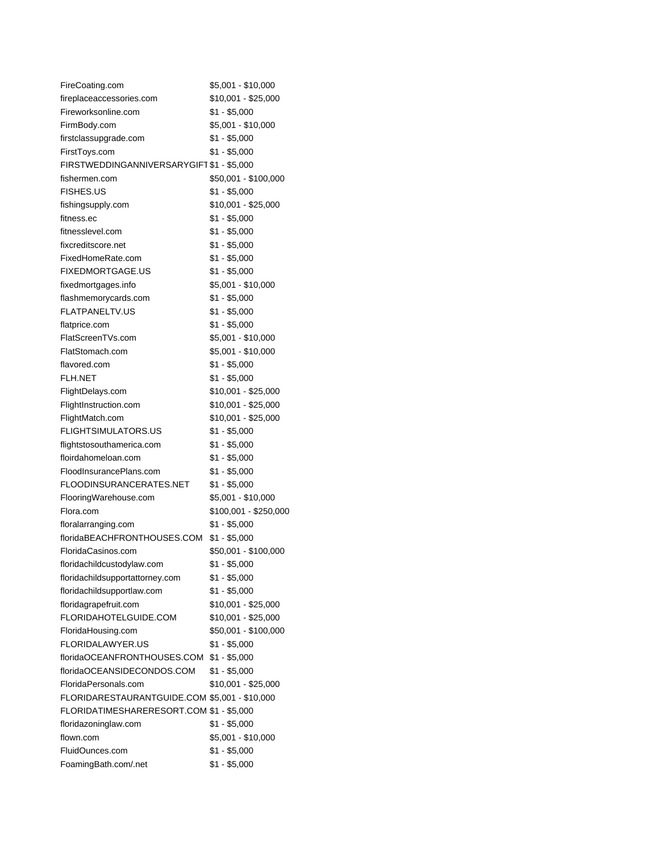| FireCoating.com                               | \$5,001 - \$10,000    |
|-----------------------------------------------|-----------------------|
| fireplaceaccessories.com                      | \$10,001 - \$25,000   |
| Fireworksonline.com                           | $$1 - $5,000$         |
| FirmBody.com                                  | \$5,001 - \$10,000    |
| firstclassupgrade.com                         | $$1 - $5,000$         |
| FirstToys.com                                 | $$1 - $5,000$         |
| FIRSTWEDDINGANNIVERSARYGIFT \$1 - \$5,000     |                       |
| fishermen.com                                 | \$50,001 - \$100,000  |
| <b>FISHES.US</b>                              | $$1 - $5,000$         |
| fishingsupply.com                             | \$10,001 - \$25,000   |
| fitness.ec                                    | $$1 - $5,000$         |
| fitnesslevel.com                              | $$1 - $5,000$         |
| fixcreditscore.net                            | $$1 - $5,000$         |
| FixedHomeRate.com                             | $$1 - $5,000$         |
| <b>FIXEDMORTGAGE.US</b>                       | $$1 - $5,000$         |
| fixedmortgages.info                           | \$5,001 - \$10,000    |
| flashmemorycards.com                          | $$1 - $5,000$         |
| <b>FLATPANELTV.US</b>                         | $$1 - $5,000$         |
| flatprice.com                                 | $$1 - $5,000$         |
| FlatScreenTVs.com                             | \$5,001 - \$10,000    |
| FlatStomach.com                               | \$5,001 - \$10,000    |
| flavored.com                                  | $$1 - $5,000$         |
| <b>FLH.NET</b>                                | $$1 - $5,000$         |
| FlightDelays.com                              | \$10,001 - \$25,000   |
| FlightInstruction.com                         | $$10,001 - $25,000$   |
| FlightMatch.com                               | \$10,001 - \$25,000   |
| <b>FLIGHTSIMULATORS.US</b>                    | $$1 - $5,000$         |
| flightstosouthamerica.com                     | \$1 - \$5,000         |
| floirdahomeloan.com                           | \$1 - \$5,000         |
| FloodInsurancePlans.com                       | $$1 - $5,000$         |
| FLOODINSURANCERATES.NET                       | $$1 - $5,000$         |
| FlooringWarehouse.com                         | \$5,001 - \$10,000    |
| Flora.com                                     | \$100,001 - \$250,000 |
| floralarranging.com                           | $$1 - $5,000$         |
| floridaBEACHFRONTHOUSES.COM                   | $$1 - $5,000$         |
| FloridaCasinos.com                            | \$50,001 - \$100,000  |
| floridachildcustodylaw.com                    | $$1 - $5,000$         |
| floridachildsupportattorney.com               | \$1 - \$5,000         |
| floridachildsupportlaw.com                    | $$1 - $5,000$         |
| floridagrapefruit.com                         | \$10,001 - \$25,000   |
| FLORIDAHOTELGUIDE.COM                         | \$10,001 - \$25,000   |
| FloridaHousing.com                            | \$50,001 - \$100,000  |
| <b>FLORIDALAWYER.US</b>                       | $$1 - $5,000$         |
| floridaOCEANFRONTHOUSES.COM                   | $$1 - $5,000$         |
| floridaOCEANSIDECONDOS.COM                    | $$1 - $5,000$         |
| FloridaPersonals.com                          | \$10,001 - \$25,000   |
|                                               |                       |
| FLORIDARESTAURANTGUIDE.COM \$5,001 - \$10,000 |                       |
| FLORIDATIMESHARERESORT.COM \$1 - \$5,000      |                       |
| floridazoninglaw.com                          | $$1 - $5,000$         |
| flown.com                                     | \$5,001 - \$10,000    |
| FluidOunces.com                               | $$1 - $5,000$         |
| FoamingBath.com/.net                          | $$1 - $5,000$         |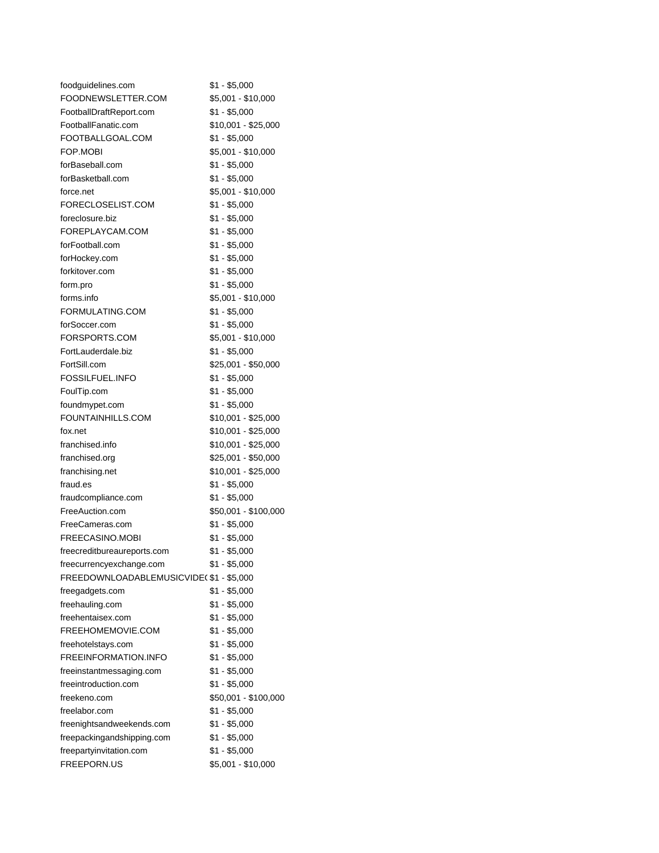| foodguidelines.com                      | \$1 - \$5,000        |
|-----------------------------------------|----------------------|
| FOODNEWSLETTER.COM                      | \$5,001 - \$10,000   |
| FootballDraftReport.com                 | \$1 - \$5,000        |
| FootballFanatic.com                     | \$10,001 - \$25,000  |
| FOOTBALLGOAL.COM                        | $$1 - $5,000$        |
| FOP.MOBI                                | \$5,001 - \$10,000   |
| forBaseball.com                         | \$1 - \$5,000        |
| forBasketball.com                       | \$1 - \$5,000        |
| force.net                               | \$5,001 - \$10,000   |
| FORECLOSELIST.COM                       | \$1 - \$5,000        |
| foreclosure.biz                         | $$1 - $5,000$        |
| FOREPLAYCAM.COM                         | $$1 - $5,000$        |
| forFootball.com                         | $$1 - $5,000$        |
| forHockey.com                           | $$1 - $5,000$        |
| forkitover.com                          | $$1 - $5,000$        |
| form.pro                                | \$1 - \$5,000        |
| forms.info                              | $$5,001 - $10,000$   |
| FORMULATING.COM                         | $$1 - $5,000$        |
| forSoccer.com                           | $$1 - $5,000$        |
| FORSPORTS.COM                           | \$5,001 - \$10,000   |
| FortLauderdale.biz                      | $$1 - $5,000$        |
| FortSill.com                            | \$25,001 - \$50,000  |
| FOSSILFUEL.INFO                         | $$1 - $5,000$        |
| FoulTip.com                             | \$1 - \$5,000        |
| foundmypet.com                          | $$1 - $5,000$        |
| FOUNTAINHILLS.COM                       | \$10,001 - \$25,000  |
| fox.net                                 | $$10,001 - $25,000$  |
| franchised.info                         | \$10,001 - \$25,000  |
| franchised.org                          | \$25,001 - \$50,000  |
| franchising.net                         | \$10,001 - \$25,000  |
| fraud.es                                | $$1 - $5,000$        |
| fraudcompliance.com                     | $$1 - $5,000$        |
| FreeAuction.com                         | \$50,001 - \$100,000 |
| FreeCameras.com                         | $$1 - $5,000$        |
| FREECASINO.MOBI                         | $$1 - $5,000$        |
| freecreditbureaureports.com             | $$1 - $5,000$        |
| freecurrencyexchange.com                | \$1 - \$5,000        |
| FREEDOWNLOADABLEMUSICVIDE(\$1 - \$5,000 |                      |
| freegadgets.com                         | $$1 - $5,000$        |
| freehauling.com                         | $$1 - $5,000$        |
| freehentaisex.com                       | \$1 - \$5,000        |
| FREEHOMEMOVIE.COM                       | $$1 - $5,000$        |
| freehotelstays.com                      | $$1 - $5,000$        |
| FREEINFORMATION.INFO                    | $$1 - $5,000$        |
| freeinstantmessaging.com                | $$1 - $5,000$        |
| freeintroduction.com                    | $$1 - $5,000$        |
| freekeno.com                            | \$50,001 - \$100,000 |
| freelabor.com                           | $$1 - $5,000$        |
| freenightsandweekends.com               | \$1 - \$5,000        |
| freepackingandshipping.com              | $$1 - $5,000$        |
| freepartyinvitation.com                 | $$1 - $5,000$        |
| FREEPORN.US                             | \$5,001 - \$10,000   |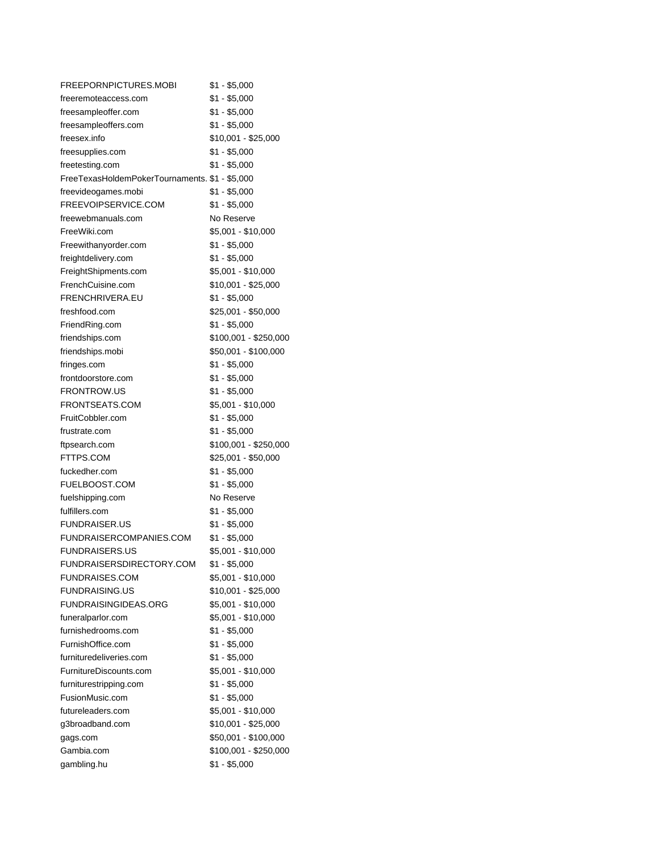| FREEPORNPICTURES.MOBI                          | $$1 - $5,000$         |
|------------------------------------------------|-----------------------|
| freeremoteaccess.com                           | $$1 - $5,000$         |
| freesampleoffer.com                            | $$1 - $5,000$         |
| freesampleoffers.com                           | \$1 - \$5,000         |
| freesex.info                                   | \$10,001 - \$25,000   |
| freesupplies.com                               | $$1 - $5,000$         |
| freetesting.com                                | $$1 - $5,000$         |
| FreeTexasHoldemPokerTournaments. \$1 - \$5,000 |                       |
| freevideogames.mobi                            | $$1 - $5,000$         |
| FREEVOIPSERVICE.COM                            | $$1 - $5,000$         |
| freewebmanuals.com                             | No Reserve            |
| FreeWiki.com                                   | \$5,001 - \$10,000    |
| Freewithanyorder.com                           | \$1 - \$5,000         |
| freightdelivery.com                            | $$1 - $5,000$         |
| FreightShipments.com                           | \$5,001 - \$10,000    |
| FrenchCuisine.com                              | \$10,001 - \$25,000   |
| FRENCHRIVERA.EU                                | $$1 - $5,000$         |
| freshfood.com                                  | \$25,001 - \$50,000   |
| FriendRing.com                                 | \$1 - \$5,000         |
| friendships.com                                | \$100,001 - \$250,000 |
| friendships.mobi                               | \$50,001 - \$100,000  |
| fringes.com                                    | $$1 - $5,000$         |
| frontdoorstore.com                             | $$1 - $5,000$         |
| <b>FRONTROW.US</b>                             | $$1 - $5,000$         |
| FRONTSEATS.COM                                 | \$5,001 - \$10,000    |
| FruitCobbler.com                               | $$1 - $5,000$         |
| frustrate.com                                  | $$1 - $5,000$         |
| ftpsearch.com                                  | \$100,001 - \$250,000 |
| FTTPS.COM                                      | \$25,001 - \$50,000   |
| fuckedher.com                                  | $$1 - $5,000$         |
| FUELBOOST.COM                                  | \$1 - \$5,000         |
| fuelshipping.com                               | No Reserve            |
| fulfillers.com                                 | \$1 - \$5,000         |
| <b>FUNDRAISER.US</b>                           | $$1 - $5,000$         |
| FUNDRAISERCOMPANIES.COM                        | $$1 - $5,000$         |
| <b>FUNDRAISERS.US</b>                          | \$5,001 - \$10,000    |
| FUNDRAISERSDIRECTORY.COM                       | $$1 - $5,000$         |
| <b>FUNDRAISES.COM</b>                          | \$5,001 - \$10,000    |
| <b>FUNDRAISING.US</b>                          | \$10,001 - \$25,000   |
| <b>FUNDRAISINGIDEAS.ORG</b>                    | \$5,001 - \$10,000    |
| funeralparlor.com                              | \$5,001 - \$10,000    |
| furnishedrooms.com                             | $$1 - $5,000$         |
| FurnishOffice.com                              | $$1 - $5,000$         |
| furnituredeliveries.com                        | $$1 - $5,000$         |
| FurnitureDiscounts.com                         | \$5,001 - \$10,000    |
| furniturestripping.com                         | $$1 - $5,000$         |
| FusionMusic.com                                | $$1 - $5,000$         |
| futureleaders.com                              | \$5,001 - \$10,000    |
| g3broadband.com                                | \$10,001 - \$25,000   |
| gags.com                                       | \$50,001 - \$100,000  |
| Gambia.com                                     | \$100,001 - \$250,000 |
| gambling.hu                                    | $$1 - $5,000$         |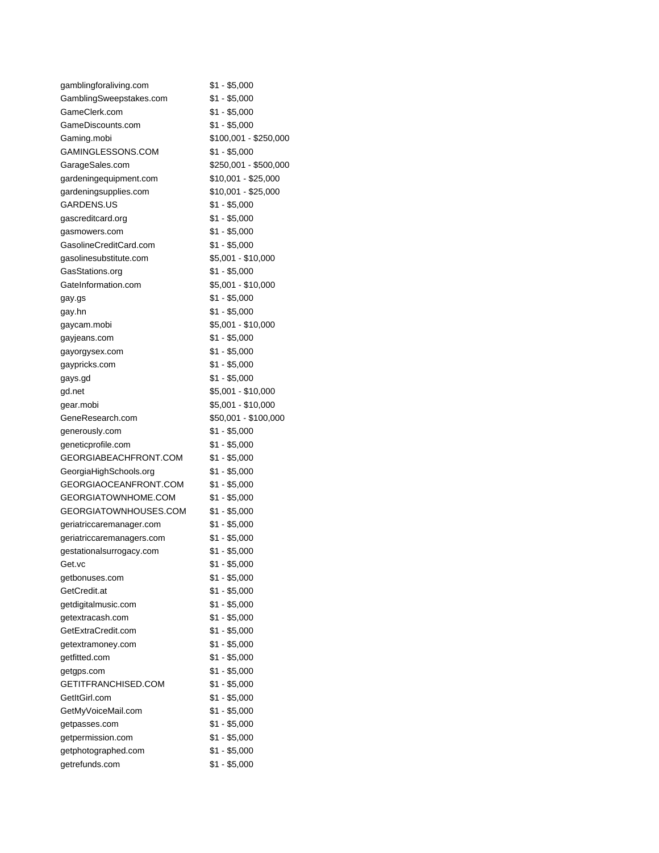| gamblingforaliving.com    | $$1 - $5,000$         |
|---------------------------|-----------------------|
| GamblingSweepstakes.com   | $$1 - $5,000$         |
| GameClerk.com             | $$1 - $5,000$         |
| GameDiscounts.com         | \$1 - \$5,000         |
| Gaming.mobi               | \$100,001 - \$250,000 |
| GAMINGLESSONS.COM         | $$1 - $5,000$         |
| GarageSales.com           | \$250,001 - \$500,000 |
| gardeningequipment.com    | \$10,001 - \$25,000   |
| gardeningsupplies.com     | \$10,001 - \$25,000   |
| GARDENS.US                | $$1 - $5,000$         |
| gascreditcard.org         | $$1 - $5,000$         |
| gasmowers.com             | $$1 - $5,000$         |
| GasolineCreditCard.com    | $$1 - $5,000$         |
| gasolinesubstitute.com    | $$5,001 - $10,000$    |
| GasStations.org           | $$1 - $5,000$         |
| GateInformation.com       | \$5,001 - \$10,000    |
| gay.gs                    | $$1 - $5,000$         |
| gay.hn                    | $$1 - $5,000$         |
| gaycam.mobi               | \$5,001 - \$10,000    |
| gayjeans.com              | $$1 - $5,000$         |
| gayorgysex.com            | $$1 - $5,000$         |
| gaypricks.com             | $$1 - $5,000$         |
| gays.gd                   | $$1 - $5,000$         |
| gd.net                    | \$5,001 - \$10,000    |
| gear.mobi                 | \$5,001 - \$10,000    |
| GeneResearch.com          | \$50,001 - \$100,000  |
| generously.com            | $$1 - $5,000$         |
| geneticprofile.com        | $$1 - $5,000$         |
| GEORGIABEACHFRONT.COM     | \$1 - \$5,000         |
| GeorgiaHighSchools.org    | $$1 - $5,000$         |
| GEORGIAOCEANFRONT.COM     | $$1 - $5,000$         |
| GEORGIATOWNHOME.COM       | $$1 - $5,000$         |
| GEORGIATOWNHOUSES.COM     | $$1 - $5,000$         |
| geriatriccaremanager.com  | $$1 - $5,000$         |
| geriatriccaremanagers.com | $$1 - $5,000$         |
| gestationalsurrogacy.com  | $$1 - $5,000$         |
| Get.vc                    | $$1 - $5,000$         |
| getbonuses.com            | $$1 - $5,000$         |
| GetCredit.at              | $$1 - $5,000$         |
| getdigitalmusic.com       | $$1 - $5,000$         |
| getextracash.com          | $$1 - $5,000$         |
| GetExtraCredit.com        | $$1 - $5,000$         |
| getextramoney.com         | $$1 - $5,000$         |
| getfitted.com             | $$1 - $5,000$         |
| getgps.com                | $$1 - $5,000$         |
| GETITFRANCHISED.COM       | $$1 - $5,000$         |
| GetItGirl.com             | $$1 - $5,000$         |
| GetMyVoiceMail.com        | $$1 - $5,000$         |
| getpasses.com             | $$1 - $5,000$         |
| getpermission.com         | $$1 - $5,000$         |
| getphotographed.com       | $$1 - $5,000$         |
| getrefunds.com            | $$1 - $5,000$         |
|                           |                       |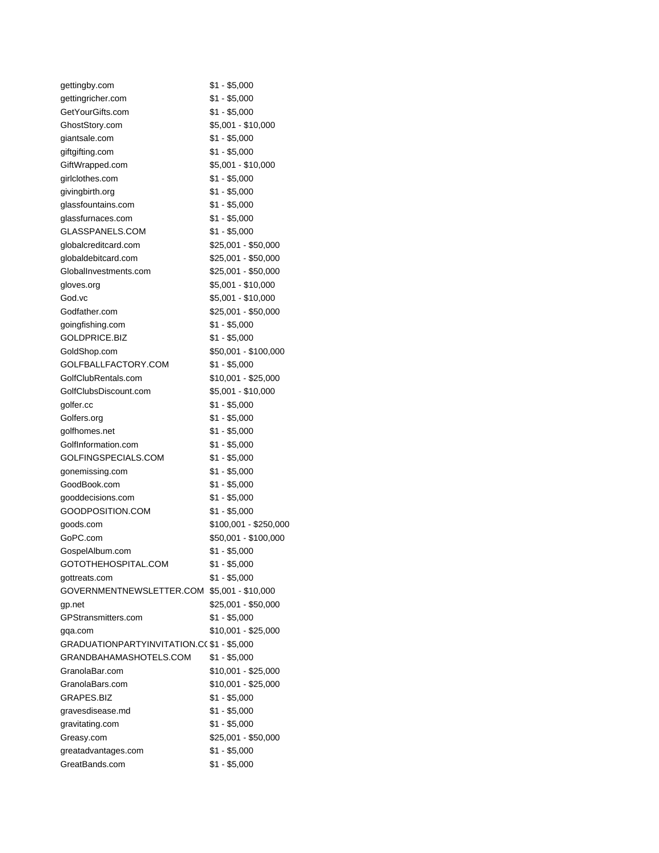| gettingby.com                              | \$1 - \$5,000         |
|--------------------------------------------|-----------------------|
| gettingricher.com                          | $$1 - $5,000$         |
| GetYourGifts.com                           | \$1 - \$5,000         |
| GhostStory.com                             | \$5,001 - \$10,000    |
| giantsale.com                              | $$1 - $5,000$         |
| giftgifting.com                            | \$1 - \$5,000         |
| GiftWrapped.com                            | \$5,001 - \$10,000    |
| girlclothes.com                            | $$1 - $5,000$         |
| givingbirth.org                            | $$1 - $5,000$         |
| glassfountains.com                         | \$1 - \$5,000         |
| glassfurnaces.com                          | $$1 - $5,000$         |
| GLASSPANELS.COM                            | $$1 - $5,000$         |
| globalcreditcard.com                       | \$25,001 - \$50,000   |
| globaldebitcard.com                        | \$25,001 - \$50,000   |
| GlobalInvestments.com                      | \$25,001 - \$50,000   |
|                                            | \$5,001 - \$10,000    |
| gloves.org                                 |                       |
| God.vc                                     | \$5,001 - \$10,000    |
| Godfather.com                              | \$25,001 - \$50,000   |
| goingfishing.com                           | \$1 - \$5,000         |
| GOLDPRICE.BIZ                              | \$1 - \$5,000         |
| GoldShop.com                               | \$50,001 - \$100,000  |
| GOLFBALLFACTORY.COM                        | \$1 - \$5,000         |
| GolfClubRentals.com                        | \$10,001 - \$25,000   |
| GolfClubsDiscount.com                      | \$5,001 - \$10,000    |
| golfer.cc                                  | $$1 - $5,000$         |
| Golfers.org                                | $$1 - $5,000$         |
| golfhomes.net                              | $$1 - $5,000$         |
| GolfInformation.com                        | \$1 - \$5,000         |
| GOLFINGSPECIALS.COM                        | \$1 - \$5,000         |
| gonemissing.com                            | $$1 - $5,000$         |
| GoodBook.com                               | $$1 - $5,000$         |
| gooddecisions.com                          | $$1 - $5,000$         |
| GOODPOSITION.COM                           | $$1 - $5,000$         |
| goods.com                                  | \$100,001 - \$250,000 |
| GoPC.com                                   | \$50,001 - \$100,000  |
| GospelAlbum.com                            | \$1 - \$5,000         |
| GOTOTHEHOSPITAL.COM                        | $$1 - $5,000$         |
| gottreats.com                              | $$1 - $5,000$         |
| GOVERNMENTNEWSLETTER.COM                   | $$5,001 - $10,000$    |
| gp.net                                     | \$25,001 - \$50,000   |
| GPStransmitters.com                        | $$1 - $5,000$         |
| gga.com                                    | \$10,001 - \$25,000   |
| GRADUATIONPARTYINVITATION.CC \$1 - \$5,000 |                       |
| GRANDBAHAMASHOTELS.COM                     | \$1 - \$5,000         |
| GranolaBar.com                             | \$10,001 - \$25,000   |
| GranolaBars.com                            | \$10,001 - \$25,000   |
| <b>GRAPES.BIZ</b>                          | \$1 - \$5,000         |
| gravesdisease.md                           | \$1 - \$5,000         |
| gravitating.com                            | $$1 - $5,000$         |
|                                            |                       |
| Greasy.com                                 | \$25,001 - \$50,000   |
| greatadvantages.com                        | $$1 - $5,000$         |
| GreatBands.com                             | $$1 - $5,000$         |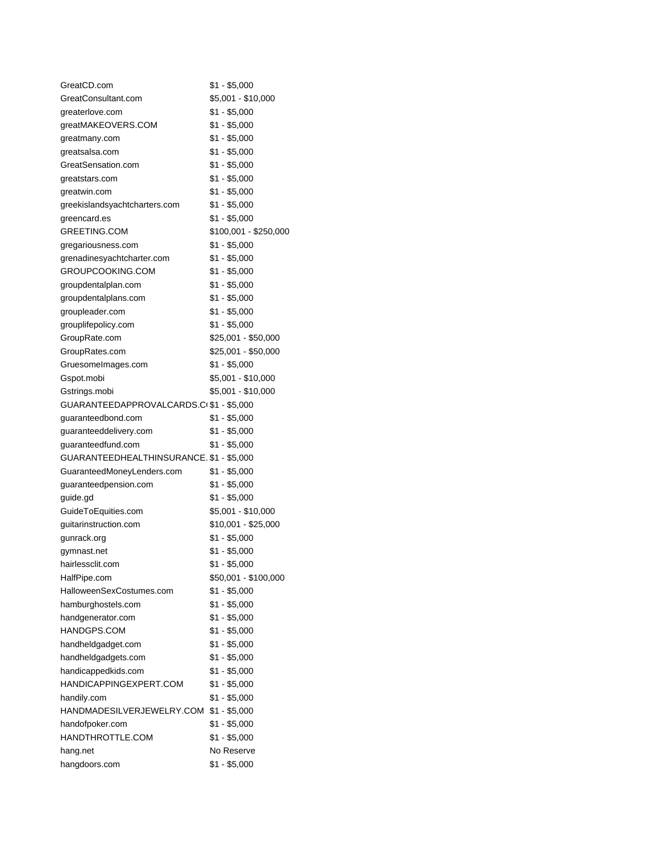| GreatCD.com                              | $$1 - $5,000$         |
|------------------------------------------|-----------------------|
| GreatConsultant.com                      | \$5,001 - \$10,000    |
| greaterlove.com                          | \$1 - \$5,000         |
| greatMAKEOVERS.COM                       | \$1 - \$5,000         |
| greatmany.com                            | $$1 - $5,000$         |
| greatsalsa.com                           | $$1 - $5,000$         |
| GreatSensation.com                       | \$1 - \$5,000         |
| greatstars.com                           | \$1 - \$5,000         |
| greatwin.com                             | $$1 - $5,000$         |
| greekislandsyachtcharters.com            | $$1 - $5,000$         |
| greencard.es                             | \$1 - \$5,000         |
| GREETING.COM                             | \$100,001 - \$250,000 |
| gregariousness.com                       | \$1 - \$5,000         |
| grenadinesyachtcharter.com               | $$1 - $5,000$         |
| GROUPCOOKING.COM                         | $$1 - $5,000$         |
| groupdentalplan.com                      | $$1 - $5,000$         |
| groupdentalplans.com                     | $$1 - $5,000$         |
| groupleader.com                          | $$1 - $5,000$         |
| grouplifepolicy.com                      | \$1 - \$5,000         |
| GroupRate.com                            | $$25,001 - $50,000$   |
| GroupRates.com                           | $$25,001 - $50,000$   |
| GruesomeImages.com                       | \$1 - \$5,000         |
| Gspot.mobi                               | \$5,001 - \$10,000    |
| Gstrings.mobi                            | \$5,001 - \$10,000    |
| GUARANTEEDAPPROVALCARDS.C(\$1 - \$5,000  |                       |
| guaranteedbond.com                       | $$1 - $5,000$         |
| guaranteeddelivery.com                   | $$1 - $5,000$         |
| guaranteedfund.com                       | \$1 - \$5,000         |
| GUARANTEEDHEALTHINSURANCE. \$1 - \$5,000 |                       |
| GuaranteedMoneyLenders.com               | $$1 - $5,000$         |
| guaranteedpension.com                    | $$1 - $5,000$         |
| guide.gd                                 | $$1 - $5,000$         |
| GuideToEquities.com                      | \$5,001 - \$10,000    |
| quitarinstruction.com                    | $$10,001 - $25,000$   |
| gunrack.org                              | $$1 - $5,000$         |
| gymnast.net                              | $$1 - $5,000$         |
| hairlessclit.com                         | $$1 - $5,000$         |
| HalfPipe.com                             | \$50,001 - \$100,000  |
| HalloweenSexCostumes.com                 | $$1 - $5,000$         |
| hamburghostels.com                       | $$1 - $5,000$         |
| handgenerator.com                        | $$1 - $5,000$         |
| HANDGPS.COM                              | $$1 - $5,000$         |
| handheldgadget.com                       | $$1 - $5,000$         |
| handheldgadgets.com                      | $$1 - $5,000$         |
| handicappedkids.com                      | $$1 - $5,000$         |
| HANDICAPPINGEXPERT.COM                   | $$1 - $5,000$         |
| handily.com                              | $$1 - $5,000$         |
| HANDMADESILVERJEWELRY.COM                | $$1 - $5,000$         |
| handofpoker.com                          | $$1 - $5,000$         |
| HANDTHROTTLE.COM                         | \$1 - \$5,000         |
| hang.net                                 | No Reserve            |
| hangdoors.com                            | $$1 - $5,000$         |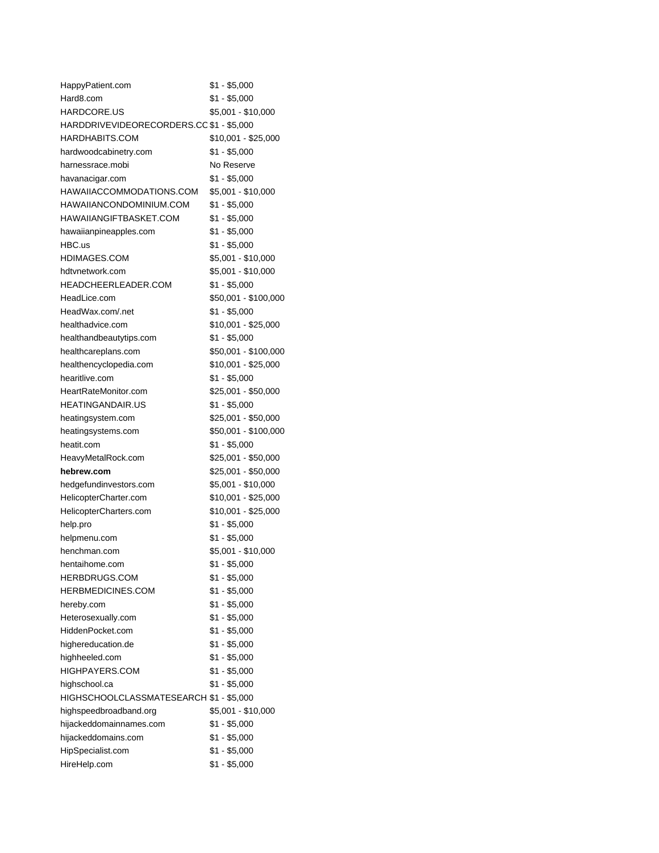| HappyPatient.com                         | \$1 - \$5,000        |
|------------------------------------------|----------------------|
| Hard8.com                                | $$1 - $5,000$        |
| HARDCORE.US                              | \$5,001 - \$10,000   |
| HARDDRIVEVIDEORECORDERS.CC \$1 - \$5,000 |                      |
| HARDHABITS.COM                           | \$10,001 - \$25,000  |
| hardwoodcabinetry.com                    | $$1 - $5,000$        |
| harnessrace.mobi                         | No Reserve           |
| havanacigar.com                          | \$1 - \$5,000        |
| HAWAIIACCOMMODATIONS.COM                 | \$5,001 - \$10,000   |
| HAWAIIANCONDOMINIUM.COM                  | $$1 - $5,000$        |
| HAWAIIANGIFTBASKET.COM                   | $$1 - $5,000$        |
| hawaiianpineapples.com                   | \$1 - \$5,000        |
| HBC.us                                   | $$1 - $5,000$        |
| HDIMAGES.COM                             | \$5,001 - \$10,000   |
| hdtvnetwork.com                          | \$5,001 - \$10,000   |
| HEADCHEERLEADER.COM                      | $$1 - $5,000$        |
| HeadLice.com                             | \$50,001 - \$100,000 |
| HeadWax.com/.net                         | \$1 - \$5,000        |
| healthadvice.com                         | \$10,001 - \$25,000  |
| healthandbeautytips.com                  | \$1 - \$5,000        |
| healthcareplans.com                      | \$50,001 - \$100,000 |
| healthencyclopedia.com                   | \$10,001 - \$25,000  |
| hearitlive.com                           | $$1 - $5,000$        |
| HeartRateMonitor.com                     | \$25,001 - \$50,000  |
| <b>HEATINGANDAIR.US</b>                  | $$1 - $5,000$        |
| heatingsystem.com                        | \$25,001 - \$50,000  |
| heatingsystems.com                       | \$50,001 - \$100,000 |
| heatit.com                               | $$1 - $5,000$        |
| HeavyMetalRock.com                       | \$25,001 - \$50,000  |
| hebrew.com                               | \$25,001 - \$50,000  |
| hedgefundinvestors.com                   | \$5,001 - \$10,000   |
| HelicopterCharter.com                    | \$10,001 - \$25,000  |
| HelicopterCharters.com                   | \$10,001 - \$25,000  |
| help.pro                                 | $$1 - $5,000$        |
| helpmenu.com                             | $$1 - $5,000$        |
| henchman.com                             | \$5,001 - \$10,000   |
| hentaihome.com                           | $$1 - $5,000$        |
| HERBDRUGS.COM                            | $$1 - $5,000$        |
| <b>HERBMEDICINES.COM</b>                 | $$1 - $5,000$        |
| hereby.com                               | $$1 - $5,000$        |
| Heterosexually.com                       | $$1 - $5,000$        |
| HiddenPocket.com                         | $$1 - $5,000$        |
| highereducation.de                       | $$1 - $5,000$        |
| highheeled.com                           | $$1 - $5,000$        |
| HIGHPAYERS.COM                           | $$1 - $5,000$        |
| highschool.ca                            | $$1 - $5,000$        |
| HIGHSCHOOLCLASSMATESEARCH \$1 - \$5,000  |                      |
| highspeedbroadband.org                   | \$5,001 - \$10,000   |
| hijackeddomainnames.com                  | $$1 - $5,000$        |
| hijackeddomains.com                      | $$1 - $5,000$        |
| HipSpecialist.com                        | $$1 - $5,000$        |
| HireHelp.com                             | $$1 - $5,000$        |
|                                          |                      |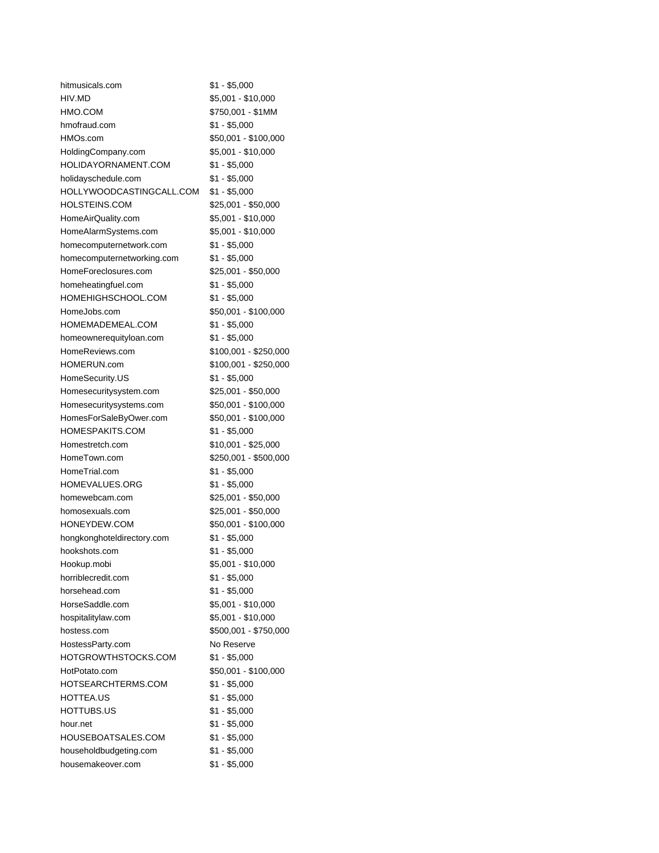| hitmusicals.com            | $$1 - $5,000$         |
|----------------------------|-----------------------|
| HIV.MD                     | \$5,001 - \$10,000    |
| HMO.COM                    | \$750,001 - \$1MM     |
| hmofraud.com               | $$1 - $5,000$         |
| HMOs.com                   | \$50,001 - \$100,000  |
| HoldingCompany.com         | \$5,001 - \$10,000    |
| HOLIDAYORNAMENT.COM        | $$1 - $5,000$         |
| holidayschedule.com        | $$1 - $5,000$         |
| HOLLYWOODCASTINGCALL.COM   | $$1 - $5,000$         |
| HOLSTEINS.COM              | \$25,001 - \$50,000   |
| HomeAirQuality.com         | \$5,001 - \$10,000    |
| HomeAlarmSystems.com       | \$5,001 - \$10,000    |
| homecomputernetwork.com    | $$1 - $5,000$         |
| homecomputernetworking.com | $$1 - $5,000$         |
| HomeForeclosures.com       | \$25,001 - \$50,000   |
| homeheatingfuel.com        | $$1 - $5,000$         |
| HOMEHIGHSCHOOL.COM         | $$1 - $5,000$         |
| HomeJobs.com               | \$50,001 - \$100,000  |
| HOMEMADEMEAL.COM           | $$1 - $5,000$         |
| homeownerequityloan.com    | $$1 - $5,000$         |
| HomeReviews.com            | \$100,001 - \$250,000 |
| HOMERUN.com                | \$100,001 - \$250,000 |
| HomeSecurity.US            | $$1 - $5,000$         |
| Homesecuritysystem.com     | \$25,001 - \$50,000   |
| Homesecuritysystems.com    | \$50,001 - \$100,000  |
| HomesForSaleByOwer.com     | \$50,001 - \$100,000  |
| HOMESPAKITS.COM            | $$1 - $5,000$         |
| Homestretch.com            | \$10,001 - \$25,000   |
| HomeTown.com               | \$250,001 - \$500,000 |
| HomeTrial.com              | $$1 - $5,000$         |
| HOMEVALUES.ORG             | $$1 - $5,000$         |
| homewebcam.com             | \$25,001 - \$50,000   |
| homosexuals.com            | \$25,001 - \$50,000   |
| HONEYDEW.COM               | \$50,001 - \$100,000  |
| hongkonghoteldirectory.com | $$1 - $5,000$         |
| hookshots.com              | $$1 - $5,000$         |
| Hookup.mobi                | \$5,001 - \$10,000    |
| horriblecredit.com         | $$1 - $5,000$         |
| horsehead.com              | $$1 - $5,000$         |
| HorseSaddle.com            | \$5,001 - \$10,000    |
| hospitalitylaw.com         | \$5,001 - \$10,000    |
| hostess.com                | \$500,001 - \$750,000 |
| HostessParty.com           | No Reserve            |
| HOTGROWTHSTOCKS.COM        | $$1 - $5,000$         |
| HotPotato.com              | \$50,001 - \$100,000  |
| HOTSEARCHTERMS.COM         | $$1 - $5,000$         |
| HOTTEA.US                  | $$1 - $5,000$         |
|                            |                       |
| HOTTUBS.US                 | $$1 - $5,000$         |
| hour.net                   | $$1 - $5,000$         |
| HOUSEBOATSALES.COM         | $$1 - $5,000$         |
| householdbudgeting.com     | $$1 - $5,000$         |
| housemakeover.com          | $$1 - $5,000$         |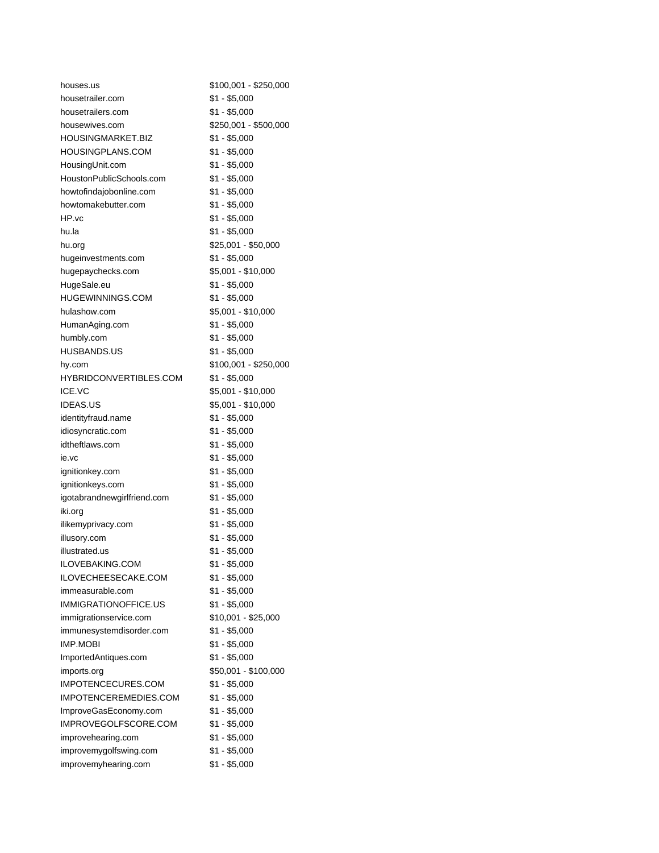| houses.us                   | \$100,001 - \$250,000 |
|-----------------------------|-----------------------|
| housetrailer.com            | $$1 - $5,000$         |
| housetrailers.com           | \$1 - \$5,000         |
| housewives.com              | \$250,001 - \$500,000 |
| <b>HOUSINGMARKET.BIZ</b>    | \$1 - \$5,000         |
| <b>HOUSINGPLANS.COM</b>     | $$1 - $5,000$         |
| HousingUnit.com             | $$1 - $5,000$         |
| HoustonPublicSchools.com    | $$1 - $5,000$         |
| howtofindajobonline.com     | \$1 - \$5,000         |
| howtomakebutter.com         | $$1 - $5,000$         |
| HP.vc                       | \$1 - \$5,000         |
| hu.la                       | $$1 - $5,000$         |
| hu.org                      | \$25,001 - \$50,000   |
| hugeinvestments.com         | \$1 - \$5,000         |
| hugepaychecks.com           | \$5,001 - \$10,000    |
| HugeSale.eu                 | $$1 - $5,000$         |
| <b>HUGEWINNINGS.COM</b>     | $$1 - $5,000$         |
| hulashow.com                | $$5,001 - $10,000$    |
| HumanAging.com              | $$1 - $5,000$         |
| humbly.com                  | $$1 - $5,000$         |
| <b>HUSBANDS.US</b>          | \$1 - \$5,000         |
| hy.com                      | \$100,001 - \$250,000 |
| HYBRIDCONVERTIBLES.COM      | $$1 - $5,000$         |
| ICE.VC                      | \$5,001 - \$10,000    |
| <b>IDEAS.US</b>             | \$5,001 - \$10,000    |
| identityfraud.name          | \$1 - \$5,000         |
| idiosyncratic.com           | $$1 - $5,000$         |
| idtheftlaws.com             | $$1 - $5,000$         |
| ie.vc                       | \$1 - \$5,000         |
| ignitionkey.com             | \$1 - \$5,000         |
| ignitionkeys.com            | \$1 - \$5,000         |
| igotabrandnewgirlfriend.com | $$1 - $5,000$         |
| iki.org                     | $$1 - $5,000$         |
| ilikemyprivacy.com          | $$1 - $5,000$         |
| illusory.com                | $$1 - $5,000$         |
| illustrated.us              | $$1 - $5,000$         |
| ILOVEBAKING.COM             | $$1 - $5,000$         |
| ILOVECHEESECAKE.COM         | \$1 - \$5,000         |
| immeasurable.com            | $$1 - $5,000$         |
| <b>IMMIGRATIONOFFICE.US</b> | $$1 - $5,000$         |
| immigrationservice.com      | \$10,001 - \$25,000   |
| immunesystemdisorder.com    | $$1 - $5,000$         |
| <b>IMP.MOBI</b>             | $$1 - $5,000$         |
| ImportedAntiques.com        | $$1 - $5,000$         |
| imports.org                 | \$50,001 - \$100,000  |
| IMPOTENCECURES.COM          | $$1 - $5,000$         |
| IMPOTENCEREMEDIES.COM       | $$1 - $5,000$         |
| ImproveGasEconomy.com       | $$1 - $5,000$         |
| IMPROVEGOLFSCORE.COM        | $$1 - $5,000$         |
| improvehearing.com          | $$1 - $5,000$         |
| improvemygolfswing.com      | $$1 - $5,000$         |
| improvemyhearing.com        | $$1 - $5,000$         |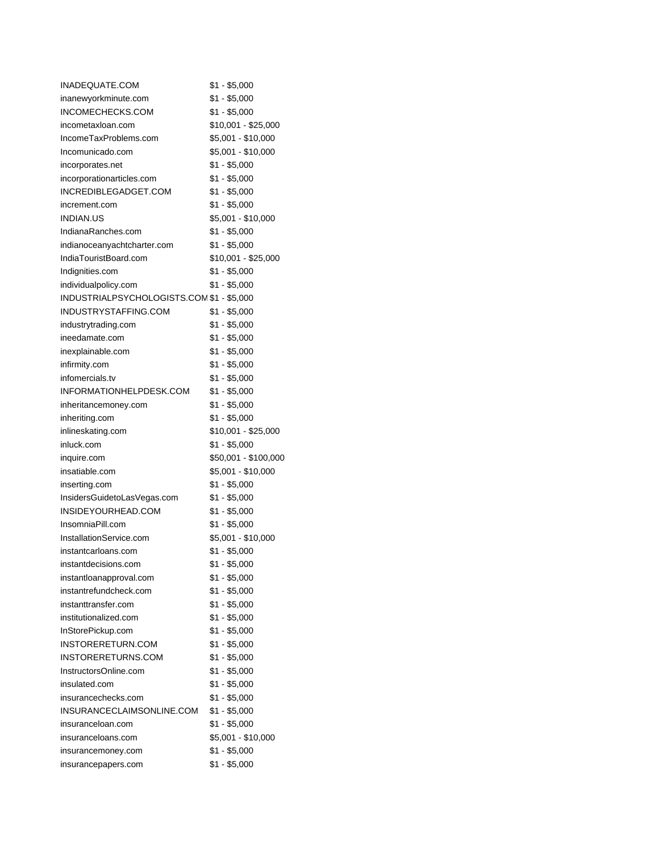| INADEQUATE.COM                            | $$1 - $5,000$        |
|-------------------------------------------|----------------------|
| inanewyorkminute.com                      | $$1 - $5,000$        |
| INCOMECHECKS.COM                          | $$1 - $5,000$        |
| incometaxloan.com                         | $$10,001 - $25,000$  |
| IncomeTaxProblems.com                     | \$5,001 - \$10,000   |
| Incomunicado.com                          | \$5,001 - \$10,000   |
| incorporates.net                          | $$1 - $5,000$        |
| incorporationarticles.com                 | $$1 - $5,000$        |
| INCREDIBLEGADGET.COM                      | $$1 - $5,000$        |
| increment.com                             | $$1 - $5,000$        |
| INDIAN.US                                 | \$5,001 - \$10,000   |
| IndianaRanches.com                        | \$1 - \$5,000        |
| indianoceanyachtcharter.com               | \$1 - \$5,000        |
| IndiaTouristBoard.com                     | \$10,001 - \$25,000  |
| Indignities.com                           | $$1 - $5,000$        |
| individualpolicy.com                      | $$1 - $5,000$        |
| INDUSTRIALPSYCHOLOGISTS.COM \$1 - \$5,000 |                      |
| INDUSTRYSTAFFING.COM                      | $$1 - $5,000$        |
| industrytrading.com                       | $$1 - $5,000$        |
| ineedamate.com                            | $$1 - $5,000$        |
| inexplainable.com                         | $$1 - $5,000$        |
| infirmity.com                             | $$1 - $5,000$        |
| infomercials.tv                           | $$1 - $5,000$        |
| INFORMATIONHELPDESK.COM                   | $$1 - $5,000$        |
| inheritancemoney.com                      | $$1 - $5,000$        |
| inheriting.com                            | $$1 - $5,000$        |
| inlineskating.com                         | $$10,001 - $25,000$  |
| inluck.com                                | $$1 - $5,000$        |
| inquire.com                               | \$50,001 - \$100,000 |
| insatiable.com                            | \$5,001 - \$10,000   |
| inserting.com                             | $$1 - $5,000$        |
| InsidersGuidetoLasVegas.com               | $$1 - $5,000$        |
| INSIDEYOURHEAD.COM                        | $$1 - $5,000$        |
| InsomniaPill.com                          | $$1 - $5,000$        |
| InstallationService.com                   | $$5,001 - $10,000$   |
| instantcarloans.com                       | $$1 - $5,000$        |
| instantdecisions.com                      | $$1 - $5,000$        |
| instantloanapproval.com                   | $$1 - $5,000$        |
| instantrefundcheck.com                    | $$1 - $5,000$        |
| instanttransfer.com                       | $$1 - $5,000$        |
| institutionalized.com                     | $$1 - $5,000$        |
| InStorePickup.com                         | $$1 - $5,000$        |
| INSTORERETURN.COM                         | $$1 - $5,000$        |
| INSTORERETURNS.COM                        | $$1 - $5,000$        |
| InstructorsOnline.com                     | $$1 - $5,000$        |
| insulated.com                             | $$1 - $5,000$        |
| insurancechecks.com                       | $$1 - $5,000$        |
| INSURANCECLAIMSONLINE.COM                 | $$1 - $5,000$        |
| insuranceloan.com                         | $$1 - $5,000$        |
| insuranceloans.com                        | \$5,001 - \$10,000   |
| insurancemoney.com                        | $$1 - $5,000$        |
|                                           |                      |
| insurancepapers.com                       | $$1 - $5,000$        |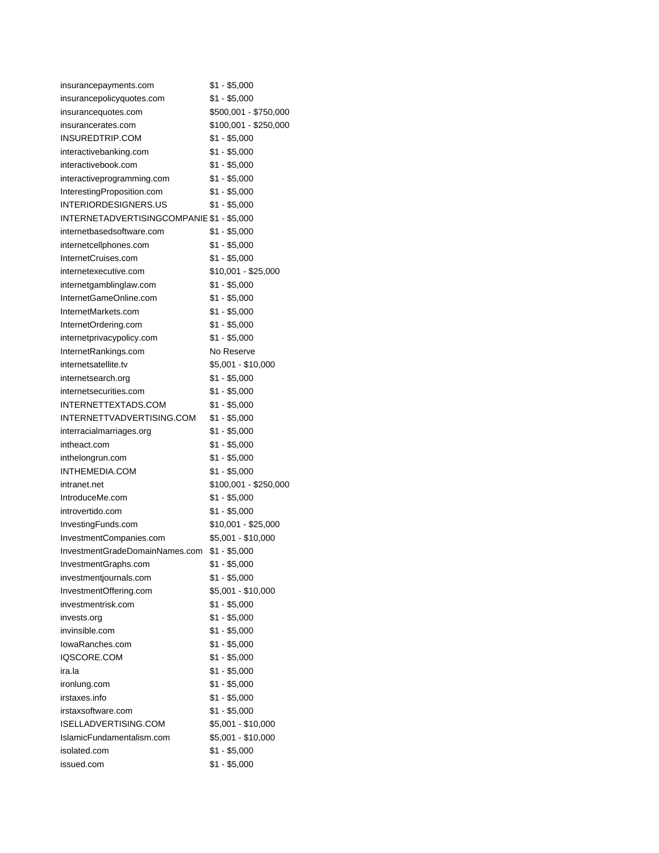| insurancepayments.com                     | \$1 - \$5,000         |
|-------------------------------------------|-----------------------|
| insurancepolicyquotes.com                 | $$1 - $5,000$         |
| insurancequotes.com                       | \$500,001 - \$750,000 |
| insurancerates.com                        | \$100,001 - \$250,000 |
| INSUREDTRIP.COM                           | $$1 - $5,000$         |
| interactivebanking.com                    | $$1 - $5,000$         |
| interactivebook.com                       | \$1 - \$5,000         |
| interactiveprogramming.com                | \$1 - \$5,000         |
| InterestingProposition.com                | $$1 - $5,000$         |
| <b>INTERIORDESIGNERS.US</b>               | $$1 - $5,000$         |
| INTERNETADVERTISINGCOMPANIE \$1 - \$5,000 |                       |
| internetbasedsoftware.com                 | \$1 - \$5,000         |
| internetcellphones.com                    | $$1 - $5,000$         |
| InternetCruises.com                       | $$1 - $5,000$         |
| internetexecutive.com                     | \$10,001 - \$25,000   |
| internetgamblinglaw.com                   | $$1 - $5,000$         |
| InternetGameOnline.com                    | $$1 - $5,000$         |
| InternetMarkets.com                       | $$1 - $5,000$         |
| InternetOrdering.com                      | \$1 - \$5,000         |
| internetprivacypolicy.com                 | \$1 - \$5,000         |
| InternetRankings.com                      | No Reserve            |
| internetsatellite.tv                      | \$5,001 - \$10,000    |
| internetsearch.org                        | $$1 - $5,000$         |
| internetsecurities.com                    | $$1 - $5,000$         |
| INTERNETTEXTADS.COM                       | $$1 - $5,000$         |
| INTERNETTVADVERTISING.COM                 | $$1 - $5,000$         |
| interracialmarriages.org                  | $$1 - $5,000$         |
| intheact.com                              | \$1 - \$5,000         |
| inthelongrun.com                          | \$1 - \$5,000         |
| INTHEMEDIA.COM                            | $$1 - $5,000$         |
| intranet.net                              | \$100,001 - \$250,000 |
| IntroduceMe.com                           | $$1 - $5,000$         |
| introvertido.com                          | $$1 - $5,000$         |
| InvestingFunds.com                        | \$10,001 - \$25,000   |
| InvestmentCompanies.com                   | \$5,001 - \$10,000    |
| InvestmentGradeDomainNames.com            | $$1 - $5,000$         |
| InvestmentGraphs.com                      | $$1 - $5,000$         |
| investmentjournals.com                    | $$1 - $5,000$         |
| InvestmentOffering.com                    | \$5,001 - \$10,000    |
| investmentrisk.com                        | $$1 - $5,000$         |
| invests.org                               | $$1 - $5,000$         |
| invinsible.com                            | $$1 - $5,000$         |
| lowaRanches.com                           | $$1 - $5,000$         |
| IQSCORE.COM                               | $$1 - $5,000$         |
| ira.la                                    | $$1 - $5,000$         |
| ironlung.com                              | $$1 - $5,000$         |
| irstaxes.info                             | $$1 - $5,000$         |
| irstaxsoftware.com                        | $$1 - $5,000$         |
| ISELLADVERTISING.COM                      | \$5,001 - \$10,000    |
| IslamicFundamentalism.com                 | \$5,001 - \$10,000    |
| isolated.com                              | $$1 - $5,000$         |
| issued.com                                | $$1 - $5,000$         |
|                                           |                       |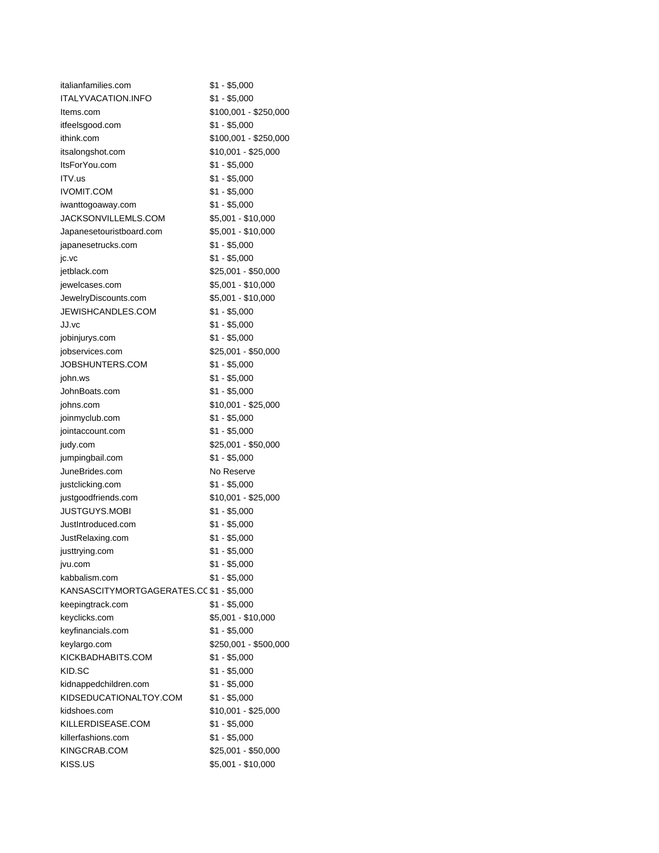| italianfamilies.com                      | $$1 - $5,000$         |
|------------------------------------------|-----------------------|
| <b>ITALYVACATION.INFO</b>                | $$1 - $5,000$         |
| Items.com                                | \$100,001 - \$250,000 |
| itfeelsgood.com                          | $$1 - $5,000$         |
| ithink.com                               | \$100,001 - \$250,000 |
| itsalongshot.com                         | \$10,001 - \$25,000   |
| ItsForYou.com                            | $$1 - $5,000$         |
| ITV.us                                   | \$1 - \$5,000         |
| <b>IVOMIT.COM</b>                        | $$1 - $5,000$         |
| iwanttogoaway.com                        | $$1 - $5,000$         |
| JACKSONVILLEMLS.COM                      | \$5,001 - \$10,000    |
| Japanesetouristboard.com                 | \$5,001 - \$10,000    |
| japanesetrucks.com                       | \$1 - \$5,000         |
| jc.vc                                    | $$1 - $5,000$         |
| jetblack.com                             | \$25,001 - \$50,000   |
| jewelcases.com                           | \$5,001 - \$10,000    |
| JewelryDiscounts.com                     | \$5,001 - \$10,000    |
| JEWISHCANDLES.COM                        | $$1 - $5,000$         |
| JJ.vc                                    | $$1 - $5,000$         |
| jobinjurys.com                           | \$1 - \$5,000         |
| jobservices.com                          | \$25,001 - \$50,000   |
| JOBSHUNTERS.COM                          | $$1 - $5,000$         |
| john.ws                                  | $$1 - $5,000$         |
| JohnBoats.com                            | $$1 - $5,000$         |
| johns.com                                | \$10,001 - \$25,000   |
| joinmyclub.com                           | $$1 - $5,000$         |
| jointaccount.com                         | $$1 - $5,000$         |
| judy.com                                 | \$25,001 - \$50,000   |
| jumpingbail.com                          | \$1 - \$5,000         |
| JuneBrides.com                           | No Reserve            |
|                                          |                       |
| justclicking.com                         | \$1 - \$5,000         |
| justgoodfriends.com                      | \$10,001 - \$25,000   |
| <b>JUSTGUYS.MOBI</b>                     | \$1 - \$5,000         |
| JustIntroduced.com                       | $$1 - $5,000$         |
| JustRelaxing.com                         | $$1 - $5,000$         |
| justtrying.com                           | $$1 - $5,000$         |
| jvu.com                                  | $$1 - $5,000$         |
| kabbalism.com                            | \$1 - \$5,000         |
| KANSASCITYMORTGAGERATES.CC \$1 - \$5,000 |                       |
| keepingtrack.com                         | $$1 - $5,000$         |
| keyclicks.com                            | \$5,001 - \$10,000    |
| keyfinancials.com                        | $$1 - $5,000$         |
| keylargo.com                             | \$250,001 - \$500,000 |
| KICKBADHABITS.COM                        | $$1 - $5,000$         |
| KID.SC                                   | $$1 - $5,000$         |
| kidnappedchildren.com                    | $$1 - $5,000$         |
| KIDSEDUCATIONALTOY.COM                   | $$1 - $5,000$         |
| kidshoes.com                             | \$10,001 - \$25,000   |
| KILLERDISEASE.COM                        | $$1 - $5,000$         |
| killerfashions.com                       | $$1 - $5,000$         |
| KINGCRAB.COM                             | \$25,001 - \$50,000   |
| KISS.US                                  | \$5,001 - \$10,000    |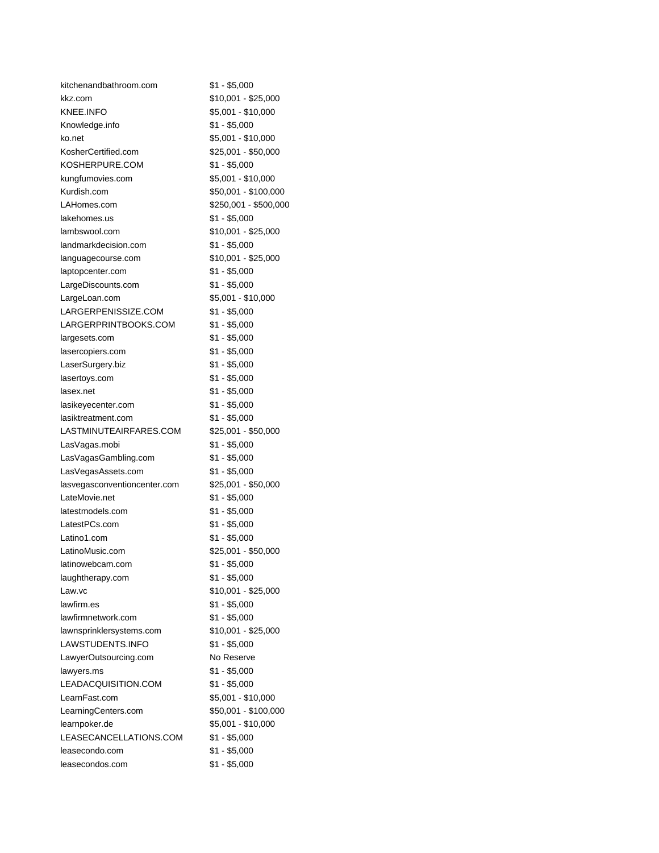| kitchenandbathroom.com       | $$1 - $5,000$         |
|------------------------------|-----------------------|
| kkz.com                      | \$10,001 - \$25,000   |
| <b>KNEE.INFO</b>             | \$5,001 - \$10,000    |
| Knowledge.info               | $$1 - $5,000$         |
| ko.net                       | \$5,001 - \$10,000    |
| KosherCertified.com          | \$25,001 - \$50,000   |
| KOSHERPURE.COM               | \$1 - \$5,000         |
| kungfumovies.com             | \$5,001 - \$10,000    |
| Kurdish.com                  | \$50,001 - \$100,000  |
| LAHomes.com                  | \$250,001 - \$500,000 |
| lakehomes.us                 | \$1 - \$5,000         |
| lambswool.com                | \$10,001 - \$25,000   |
| landmarkdecision.com         | \$1 - \$5,000         |
| languagecourse.com           | \$10,001 - \$25,000   |
| laptopcenter.com             | \$1 - \$5,000         |
| LargeDiscounts.com           | $$1 - $5,000$         |
| LargeLoan.com                | \$5,001 - \$10,000    |
| LARGERPENISSIZE.COM          | $$1 - $5,000$         |
| LARGERPRINTBOOKS.COM         | \$1 - \$5,000         |
| largesets.com                | $$1 - $5,000$         |
| lasercopiers.com             | $$1 - $5,000$         |
| LaserSurgery.biz             | $$1 - $5,000$         |
| lasertoys.com                | \$1 - \$5,000         |
| lasex.net                    | \$1 - \$5,000         |
| lasikeyecenter.com           | $$1 - $5,000$         |
| lasiktreatment.com           | $$1 - $5,000$         |
| LASTMINUTEAIRFARES.COM       | \$25,001 - \$50,000   |
| LasVagas.mobi                | \$1 - \$5,000         |
| LasVagasGambling.com         | \$1 - \$5,000         |
| LasVegasAssets.com           | $$1 - $5,000$         |
| lasvegasconventioncenter.com | \$25,001 - \$50,000   |
| LateMovie.net                | $$1 - $5,000$         |
| latestmodels.com             | $$1 - $5,000$         |
| LatestPCs.com                | $$1 - $5,000$         |
| Latino1.com                  | $$1 - $5,000$         |
| LatinoMusic.com              | \$25,001 - \$50,000   |
| latinowebcam.com             | $$1 - $5,000$         |
| laughtherapy.com             | $$1 - $5,000$         |
| Law.vc                       | \$10,001 - \$25,000   |
| lawfirm.es                   | $$1 - $5,000$         |
| lawfirmnetwork.com           | $$1 - $5,000$         |
| lawnsprinklersystems.com     | \$10,001 - \$25,000   |
| LAWSTUDENTS.INFO             | $$1 - $5,000$         |
| LawyerOutsourcing.com        | No Reserve            |
| lawyers.ms                   | \$1 - \$5,000         |
| LEADACQUISITION.COM          | $$1 - $5,000$         |
| LearnFast.com                | \$5,001 - \$10,000    |
| LearningCenters.com          | \$50,001 - \$100,000  |
| learnpoker.de                | \$5,001 - \$10,000    |
| LEASECANCELLATIONS.COM       | $$1 - $5,000$         |
| leasecondo.com               | $$1 - $5,000$         |
| leasecondos.com              | $$1 - $5,000$         |
|                              |                       |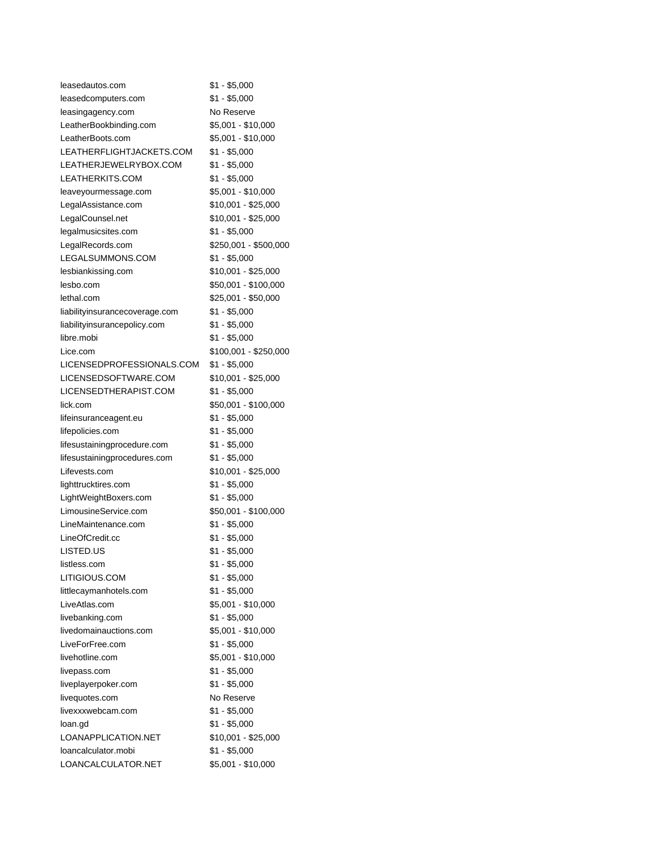| leasedautos.com                | $$1 - $5,000$         |
|--------------------------------|-----------------------|
| leasedcomputers.com            | $$1 - $5,000$         |
| leasingagency.com              | No Reserve            |
| LeatherBookbinding.com         | \$5,001 - \$10,000    |
| LeatherBoots.com               | \$5,001 - \$10,000    |
| LEATHERFLIGHTJACKETS.COM       | $$1 - $5,000$         |
| LEATHERJEWELRYBOX.COM          | \$1 - \$5,000         |
| LEATHERKITS.COM                | $$1 - $5,000$         |
| leaveyourmessage.com           | \$5,001 - \$10,000    |
| LegalAssistance.com            | \$10,001 - \$25,000   |
| LegalCounsel.net               | \$10,001 - \$25,000   |
| legalmusicsites.com            | $$1 - $5,000$         |
| LegalRecords.com               | \$250,001 - \$500,000 |
| LEGALSUMMONS.COM               | $$1 - $5,000$         |
| lesbiankissing.com             | \$10,001 - \$25,000   |
| lesbo.com                      | \$50,001 - \$100,000  |
| lethal.com                     | \$25,001 - \$50,000   |
| liabilityinsurancecoverage.com | $$1 - $5,000$         |
| liabilityinsurancepolicy.com   | $$1 - $5,000$         |
| libre.mobi                     | $$1 - $5,000$         |
| Lice.com                       | \$100,001 - \$250,000 |
| LICENSEDPROFESSIONALS.COM      | \$1 - \$5,000         |
| LICENSEDSOFTWARE.COM           | \$10,001 - \$25,000   |
| LICENSEDTHERAPIST.COM          | $$1 - $5,000$         |
| lick.com                       | \$50,001 - \$100,000  |
| lifeinsuranceagent.eu          | $$1 - $5,000$         |
| lifepolicies.com               | $$1 - $5,000$         |
| lifesustainingprocedure.com    | $$1 - $5,000$         |
| lifesustainingprocedures.com   | $$1 - $5,000$         |
| Lifevests.com                  | \$10,001 - \$25,000   |
| lighttrucktires.com            | $$1 - $5,000$         |
| LightWeightBoxers.com          | $$1 - $5,000$         |
| LimousineService.com           | \$50,001 - \$100,000  |
| LineMaintenance.com            | $$1 - $5,000$         |
| LineOfCredit.cc                | $$1 - $5,000$         |
| LISTED.US                      | $$1 - $5,000$         |
| listless.com                   | \$1 - \$5,000         |
| LITIGIOUS.COM                  | $$1 - $5,000$         |
| littlecaymanhotels.com         | $$1 - $5,000$         |
| LiveAtlas.com                  | \$5,001 - \$10,000    |
| livebanking.com                | $$1 - $5,000$         |
| livedomainauctions.com         | \$5,001 - \$10,000    |
| LiveForFree.com                | $$1 - $5,000$         |
| livehotline.com                | \$5,001 - \$10,000    |
| livepass.com                   | $$1 - $5,000$         |
| liveplayerpoker.com            | $$1 - $5,000$         |
| livequotes.com                 | No Reserve            |
| livexxxwebcam.com              | $$1 - $5,000$         |
| loan.gd                        | $$1 - $5,000$         |
| LOANAPPLICATION.NET            | \$10,001 - \$25,000   |
| loancalculator.mobi            | $$1 - $5,000$         |
| LOANCALCULATOR.NET             | \$5,001 - \$10,000    |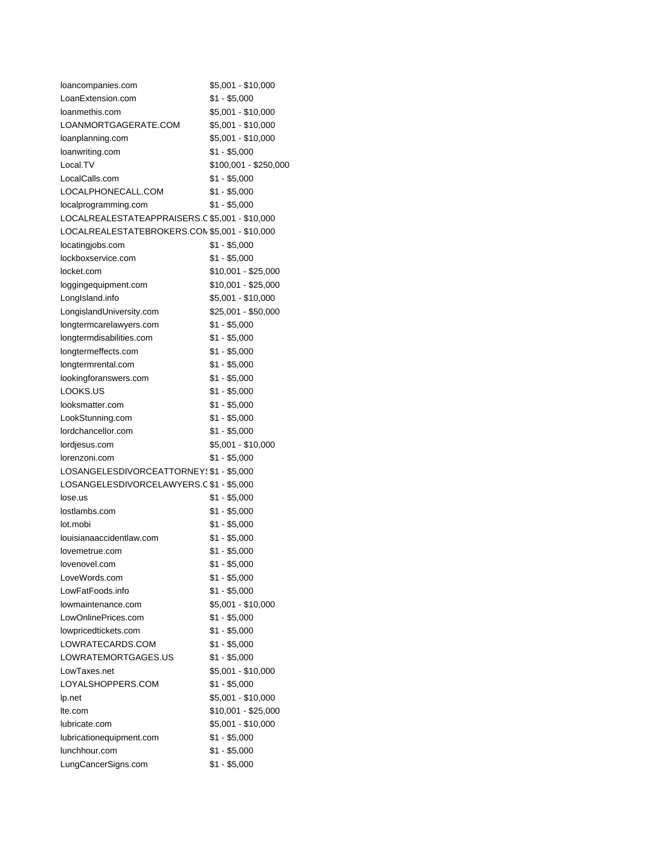| loancompanies.com                              | \$5,001 - \$10,000    |
|------------------------------------------------|-----------------------|
| LoanExtension.com                              | $$1 - $5,000$         |
| loanmethis.com                                 | \$5,001 - \$10,000    |
| LOANMORTGAGERATE.COM                           | \$5,001 - \$10,000    |
| loanplanning.com                               | \$5,001 - \$10,000    |
| loanwriting.com                                | $$1 - $5,000$         |
| Local.TV                                       | \$100,001 - \$250,000 |
| LocalCalls.com                                 | $$1 - $5,000$         |
| LOCALPHONECALL.COM                             | \$1 - \$5,000         |
| localprogramming.com                           | \$1 - \$5,000         |
| LOCALREALESTATEAPPRAISERS.C \$5,001 - \$10,000 |                       |
| LOCALREALESTATEBROKERS.CON \$5,001 - \$10,000  |                       |
| locatingjobs.com                               | $$1 - $5,000$         |
| lockboxservice.com                             | \$1 - \$5,000         |
| locket.com                                     | \$10,001 - \$25,000   |
| loggingequipment.com                           | \$10,001 - \$25,000   |
| LongIsland.info                                | \$5,001 - \$10,000    |
| LongislandUniversity.com                       | $$25,001 - $50,000$   |
| longtermcarelawyers.com                        | $$1 - $5,000$         |
| longtermdisabilities.com                       | $$1 - $5,000$         |
| longtermeffects.com                            | $$1 - $5,000$         |
| longtermrental.com                             | $$1 - $5,000$         |
| lookingforanswers.com                          | $$1 - $5,000$         |
| LOOKS.US                                       | $$1 - $5,000$         |
| looksmatter.com                                | $$1 - $5,000$         |
| LookStunning.com                               | $$1 - $5,000$         |
| lordchancellor.com                             | $$1 - $5,000$         |
| lordjesus.com                                  | $$5,001 - $10,000$    |
| lorenzoni.com                                  | \$1 - \$5,000         |
| LOSANGELESDIVORCEATTORNEY(\$1 - \$5,000        |                       |
| LOSANGELESDIVORCELAWYERS.C \$1 - \$5,000       |                       |
| lose.us                                        | $$1 - $5,000$         |
| lostlambs.com                                  | $$1 - $5,000$         |
| lot.mobi                                       | \$1 - \$5,000         |
| louisianaaccidentlaw.com                       | $$1 - $5,000$         |
| lovemetrue.com                                 | $$1 - $5,000$         |
| lovenovel.com                                  | $$1 - $5,000$         |
| LoveWords.com                                  | \$1 - \$5,000         |
| LowFatFoods.info                               | $$1 - $5,000$         |
| lowmaintenance.com                             | \$5,001 - \$10,000    |
| LowOnlinePrices.com                            | $$1 - $5,000$         |
| lowpricedtickets.com                           | $$1 - $5,000$         |
| LOWRATECARDS.COM                               | $$1 - $5,000$         |
| LOWRATEMORTGAGES.US                            | $$1 - $5,000$         |
| LowTaxes.net                                   | \$5,001 - \$10,000    |
| LOYALSHOPPERS.COM                              | $$1 - $5,000$         |
| lp.net                                         | \$5,001 - \$10,000    |
| lte.com                                        | \$10,001 - \$25,000   |
| lubricate.com                                  | \$5,001 - \$10,000    |
| lubricationequipment.com                       | $$1 - $5,000$         |
| lunchhour.com                                  | $$1 - $5,000$         |
| LungCancerSigns.com                            | $$1 - $5,000$         |
|                                                |                       |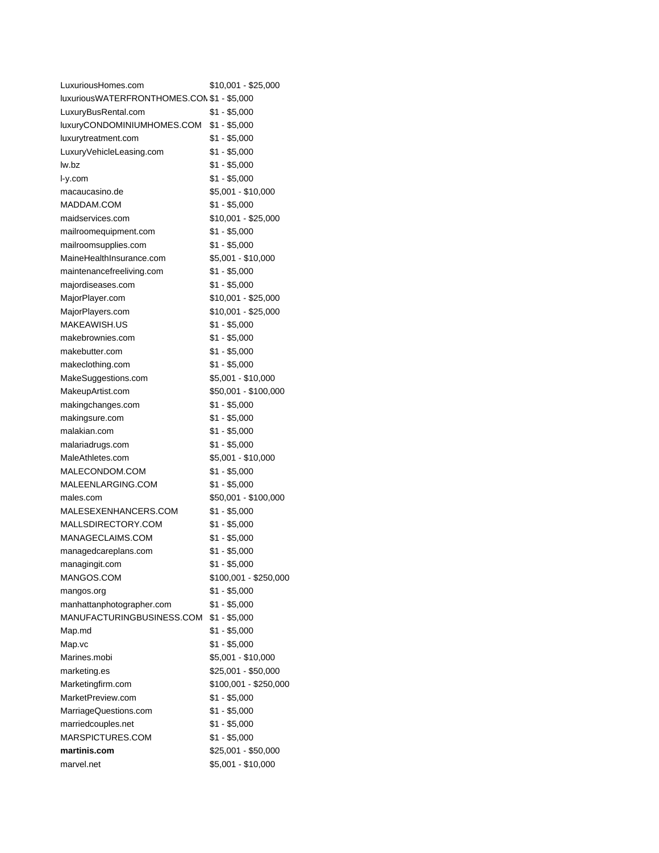| LuxuriousHomes.com                         | \$10,001 - \$25,000                    |
|--------------------------------------------|----------------------------------------|
| luxuriousWATERFRONTHOMES.CON \$1 - \$5,000 |                                        |
| LuxuryBusRental.com                        | \$1 - \$5,000                          |
| luxuryCONDOMINIUMHOMES.COM                 | \$1 - \$5,000                          |
| luxurytreatment.com                        | $$1 - $5,000$                          |
| LuxuryVehicleLeasing.com                   | \$1 - \$5,000                          |
| lw.bz                                      | $$1 - $5,000$                          |
| $I-y.com$                                  | $$1 - $5,000$                          |
| macaucasino.de                             | $$5,001 - $10,000$                     |
| MADDAM.COM                                 | $$1 - $5,000$                          |
| maidservices.com                           | \$10,001 - \$25,000                    |
| mailroomequipment.com                      | \$1 - \$5,000                          |
| mailroomsupplies.com                       | $$1 - $5,000$                          |
| MaineHealthInsurance.com                   | \$5,001 - \$10,000                     |
| maintenancefreeliving.com                  | $$1 - $5,000$                          |
| majordiseases.com                          | $$1 - $5,000$                          |
| MajorPlayer.com                            | $$10,001 - $25,000$                    |
| MajorPlayers.com                           | \$10,001 - \$25,000                    |
| MAKEAWISH.US                               | $$1 - $5,000$                          |
| makebrownies.com                           | $$1 - $5,000$                          |
| makebutter.com                             | $$1 - $5,000$                          |
| makeclothing.com                           | $$1 - $5,000$                          |
| MakeSuggestions.com                        | \$5,001 - \$10,000                     |
| MakeupArtist.com                           | \$50,001 - \$100,000                   |
| makingchanges.com                          | $$1 - $5,000$                          |
| makingsure.com                             | \$1 - \$5,000                          |
| malakian.com                               | $$1 - $5,000$                          |
| malariadrugs.com                           | $$1 - $5,000$                          |
| MaleAthletes.com                           | $$5,001 - $10,000$                     |
| MALECONDOM.COM                             | $$1 - $5,000$                          |
| MALEENLARGING.COM                          | $$1 - $5,000$                          |
| males.com                                  | \$50,001 - \$100,000                   |
| MALESEXENHANCERS.COM                       | $$1 - $5,000$                          |
| MALLSDIRECTORY.COM                         | $$1 - $5,000$                          |
| MANAGECLAIMS.COM                           | $$1 - $5,000$                          |
| managedcareplans.com                       | $$1 - $5,000$                          |
| managingit.com                             | $$1 - $5,000$                          |
| MANGOS.COM                                 |                                        |
|                                            | \$100,001 - \$250,000<br>$$1 - $5,000$ |
| mangos.org                                 |                                        |
| manhattanphotographer.com                  | $$1 - $5,000$                          |
| MANUFACTURINGBUSINESS.COM                  | $$1 - $5,000$                          |
| Map.md                                     | $$1 - $5,000$                          |
| Map.vc                                     | $$1 - $5,000$                          |
| Marines.mobi                               | \$5,001 - \$10,000                     |
| marketing.es                               | \$25,001 - \$50,000                    |
| Marketingfirm.com                          | \$100,001 - \$250,000                  |
| MarketPreview.com                          | $$1 - $5,000$                          |
| MarriageQuestions.com                      | $$1 - $5,000$                          |
| marriedcouples.net                         | $$1 - $5,000$                          |
| MARSPICTURES.COM                           | $$1 - $5,000$                          |
| martinis.com                               | \$25,001 - \$50,000                    |
| marvel.net                                 | \$5,001 - \$10,000                     |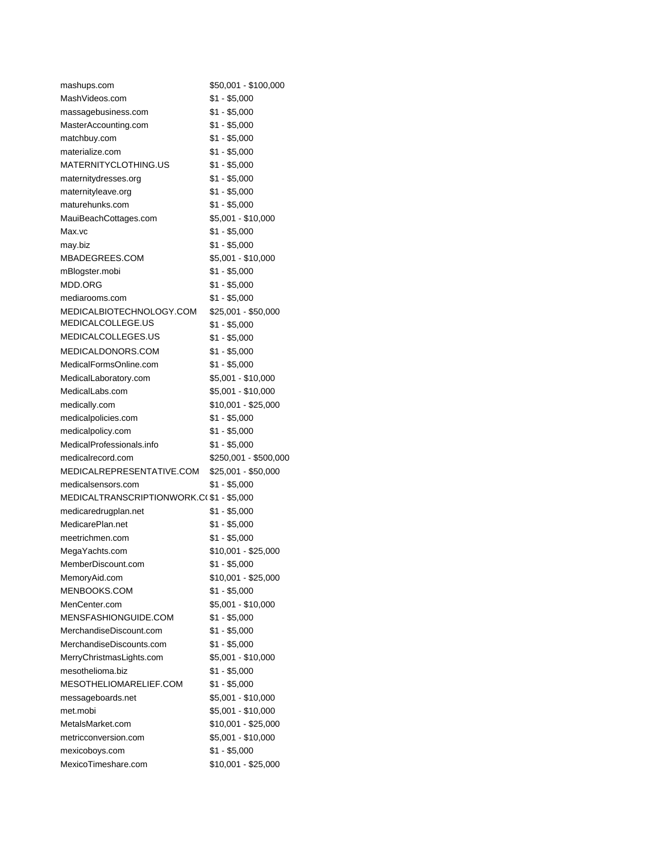| mashups.com                                    | \$50,001 - \$100,000  |
|------------------------------------------------|-----------------------|
| MashVideos.com                                 | \$1 - \$5,000         |
| massagebusiness.com                            | \$1 - \$5,000         |
| MasterAccounting.com                           | \$1 - \$5,000         |
| matchbuy.com                                   | \$1 - \$5,000         |
| materialize.com                                | \$1 - \$5,000         |
| MATERNITYCLOTHING.US                           | \$1 - \$5,000         |
| maternitydresses.org                           | $$1 - $5,000$         |
| maternityleave.org                             | $$1 - $5,000$         |
| maturehunks.com                                | \$1 - \$5,000         |
| MauiBeachCottages.com                          | \$5,001 - \$10,000    |
| Max.vc                                         | \$1 - \$5,000         |
| may.biz                                        | $$1 - $5,000$         |
| MBADEGREES.COM                                 | \$5,001 - \$10,000    |
| mBlogster.mobi                                 | $$1 - $5,000$         |
| MDD.ORG                                        | $$1 - $5,000$         |
| mediarooms.com                                 | \$1 - \$5,000         |
| MEDICALBIOTECHNOLOGY.COM                       | \$25,001 - \$50,000   |
| MEDICALCOLLEGE.US                              | \$1 - \$5,000         |
| MEDICALCOLLEGES.US                             | $$1 - $5,000$         |
| MEDICALDONORS.COM                              | $$1 - $5,000$         |
| MedicalFormsOnline.com                         | $$1 - $5,000$         |
| MedicalLaboratory.com                          | \$5,001 - \$10,000    |
| MedicalLabs.com                                | \$5,001 - \$10,000    |
| medically.com                                  | \$10,001 - \$25,000   |
|                                                |                       |
| medicalpolicies.com                            | \$1 - \$5,000         |
| medicalpolicy.com<br>MedicalProfessionals.info | \$1 - \$5,000         |
|                                                | \$1 - \$5,000         |
| medicalrecord.com                              | \$250,001 - \$500,000 |
| MEDICALREPRESENTATIVE.COM                      | \$25,001 - \$50,000   |
| medicalsensors.com                             | \$1 - \$5,000         |
| MEDICALTRANSCRIPTIONWORK.C(\$1-\$5,000         |                       |
| medicaredrugplan.net                           | \$1 - \$5,000         |
| MedicarePlan.net                               | \$1 - \$5,000         |
| meetrichmen.com                                | \$1 - \$5,000         |
| MegaYachts.com                                 | \$10,001 - \$25,000   |
| MemberDiscount.com                             | $$1 - $5,000$         |
| MemoryAid.com                                  | \$10,001 - \$25,000   |
| MENBOOKS.COM                                   | $$1 - $5,000$         |
| MenCenter.com                                  | \$5,001 - \$10,000    |
| MENSFASHIONGUIDE.COM                           | $$1 - $5,000$         |
| MerchandiseDiscount.com                        | $$1 - $5,000$         |
| MerchandiseDiscounts.com                       | $$1 - $5,000$         |
| MerryChristmasLights.com                       | \$5,001 - \$10,000    |
| mesothelioma.biz                               | $$1 - $5,000$         |
| MESOTHELIOMARELIEF.COM                         | $$1 - $5,000$         |
| messageboards.net                              | \$5,001 - \$10,000    |
| met.mobi                                       | \$5,001 - \$10,000    |
| MetalsMarket.com                               | $$10,001 - $25,000$   |
| metricconversion.com                           | \$5,001 - \$10,000    |
| mexicoboys.com                                 | $$1 - $5,000$         |
| MexicoTimeshare.com                            | \$10,001 - \$25,000   |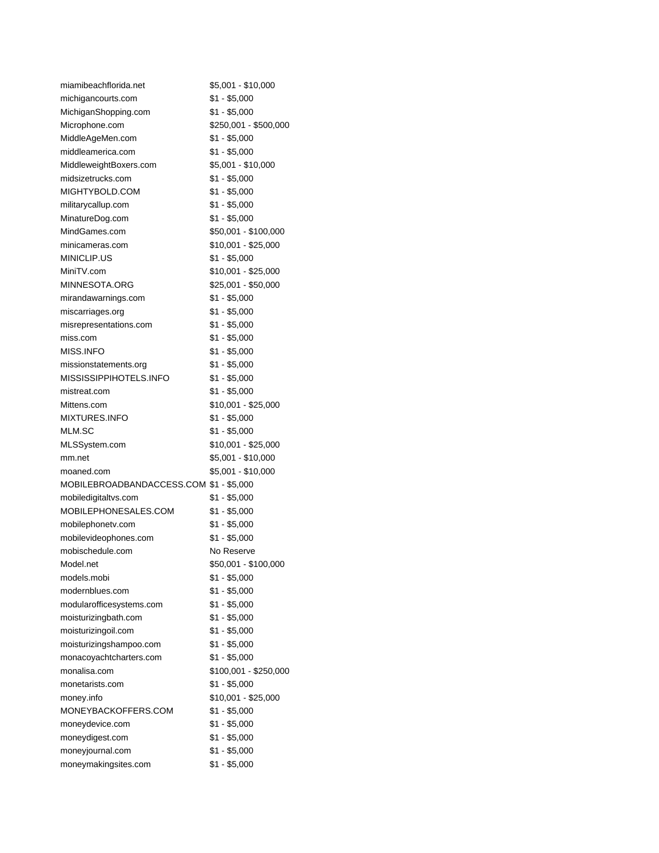| miamibeachflorida.net                   | \$5,001 - \$10,000    |
|-----------------------------------------|-----------------------|
| michigancourts.com                      | \$1 - \$5,000         |
| MichiganShopping.com                    | $$1 - $5,000$         |
| Microphone.com                          | \$250,001 - \$500,000 |
| MiddleAgeMen.com                        | \$1 - \$5,000         |
| middleamerica.com                       | $$1 - $5,000$         |
| MiddleweightBoxers.com                  | \$5,001 - \$10,000    |
| midsizetrucks.com                       | \$1 - \$5,000         |
| MIGHTYBOLD.COM                          | $$1 - $5,000$         |
| militarycallup.com                      | $$1 - $5,000$         |
| MinatureDog.com                         | \$1 - \$5,000         |
| MindGames.com                           | \$50,001 - \$100,000  |
| minicameras.com                         | \$10,001 - \$25,000   |
| MINICLIP.US                             | \$1 - \$5,000         |
| MiniTV.com                              | \$10,001 - \$25,000   |
| MINNESOTA.ORG                           | \$25,001 - \$50,000   |
| mirandawarnings.com                     | $$1 - $5,000$         |
| miscarriages.org                        | $$1 - $5,000$         |
| misrepresentations.com                  | $$1 - $5,000$         |
| miss.com                                | $$1 - $5,000$         |
| MISS.INFO                               | $$1 - $5,000$         |
| missionstatements.org                   | $$1 - $5,000$         |
| MISSISSIPPIHOTELS.INFO                  | $$1 - $5,000$         |
| mistreat.com                            | \$1 - \$5,000         |
| Mittens.com                             | \$10,001 - \$25,000   |
| <b>MIXTURES.INFO</b>                    | \$1 - \$5,000         |
| MLM.SC                                  | $$1 - $5,000$         |
| MLSSystem.com                           | \$10,001 - \$25,000   |
| mm.net                                  | \$5,001 - \$10,000    |
| moaned.com                              | \$5,001 - \$10,000    |
| MOBILEBROADBANDACCESS.COM \$1 - \$5,000 |                       |
| mobiledigitaltvs.com                    | \$1 - \$5,000         |
| MOBILEPHONESALES.COM                    | \$1 - \$5,000         |
| mobilephonety.com                       | \$1 - \$5,000         |
| mobilevideophones.com                   | $$1 - $5,000$         |
| mobischedule.com                        | No Reserve            |
| Model.net                               | \$50,001 - \$100,000  |
| models.mobi                             | \$1 - \$5,000         |
| modernblues.com                         | $$1 - $5,000$         |
| modularofficesystems.com                | $$1 - $5,000$         |
| moisturizingbath.com                    | $$1 - $5,000$         |
| moisturizingoil.com                     | \$1 - \$5,000         |
| moisturizingshampoo.com                 | $$1 - $5,000$         |
| monacoyachtcharters.com                 | $$1 - $5,000$         |
| monalisa.com                            | \$100,001 - \$250,000 |
| monetarists.com                         | $$1 - $5,000$         |
| money.info                              | \$10,001 - \$25,000   |
| MONEYBACKOFFERS.COM                     | $$1 - $5,000$         |
| moneydevice.com                         | $$1 - $5,000$         |
| moneydigest.com                         | $$1 - $5,000$         |
| moneyjournal.com                        | $$1 - $5,000$         |
| moneymakingsites.com                    | $$1 - $5,000$         |
|                                         |                       |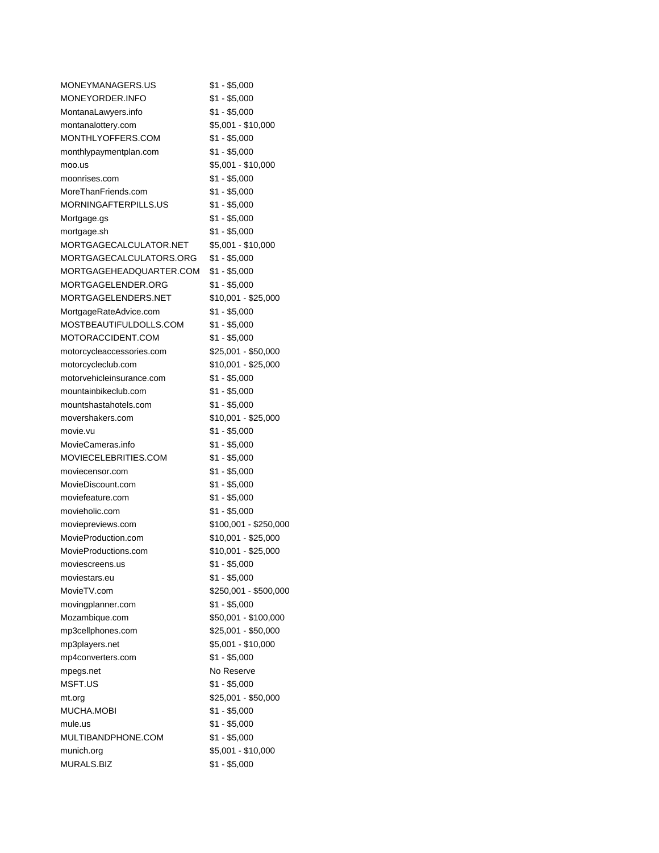| MONEYMANAGERS.US          | $$1 - $5,000$         |
|---------------------------|-----------------------|
| MONEYORDER.INFO           | $$1 - $5,000$         |
| MontanaLawyers.info       | $$1 - $5,000$         |
| montanalottery.com        | \$5,001 - \$10,000    |
| MONTHLYOFFERS.COM         | $$1 - $5,000$         |
| monthlypaymentplan.com    | \$1 - \$5,000         |
| moo.us                    | \$5,001 - \$10,000    |
| moonrises.com             | $$1 - $5,000$         |
| MoreThanFriends.com       | \$1 - \$5,000         |
| MORNINGAFTERPILLS.US      | \$1 - \$5,000         |
| Mortgage.gs               | \$1 - \$5,000         |
| mortgage.sh               | \$1 - \$5,000         |
| MORTGAGECALCULATOR.NET    | \$5,001 - \$10,000    |
| MORTGAGECALCULATORS.ORG   | \$1 - \$5,000         |
| MORTGAGEHEADQUARTER.COM   | \$1 - \$5,000         |
| MORTGAGELENDER.ORG        | \$1 - \$5,000         |
| MORTGAGELENDERS.NET       | \$10,001 - \$25,000   |
| MortgageRateAdvice.com    | \$1 - \$5,000         |
| MOSTBEAUTIFULDOLLS.COM    | $$1 - $5,000$         |
| MOTORACCIDENT.COM         | \$1 - \$5,000         |
| motorcycleaccessories.com | \$25,001 - \$50,000   |
| motorcycleclub.com        | \$10,001 - \$25,000   |
| motorvehicleinsurance.com | \$1 - \$5,000         |
| mountainbikeclub.com      | $$1 - $5,000$         |
| mountshastahotels.com     | $$1 - $5,000$         |
| movershakers.com          | \$10,001 - \$25,000   |
| movie.vu                  | \$1 - \$5,000         |
| MovieCameras.info         | $$1 - $5,000$         |
| MOVIECELEBRITIES.COM      | \$1 - \$5,000         |
| moviecensor.com           | $$1 - $5,000$         |
| MovieDiscount.com         | \$1 - \$5,000         |
| moviefeature.com          | $$1 - $5,000$         |
| movieholic.com            | $$1 - $5,000$         |
| moviepreviews.com         | \$100,001 - \$250,000 |
| MovieProduction.com       | \$10,001 - \$25,000   |
| MovieProductions.com      | \$10,001 - \$25,000   |
| moviescreens.us           | $$1 - $5,000$         |
| moviestars.eu             | $$1 - $5,000$         |
| MovieTV.com               | \$250,001 - \$500,000 |
| movingplanner.com         | \$1 - \$5,000         |
| Mozambique.com            | \$50,001 - \$100,000  |
| mp3cellphones.com         | \$25,001 - \$50,000   |
| mp3players.net            | \$5,001 - \$10,000    |
| mp4converters.com         | $$1 - $5,000$         |
| mpegs.net                 | No Reserve            |
| MSFT.US                   | $$1 - $5,000$         |
| mt.org                    | \$25,001 - \$50,000   |
| MUCHA.MOBI                | $$1 - $5,000$         |
| mule.us                   | $$1 - $5,000$         |
| MULTIBANDPHONE.COM        | $$1 - $5,000$         |
| munich.org                | \$5,001 - \$10,000    |
| MURALS.BIZ                | \$1 - \$5,000         |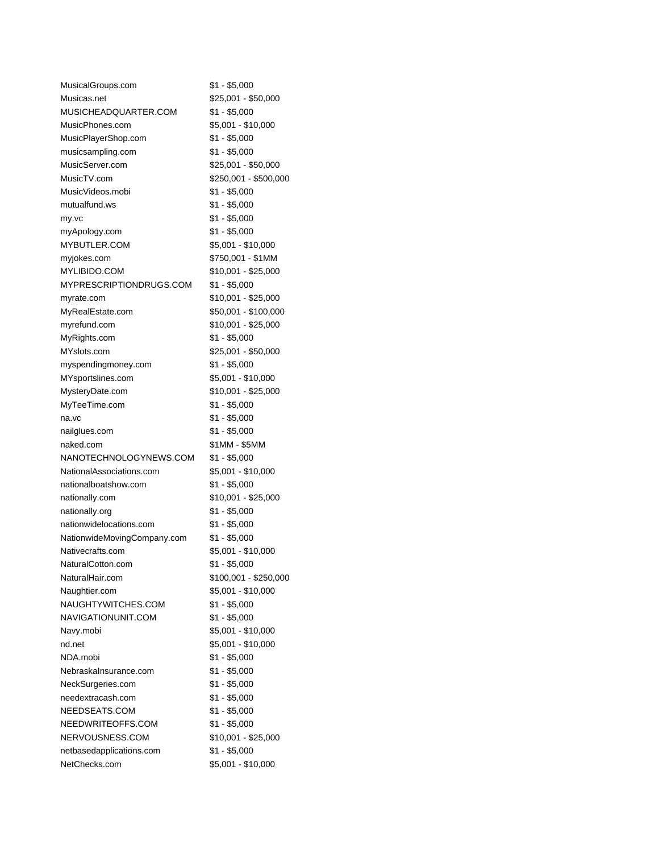| MusicalGroups.com           | \$1 - \$5,000         |
|-----------------------------|-----------------------|
| Musicas.net                 | \$25,001 - \$50,000   |
| MUSICHEADQUARTER.COM        | $$1 - $5,000$         |
| MusicPhones.com             | \$5,001 - \$10,000    |
| MusicPlayerShop.com         | \$1 - \$5,000         |
| musicsampling.com           | $$1 - $5,000$         |
| MusicServer.com             | \$25,001 - \$50,000   |
| MusicTV.com                 | \$250,001 - \$500,000 |
| MusicVideos.mobi            | \$1 - \$5,000         |
| mutualfund.ws               | $$1 - $5,000$         |
| my.vc                       | $$1 - $5,000$         |
| myApology.com               | $$1 - $5,000$         |
| MYBUTLER.COM                | \$5,001 - \$10,000    |
| myjokes.com                 | \$750,001 - \$1MM     |
| MYLIBIDO.COM                | \$10,001 - \$25,000   |
| MYPRESCRIPTIONDRUGS.COM     | \$1 - \$5,000         |
| myrate.com                  | \$10,001 - \$25,000   |
| MyRealEstate.com            | \$50,001 - \$100,000  |
| myrefund.com                | \$10,001 - \$25,000   |
| MyRights.com                | \$1 - \$5,000         |
| MYslots.com                 | \$25,001 - \$50,000   |
| myspendingmoney.com         | $$1 - $5,000$         |
| MYsportslines.com           | \$5,001 - \$10,000    |
| MysteryDate.com             | \$10,001 - \$25,000   |
| MyTeeTime.com               | \$1 - \$5,000         |
| na.vc                       | \$1 - \$5,000         |
| nailglues.com               | $$1 - $5,000$         |
| naked.com                   | \$1MM - \$5MM         |
| NANOTECHNOLOGYNEWS.COM      | $$1 - $5,000$         |
| NationalAssociations.com    | \$5,001 - \$10,000    |
| nationalboatshow.com        | $$1 - $5,000$         |
| nationally.com              | \$10,001 - \$25,000   |
| nationally.org              | \$1 - \$5,000         |
| nationwidelocations.com     | \$1 - \$5,000         |
| NationwideMovingCompany.com | $$1 - $5,000$         |
| Nativecrafts.com            | \$5,001 - \$10,000    |
| NaturalCotton.com           | \$1 - \$5,000         |
| NaturalHair.com             | \$100,001 - \$250,000 |
| Naughtier.com               | \$5,001 - \$10,000    |
| NAUGHTYWITCHES.COM          | $$1 - $5,000$         |
| NAVIGATIONUNIT.COM          | $$1 - $5,000$         |
| Navy.mobi                   | \$5,001 - \$10,000    |
| nd.net                      | \$5,001 - \$10,000    |
| NDA.mobi                    | $$1 - $5,000$         |
| Nebraskalnsurance.com       | $$1 - $5,000$         |
| NeckSurgeries.com           | $$1 - $5,000$         |
| needextracash.com           | $$1 - $5,000$         |
| NEEDSEATS.COM               | $$1 - $5,000$         |
| NEEDWRITEOFFS.COM           | $$1 - $5,000$         |
| NERVOUSNESS.COM             | $$10,001 - $25,000$   |
| netbasedapplications.com    | $$1 - $5,000$         |
| NetChecks.com               | \$5,001 - \$10,000    |
|                             |                       |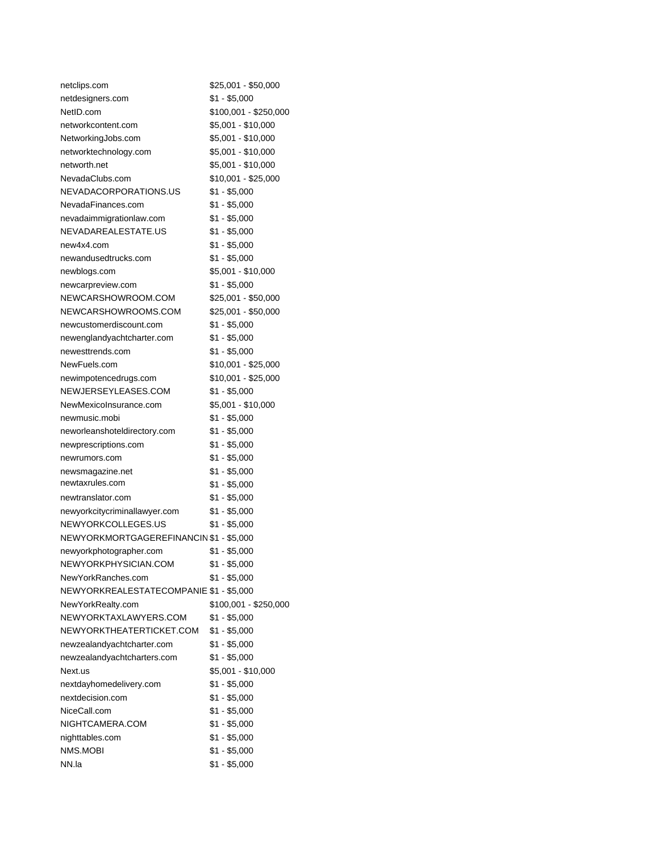| netclips.com                            | \$25,001 - \$50,000   |
|-----------------------------------------|-----------------------|
| netdesigners.com                        | $$1 - $5,000$         |
| NetID.com                               | \$100,001 - \$250,000 |
| networkcontent.com                      | \$5,001 - \$10,000    |
| NetworkingJobs.com                      | \$5,001 - \$10,000    |
| networktechnology.com                   | \$5,001 - \$10,000    |
| networth.net                            | \$5,001 - \$10,000    |
| NevadaClubs.com                         | \$10,001 - \$25,000   |
| NEVADACORPORATIONS.US                   | \$1 - \$5,000         |
| NevadaFinances.com                      | \$1 - \$5,000         |
| nevadaimmigrationlaw.com                | $$1 - $5,000$         |
| NEVADAREALESTATE.US                     | $$1 - $5,000$         |
| new4x4.com                              | $$1 - $5,000$         |
| newandusedtrucks.com                    | $$1 - $5,000$         |
| newblogs.com                            | \$5,001 - \$10,000    |
| newcarpreview.com                       | $$1 - $5,000$         |
| NEWCARSHOWROOM.COM                      | \$25,001 - \$50,000   |
| NEWCARSHOWROOMS.COM                     | \$25,001 - \$50,000   |
| newcustomerdiscount.com                 | \$1 - \$5,000         |
| newenglandyachtcharter.com              | $$1 - $5,000$         |
| newesttrends.com                        | $$1 - $5,000$         |
| NewFuels.com                            | \$10,001 - \$25,000   |
| newimpotencedrugs.com                   | $$10,001 - $25,000$   |
| NEWJERSEYLEASES.COM                     | $$1 - $5,000$         |
| NewMexicoInsurance.com                  | \$5,001 - \$10,000    |
| newmusic.mobi                           | $$1 - $5,000$         |
| neworleanshoteldirectory.com            | $$1 - $5,000$         |
| newprescriptions.com                    | \$1 - \$5,000         |
| newrumors.com                           | $$1 - $5,000$         |
| newsmagazine.net                        | $$1 - $5,000$         |
| newtaxrules.com                         | $$1 - $5,000$         |
| newtranslator.com                       | $$1 - $5,000$         |
| newyorkcitycriminallawyer.com           | $$1 - $5,000$         |
| NEWYORKCOLLEGES.US                      | \$1 - \$5,000         |
| NEWYORKMORTGAGEREFINANCIN \$1 - \$5,000 |                       |
| newyorkphotographer.com                 | $$1 - $5,000$         |
| NEWYORKPHYSICIAN.COM                    | $$1 - $5,000$         |
| NewYorkRanches.com                      | \$1 - \$5,000         |
| NEWYORKREALESTATECOMPANIE \$1 - \$5,000 |                       |
| NewYorkRealty.com                       | \$100,001 - \$250,000 |
| NEWYORKTAXLAWYERS.COM                   | $$1 - $5,000$         |
| NEWYORKTHEATERTICKET.COM                | $$1 - $5,000$         |
| newzealandyachtcharter.com              | \$1 - \$5,000         |
| newzealandyachtcharters.com             | \$1 - \$5,000         |
| Next.us                                 | \$5,001 - \$10,000    |
| nextdayhomedelivery.com                 | $$1 - $5,000$         |
| nextdecision.com                        | \$1 - \$5,000         |
| NiceCall.com                            | $$1 - $5,000$         |
| NIGHTCAMERA.COM                         | $$1 - $5,000$         |
| nighttables.com                         | \$1 - \$5,000         |
| NMS.MOBI                                | $$1 - $5,000$         |
| NN.la                                   | \$1 - \$5,000         |
|                                         |                       |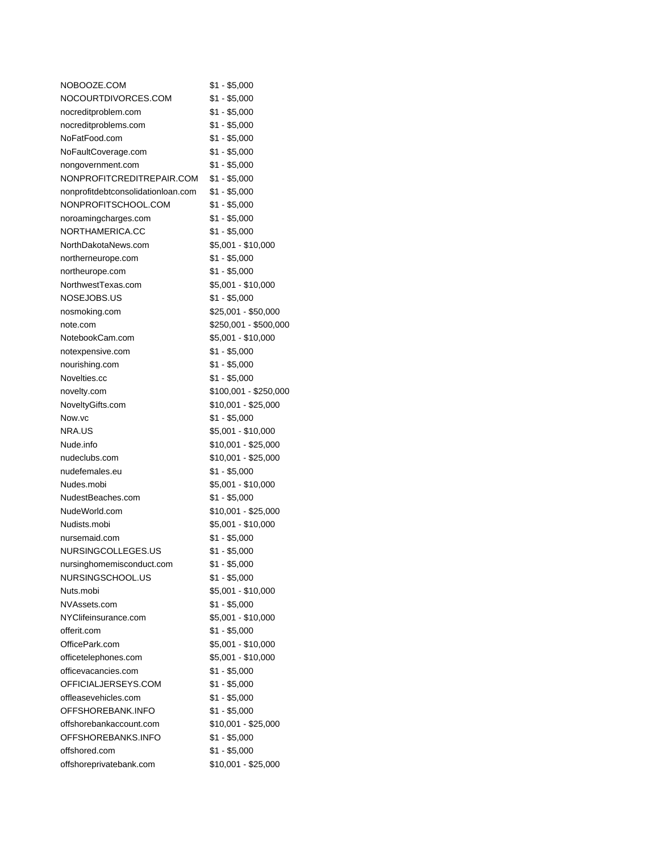| NOBOOZE.COM                        | \$1 - \$5,000         |
|------------------------------------|-----------------------|
| NOCOURTDIVORCES.COM                | $$1 - $5,000$         |
| nocreditproblem.com                | \$1 - \$5,000         |
| nocreditproblems.com               | $$1 - $5,000$         |
| NoFatFood.com                      | $$1 - $5,000$         |
| NoFaultCoverage.com                | $$1 - $5,000$         |
| nongovernment.com                  | \$1 - \$5,000         |
| NONPROFITCREDITREPAIR.COM          | \$1 - \$5,000         |
| nonprofitdebtconsolidationloan.com | $$1 - $5,000$         |
| NONPROFITSCHOOL.COM                | $$1 - $5,000$         |
| noroamingcharges.com               | $$1 - $5,000$         |
| NORTHAMERICA.CC                    | $$1 - $5,000$         |
| NorthDakotaNews.com                | \$5,001 - \$10,000    |
| northerneurope.com                 | $$1 - $5,000$         |
| northeurope.com                    | $$1 - $5,000$         |
| NorthwestTexas.com                 | \$5,001 - \$10,000    |
| NOSEJOBS.US                        | $$1 - $5,000$         |
| nosmoking.com                      | \$25,001 - \$50,000   |
| note.com                           | \$250,001 - \$500,000 |
| NotebookCam.com                    | \$5,001 - \$10,000    |
| notexpensive.com                   | $$1 - $5,000$         |
| nourishing.com                     | $$1 - $5,000$         |
| Novelties.cc                       | $$1 - $5,000$         |
| novelty.com                        | \$100,001 - \$250,000 |
| NoveltyGifts.com                   | \$10,001 - \$25,000   |
| Now.vc                             | $$1 - $5,000$         |
| NRA.US                             | \$5,001 - \$10,000    |
| Nude.info                          | \$10,001 - \$25,000   |
| nudeclubs.com                      | \$10,001 - \$25,000   |
| nudefemales.eu                     | $$1 - $5,000$         |
| Nudes.mobi                         | \$5,001 - \$10,000    |
| NudestBeaches.com                  | $$1 - $5,000$         |
| NudeWorld.com                      | \$10,001 - \$25,000   |
| Nudists.mobi                       | \$5,001 - \$10,000    |
| nursemaid.com                      | $$1 - $5,000$         |
| NURSINGCOLLEGES.US                 | $$1 - $5,000$         |
| nursinghomemisconduct.com          | $$1 - $5,000$         |
| NURSINGSCHOOL.US                   | $$1 - $5,000$         |
| Nuts.mobi                          | \$5,001 - \$10,000    |
| NVAssets.com                       | $$1 - $5,000$         |
| NYClifeinsurance.com               | \$5,001 - \$10,000    |
| offerit.com                        | $$1 - $5,000$         |
| OfficePark.com                     | \$5,001 - \$10,000    |
| officetelephones.com               | \$5,001 - \$10,000    |
| officevacancies.com                | $$1 - $5,000$         |
| OFFICIALJERSEYS.COM                | $$1 - $5,000$         |
| offleasevehicles.com               | $$1 - $5,000$         |
| OFFSHOREBANK.INFO                  | $$1 - $5,000$         |
| offshorebankaccount.com            | \$10,001 - \$25,000   |
| OFFSHOREBANKS.INFO                 | $$1 - $5,000$         |
| offshored.com                      | $$1 - $5,000$         |
| offshoreprivatebank.com            | \$10,001 - \$25,000   |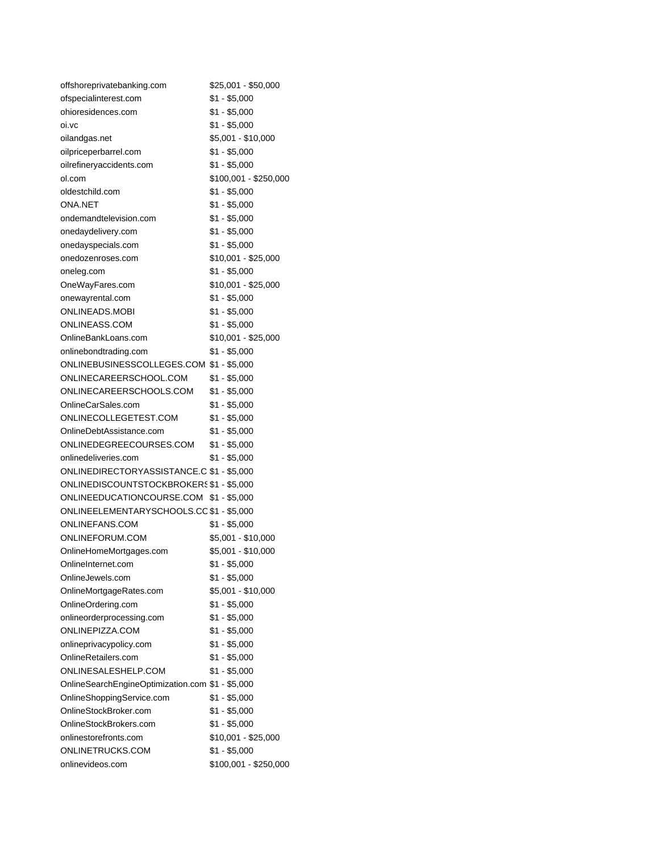| offshoreprivatebanking.com                       | \$25,001 - \$50,000   |
|--------------------------------------------------|-----------------------|
| ofspecialinterest.com                            | $$1 - $5,000$         |
| ohioresidences.com                               | \$1 - \$5,000         |
| oi.vc                                            | \$1 - \$5,000         |
| oilandgas.net                                    | \$5,001 - \$10,000    |
| oilpriceperbarrel.com                            | \$1 - \$5,000         |
| oilrefineryaccidents.com                         | \$1 - \$5,000         |
| ol.com                                           | \$100,001 - \$250,000 |
| oldestchild.com                                  | $$1 - $5,000$         |
| <b>ONA.NET</b>                                   | $$1 - $5,000$         |
| ondemandtelevision.com                           | \$1 - \$5,000         |
| onedaydelivery.com                               | $$1 - $5,000$         |
| onedayspecials.com                               | \$1 - \$5,000         |
| onedozenroses.com                                | \$10,001 - \$25,000   |
| oneleg.com                                       | \$1 - \$5,000         |
| OneWayFares.com                                  | \$10,001 - \$25,000   |
| onewayrental.com                                 | \$1 - \$5,000         |
| ONLINEADS.MOBI                                   | \$1 - \$5,000         |
| ONLINEASS.COM                                    | \$1 - \$5,000         |
| OnlineBankLoans.com                              | $$10,001 - $25,000$   |
| onlinebondtrading.com                            | \$1 - \$5,000         |
| ONLINEBUSINESSCOLLEGES.COM \$1 - \$5,000         |                       |
| ONLINECAREERSCHOOL.COM                           | \$1 - \$5,000         |
| ONLINECAREERSCHOOLS.COM                          | $$1 - $5,000$         |
| OnlineCarSales.com                               | $$1 - $5,000$         |
| ONLINECOLLEGETEST.COM                            | $$1 - $5,000$         |
| OnlineDebtAssistance.com                         | \$1 - \$5,000         |
| ONLINEDEGREECOURSES.COM                          | $$1 - $5,000$         |
| onlinedeliveries.com                             | \$1 - \$5,000         |
| ONLINEDIRECTORYASSISTANCE.C \$1 - \$5,000        |                       |
| ONLINEDISCOUNTSTOCKBROKERS \$1 - \$5,000         |                       |
| ONLINEEDUCATIONCOURSE.COM \$1 - \$5,000          |                       |
| ONLINEELEMENTARYSCHOOLS.CC \$1 - \$5,000         |                       |
| ONLINEFANS.COM                                   | $$1 - $5,000$         |
| ONLINEFORUM.COM                                  | \$5,001 - \$10,000    |
|                                                  | \$5,001 - \$10,000    |
| OnlineHomeMortgages.com                          |                       |
| OnlineInternet.com                               | $$1 - $5,000$         |
| OnlineJewels.com                                 | $$1 - $5,000$         |
| OnlineMortgageRates.com                          | \$5,001 - \$10,000    |
| OnlineOrdering.com                               | $$1 - $5,000$         |
| onlineorderprocessing.com                        | $$1 - $5,000$         |
| ONLINEPIZZA.COM                                  | $$1 - $5,000$         |
| onlineprivacypolicy.com                          | $$1 - $5,000$         |
| OnlineRetailers.com                              | $$1 - $5,000$         |
| ONLINESALESHELP.COM                              | $$1 - $5,000$         |
| OnlineSearchEngineOptimization.com \$1 - \$5,000 |                       |
| OnlineShoppingService.com                        | $$1 - $5,000$         |
| OnlineStockBroker.com                            | $$1 - $5,000$         |
| OnlineStockBrokers.com                           | $$1 - $5,000$         |
| onlinestorefronts.com                            | \$10,001 - \$25,000   |
| ONLINETRUCKS.COM                                 | $$1 - $5,000$         |
| onlinevideos.com                                 | \$100,001 - \$250,000 |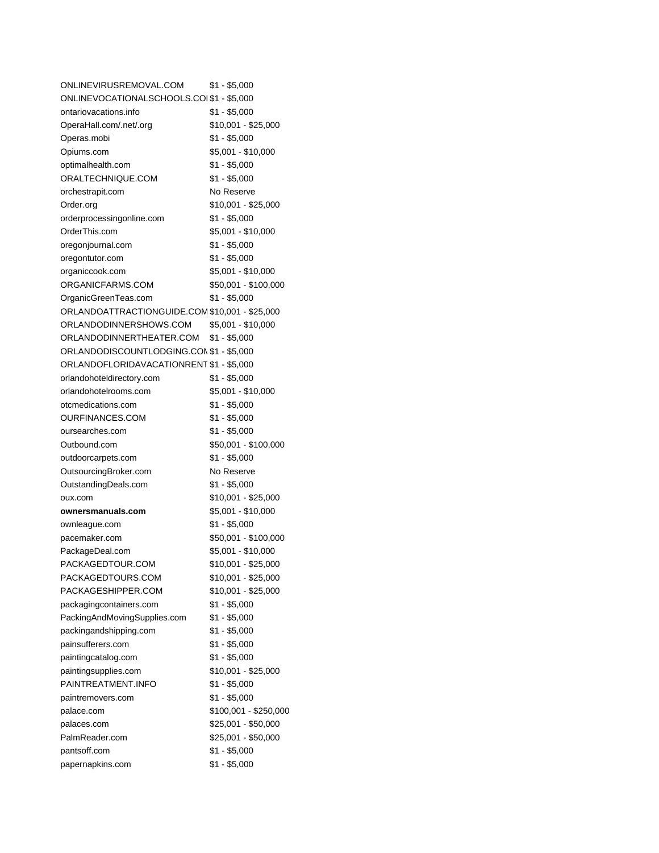| ONLINEVIRUSREMOVAL.COM                         | \$1 - \$5,000         |
|------------------------------------------------|-----------------------|
| ONLINEVOCATIONALSCHOOLS.COI \$1 - \$5,000      |                       |
| ontariovacations.info                          | \$1 - \$5,000         |
| OperaHall.com/.net/.org                        | \$10,001 - \$25,000   |
| Operas.mobi                                    | $$1 - $5,000$         |
| Opiums.com                                     | $$5,001 - $10,000$    |
| optimalhealth.com                              | $$1 - $5,000$         |
| ORALTECHNIQUE.COM                              | $$1 - $5,000$         |
| orchestrapit.com                               | No Reserve            |
| Order.org                                      | \$10,001 - \$25,000   |
| orderprocessingonline.com                      | \$1 - \$5,000         |
| OrderThis.com                                  | $$5,001 - $10,000$    |
| oregonjournal.com                              | \$1 - \$5,000         |
| oregontutor.com                                | \$1 - \$5,000         |
| organiccook.com                                | \$5,001 - \$10,000    |
| ORGANICFARMS.COM                               | \$50,001 - \$100,000  |
| OrganicGreenTeas.com                           | \$1 - \$5,000         |
| ORLANDOATTRACTIONGUIDE.COM \$10,001 - \$25,000 |                       |
| ORLANDODINNERSHOWS.COM                         | $$5,001 - $10,000$    |
| ORLANDODINNERTHEATER.COM                       | $$1 - $5,000$         |
| ORLANDODISCOUNTLODGING.CON \$1 - \$5,000       |                       |
| ORLANDOFLORIDAVACATIONRENT \$1 - \$5,000       |                       |
| orlandohoteldirectory.com                      | \$1 - \$5,000         |
| orlandohotelrooms.com                          | \$5,001 - \$10,000    |
| otcmedications.com                             | $$1 - $5,000$         |
| OURFINANCES.COM                                | $$1 - $5,000$         |
| oursearches.com                                | $$1 - $5,000$         |
| Outbound.com                                   | \$50,001 - \$100,000  |
| outdoorcarpets.com                             | $$1 - $5,000$         |
| OutsourcingBroker.com                          | No Reserve            |
| OutstandingDeals.com                           | $$1 - $5,000$         |
| oux.com                                        | $$10,001 - $25,000$   |
| ownersmanuals.com                              | \$5,001 - \$10,000    |
| ownleague.com                                  | $$1 - $5,000$         |
| pacemaker.com                                  | \$50,001 - \$100,000  |
| PackageDeal.com                                | \$5,001 - \$10,000    |
| PACKAGEDTOUR.COM                               | \$10,001 - \$25,000   |
| PACKAGEDTOURS.COM                              | \$10,001 - \$25,000   |
| PACKAGESHIPPER.COM                             | \$10,001 - \$25,000   |
| packagingcontainers.com                        | $$1 - $5,000$         |
| PackingAndMovingSupplies.com                   | $$1 - $5,000$         |
| packingandshipping.com                         | $$1 - $5,000$         |
| painsufferers.com                              | $$1 - $5,000$         |
| paintingcatalog.com                            | $$1 - $5,000$         |
| paintingsupplies.com                           | \$10,001 - \$25,000   |
| PAINTREATMENT.INFO                             | $$1 - $5,000$         |
| paintremovers.com                              | $$1 - $5,000$         |
| palace.com                                     | \$100,001 - \$250,000 |
| palaces.com                                    | \$25,001 - \$50,000   |
| PalmReader.com                                 | \$25,001 - \$50,000   |
| pantsoff.com                                   | \$1 - \$5,000         |
| papernapkins.com                               | $$1 - $5,000$         |
|                                                |                       |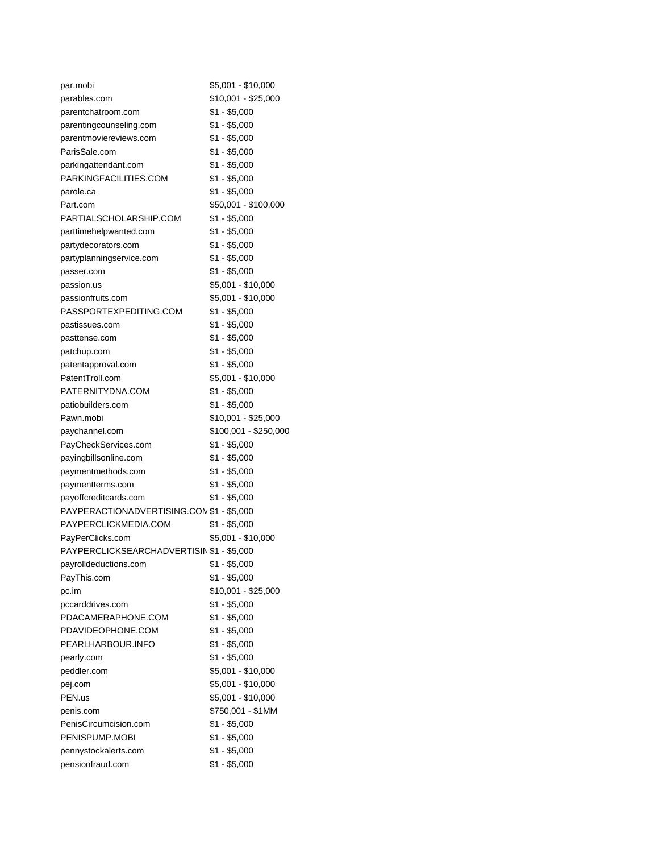| par.mobi                                  | \$5,001 - \$10,000    |
|-------------------------------------------|-----------------------|
| parables.com                              | \$10,001 - \$25,000   |
| parentchatroom.com                        | \$1 - \$5,000         |
| parentingcounseling.com                   | $$1 - $5,000$         |
| parentmoviereviews.com                    | $$1 - $5,000$         |
| ParisSale.com                             | \$1 - \$5,000         |
| parkingattendant.com                      | $$1 - $5,000$         |
| PARKINGFACILITIES.COM                     | $$1 - $5,000$         |
| parole.ca                                 | $$1 - $5,000$         |
| Part.com                                  | \$50,001 - \$100,000  |
| PARTIALSCHOLARSHIP.COM                    | \$1 - \$5,000         |
| parttimehelpwanted.com                    | $$1 - $5,000$         |
| partydecorators.com                       | $$1 - $5,000$         |
| partyplanningservice.com                  | $$1 - $5,000$         |
| passer.com                                | $$1 - $5,000$         |
| passion.us                                | \$5,001 - \$10,000    |
| passionfruits.com                         | \$5,001 - \$10,000    |
| PASSPORTEXPEDITING.COM                    | $$1 - $5,000$         |
| pastissues.com                            | \$1 - \$5,000         |
| pasttense.com                             | $$1 - $5,000$         |
| patchup.com                               | $$1 - $5,000$         |
| patentapproval.com                        | \$1 - \$5,000         |
| PatentTroll.com                           | \$5,001 - \$10,000    |
| PATERNITYDNA.COM                          | $$1 - $5,000$         |
| patiobuilders.com                         | $$1 - $5,000$         |
| Pawn.mobi                                 | \$10,001 - \$25,000   |
| paychannel.com                            | \$100,001 - \$250,000 |
| PayCheckServices.com                      | $$1 - $5,000$         |
| payingbillsonline.com                     | $$1 - $5,000$         |
| paymentmethods.com                        | $$1 - $5,000$         |
| paymentterms.com                          | $$1 - $5,000$         |
| payoffcreditcards.com                     | $$1 - $5,000$         |
| PAYPERACTIONADVERTISING.CON \$1 - \$5,000 |                       |
| PAYPERCLICKMEDIA.COM                      | $$1 - $5,000$         |
| PayPerClicks.com                          | \$5,001 - \$10,000    |
| PAYPERCLICKSEARCHADVERTISIN \$1 - \$5,000 |                       |
| payrolldeductions.com                     | $$1 - $5,000$         |
| PayThis.com                               | $$1 - $5,000$         |
| pc.im                                     | \$10,001 - \$25,000   |
|                                           | $$1 - $5,000$         |
| pccarddrives.com<br>PDACAMERAPHONE.COM    | $$1 - $5,000$         |
| PDAVIDEOPHONE.COM                         |                       |
|                                           | $$1 - $5,000$         |
| PEARLHARBOUR.INFO                         | $$1 - $5,000$         |
| pearly.com                                | $$1 - $5,000$         |
| peddler.com                               | \$5,001 - \$10,000    |
| pej.com                                   | \$5,001 - \$10,000    |
| PEN.us                                    | \$5,001 - \$10,000    |
| penis.com                                 | \$750,001 - \$1MM     |
| PenisCircumcision.com                     | $$1 - $5,000$         |
| PENISPUMP.MOBI                            | $$1 - $5,000$         |
| pennystockalerts.com                      | $$1 - $5,000$         |
| pensionfraud.com                          | $$1 - $5,000$         |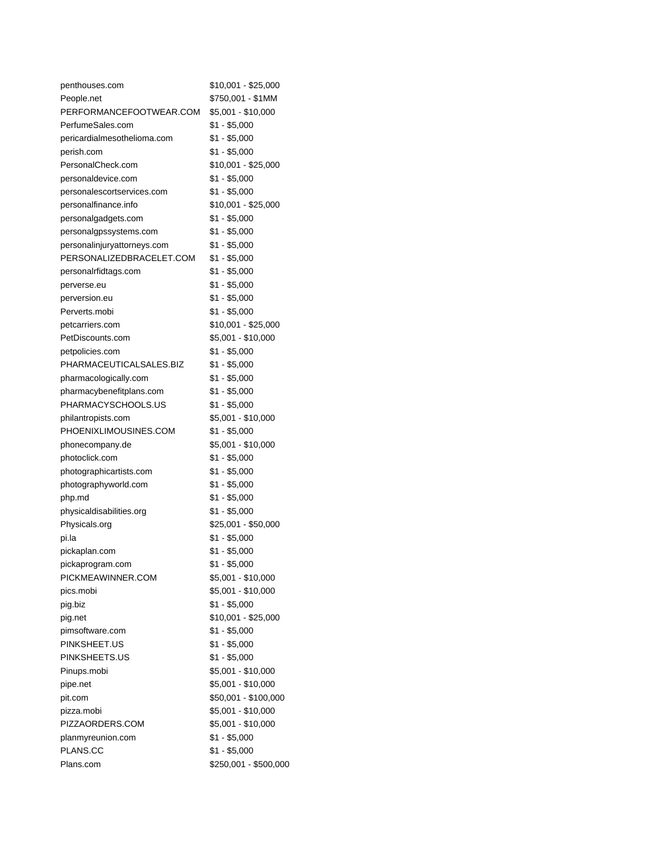| penthouses.com              | \$10,001 - \$25,000   |
|-----------------------------|-----------------------|
| People.net                  | \$750,001 - \$1MM     |
| PERFORMANCEFOOTWEAR.COM     | \$5,001 - \$10,000    |
| PerfumeSales.com            | $$1 - $5,000$         |
| pericardialmesothelioma.com | \$1 - \$5,000         |
| perish.com                  | \$1 - \$5,000         |
| PersonalCheck.com           | \$10,001 - \$25,000   |
| personaldevice.com          | \$1 - \$5,000         |
| personalescortservices.com  | \$1 - \$5,000         |
| personalfinance.info        | \$10,001 - \$25,000   |
| personalgadgets.com         | \$1 - \$5,000         |
| personalgpssystems.com      | $$1 - $5,000$         |
| personalinjuryattorneys.com | \$1 - \$5,000         |
| PERSONALIZEDBRACELET.COM    | \$1 - \$5,000         |
| personalrfidtags.com        | \$1 - \$5,000         |
| perverse.eu                 | \$1 - \$5,000         |
| perversion.eu               | \$1 - \$5,000         |
| Perverts.mobi               | \$1 - \$5,000         |
| petcarriers.com             | \$10,001 - \$25,000   |
| PetDiscounts.com            | \$5,001 - \$10,000    |
| petpolicies.com             | \$1 - \$5,000         |
| PHARMACEUTICALSALES.BIZ     | $$1 - $5,000$         |
| pharmacologically.com       | $$1 - $5,000$         |
| pharmacybenefitplans.com    | $$1 - $5,000$         |
| PHARMACYSCHOOLS.US          | \$1 - \$5,000         |
| philantropists.com          | \$5,001 - \$10,000    |
| PHOENIXLIMOUSINES.COM       | $$1 - $5,000$         |
| phonecompany.de             | \$5,001 - \$10,000    |
| photoclick.com              | \$1 - \$5,000         |
| photographicartists.com     | \$1 - \$5,000         |
| photographyworld.com        | $$1 - $5,000$         |
| php.md                      | \$1 - \$5,000         |
| physicaldisabilities.org    | \$1 - \$5,000         |
| Physicals.org               | \$25,001 - \$50,000   |
| pi.la                       | $$1 - $5,000$         |
| pickaplan.com               | \$1 - \$5,000         |
| pickaprogram.com            | $$1 - $5,000$         |
| PICKMEAWINNER.COM           | \$5,001 - \$10,000    |
| pics.mobi                   | \$5,001 - \$10,000    |
| pig.biz                     | $$1 - $5,000$         |
| pig.net                     | $$10,001 - $25,000$   |
| pimsoftware.com             | \$1 - \$5,000         |
| PINKSHEET.US                | \$1 - \$5,000         |
| PINKSHEETS.US               | $$1 - $5,000$         |
| Pinups.mobi                 | \$5,001 - \$10,000    |
| pipe.net                    | \$5,001 - \$10,000    |
| pit.com                     | \$50,001 - \$100,000  |
| pizza.mobi                  | \$5,001 - \$10,000    |
| PIZZAORDERS.COM             | \$5,001 - \$10,000    |
| planmyreunion.com           | $$1 - $5,000$         |
| PLANS.CC                    | $$1 - $5,000$         |
| Plans.com                   | \$250,001 - \$500,000 |
|                             |                       |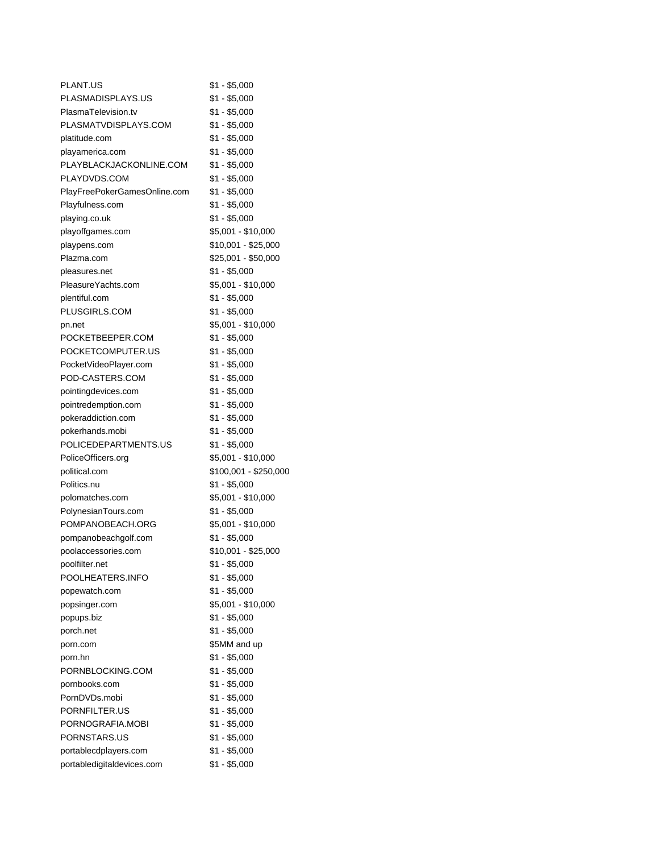| <b>PLANT.US</b>              | \$1 - \$5,000         |
|------------------------------|-----------------------|
| PLASMADISPLAYS.US            | $$1 - $5,000$         |
| PlasmaTelevision.tv          | $$1 - $5,000$         |
| PLASMATVDISPLAYS.COM         | \$1 - \$5,000         |
| platitude.com                | \$1 - \$5,000         |
| playamerica.com              | \$1 - \$5,000         |
| PLAYBLACKJACKONLINE.COM      | \$1 - \$5,000         |
| PLAYDVDS.COM                 | $$1 - $5,000$         |
| PlayFreePokerGamesOnline.com | $$1 - $5,000$         |
| Playfulness.com              | $$1 - $5,000$         |
| playing.co.uk                | $$1 - $5,000$         |
| playoffgames.com             | \$5,001 - \$10,000    |
| playpens.com                 | \$10,001 - \$25,000   |
| Plazma.com                   | \$25,001 - \$50,000   |
| pleasures.net                | $$1 - $5,000$         |
| PleasureYachts.com           | \$5,001 - \$10,000    |
| plentiful.com                | \$1 - \$5,000         |
| PLUSGIRLS.COM                | \$1 - \$5,000         |
| pn.net                       | \$5,001 - \$10,000    |
| POCKETBEEPER.COM             | $$1 - $5,000$         |
| POCKETCOMPUTER.US            | \$1 - \$5,000         |
| PocketVideoPlayer.com        | $$1 - $5,000$         |
| POD-CASTERS.COM              | $$1 - $5,000$         |
| pointingdevices.com          | $$1 - $5,000$         |
| pointredemption.com          | \$1 - \$5,000         |
| pokeraddiction.com           | $$1 - $5,000$         |
| pokerhands.mobi              | $$1 - $5,000$         |
| POLICEDEPARTMENTS.US         | $$1 - $5,000$         |
| PoliceOfficers.org           | \$5,001 - \$10,000    |
| political.com                | \$100,001 - \$250,000 |
| Politics.nu                  | $$1 - $5,000$         |
| polomatches.com              | \$5,001 - \$10,000    |
| PolynesianTours.com          | $$1 - $5,000$         |
| POMPANOBEACH.ORG             | \$5,001 - \$10,000    |
| pompanobeachgolf.com         | \$1 - \$5,000         |
| poolaccessories.com          | \$10,001 - \$25,000   |
| poolfilter.net               | $$1 - $5,000$         |
| POOLHEATERS.INFO             | \$1 - \$5,000         |
| popewatch.com                | $$1 - $5,000$         |
| popsinger.com                | \$5,001 - \$10,000    |
| popups.biz                   | $$1 - $5,000$         |
| porch.net                    | $$1 - $5,000$         |
| porn.com                     | \$5MM and up          |
| porn.hn                      | $$1 - $5,000$         |
| PORNBLOCKING.COM             | $$1 - $5,000$         |
| pornbooks.com                | $$1 - $5,000$         |
| PornDVDs.mobi                | $$1 - $5,000$         |
| PORNFILTER.US                | $$1 - $5,000$         |
| PORNOGRAFIA.MOBI             | $$1 - $5,000$         |
| PORNSTARS.US                 | $$1 - $5,000$         |
| portablecdplayers.com        | $$1 - $5,000$         |
| portabledigitaldevices.com   | $$1 - $5,000$         |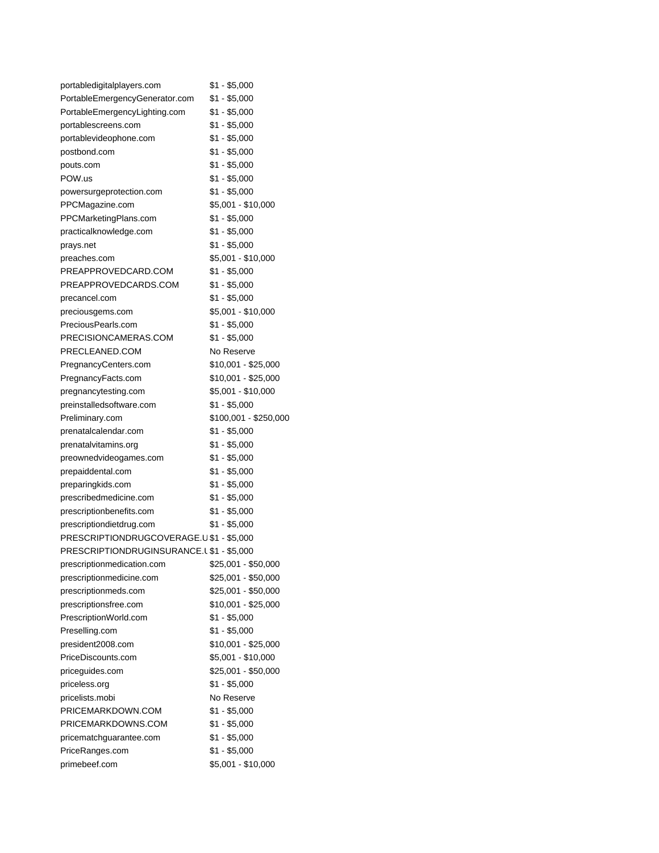| portabledigitalplayers.com               | \$1 - \$5,000         |
|------------------------------------------|-----------------------|
| PortableEmergencyGenerator.com           | $$1 - $5,000$         |
| PortableEmergencyLighting.com            | \$1 - \$5,000         |
| portablescreens.com                      | \$1 - \$5,000         |
| portablevideophone.com                   | $$1 - $5,000$         |
| postbond.com                             | $$1 - $5,000$         |
| pouts.com                                | \$1 - \$5,000         |
| POW.us                                   | $$1 - $5,000$         |
| powersurgeprotection.com                 | $$1 - $5,000$         |
| PPCMagazine.com                          | \$5,001 - \$10,000    |
| PPCMarketingPlans.com                    | $$1 - $5,000$         |
| practicalknowledge.com                   | $$1 - $5,000$         |
| prays.net                                | \$1 - \$5,000         |
| preaches.com                             | \$5,001 - \$10,000    |
| PREAPPROVEDCARD.COM                      | \$1 - \$5,000         |
| PREAPPROVEDCARDS.COM                     | \$1 - \$5,000         |
| precancel.com                            | $$1 - $5,000$         |
| preciousgems.com                         | \$5,001 - \$10,000    |
| PreciousPearls.com                       | \$1 - \$5,000         |
| PRECISIONCAMERAS.COM                     | \$1 - \$5,000         |
| PRECLEANED.COM                           | No Reserve            |
| PregnancyCenters.com                     | \$10,001 - \$25,000   |
| PregnancyFacts.com                       | \$10,001 - \$25,000   |
| pregnancytesting.com                     | \$5,001 - \$10,000    |
| preinstalledsoftware.com                 | $$1 - $5,000$         |
| Preliminary.com                          | \$100,001 - \$250,000 |
| prenatalcalendar.com                     | $$1 - $5,000$         |
| prenatalvitamins.org                     | \$1 - \$5,000         |
| preownedvideogames.com                   | \$1 - \$5,000         |
| prepaiddental.com                        | \$1 - \$5,000         |
| preparingkids.com                        | $$1 - $5,000$         |
| prescribedmedicine.com                   | \$1 - \$5,000         |
| prescriptionbenefits.com                 | \$1 - \$5,000         |
| prescriptiondietdrug.com                 | \$1 - \$5,000         |
| PRESCRIPTIONDRUGCOVERAGE.U \$1 - \$5,000 |                       |
| PRESCRIPTIONDRUGINSURANCE.L\$1 - \$5,000 |                       |
| prescriptionmedication.com               | \$25,001 - \$50,000   |
| prescriptionmedicine.com                 | \$25,001 - \$50,000   |
| prescriptionmeds.com                     | \$25,001 - \$50,000   |
| prescriptionsfree.com                    | \$10,001 - \$25,000   |
| PrescriptionWorld.com                    | $$1 - $5,000$         |
| Preselling.com                           | $$1 - $5,000$         |
| president2008.com                        | \$10,001 - \$25,000   |
| PriceDiscounts.com                       | \$5,001 - \$10,000    |
| pricequides.com                          | \$25,001 - \$50,000   |
| priceless.org                            | $$1 - $5,000$         |
| pricelists.mobi                          | No Reserve            |
| PRICEMARKDOWN.COM                        | \$1 - \$5,000         |
| PRICEMARKDOWNS.COM                       | $$1 - $5,000$         |
| pricematchguarantee.com                  | $$1 - $5,000$         |
| PriceRanges.com                          | $$1 - $5,000$         |
| primebeef.com                            | \$5,001 - \$10,000    |
|                                          |                       |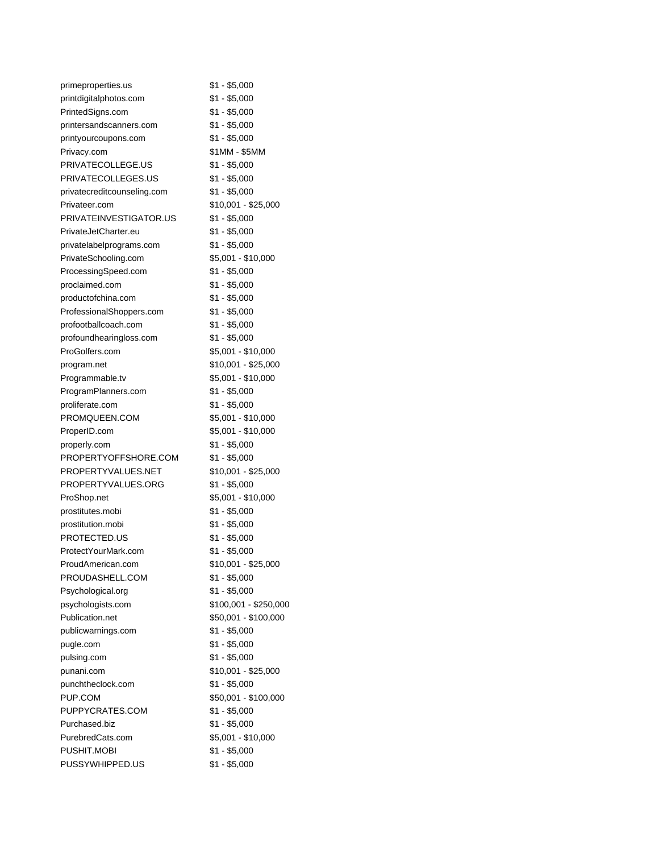| primeproperties.us          | $$1 - $5,000$         |
|-----------------------------|-----------------------|
| printdigitalphotos.com      | $$1 - $5,000$         |
| PrintedSigns.com            | \$1 - \$5,000         |
| printersandscanners.com     | $$1 - $5,000$         |
| printyourcoupons.com        | $$1 - $5,000$         |
| Privacy.com                 | \$1MM - \$5MM         |
| PRIVATECOLLEGE.US           | \$1 - \$5,000         |
| PRIVATECOLLEGES.US          | $$1 - $5,000$         |
| privatecreditcounseling.com | $$1 - $5,000$         |
| Privateer.com               | \$10,001 - \$25,000   |
| PRIVATEINVESTIGATOR.US      | \$1 - \$5,000         |
| PrivateJetCharter.eu        | $$1 - $5,000$         |
| privatelabelprograms.com    | $$1 - $5,000$         |
| PrivateSchooling.com        | \$5,001 - \$10,000    |
| ProcessingSpeed.com         | \$1 - \$5,000         |
| proclaimed.com              | $$1 - $5,000$         |
| productofchina.com          | $$1 - $5,000$         |
| ProfessionalShoppers.com    | $$1 - $5,000$         |
| profootballcoach.com        | $$1 - $5,000$         |
| profoundhearingloss.com     | $$1 - $5,000$         |
| ProGolfers.com              | \$5,001 - \$10,000    |
| program.net                 | \$10,001 - \$25,000   |
| Programmable.tv             | \$5,001 - \$10,000    |
| ProgramPlanners.com         | $$1 - $5,000$         |
| proliferate.com             | $$1 - $5,000$         |
| PROMQUEEN.COM               | \$5,001 - \$10,000    |
| ProperID.com                | \$5,001 - \$10,000    |
| properly.com                | \$1 - \$5,000         |
| PROPERTYOFFSHORE.COM        | $$1 - $5,000$         |
| PROPERTYVALUES.NET          | \$10,001 - \$25,000   |
| PROPERTYVALUES.ORG          | $$1 - $5,000$         |
| ProShop.net                 | \$5,001 - \$10,000    |
| prostitutes.mobi            | \$1 - \$5,000         |
| prostitution.mobi           | $$1 - $5,000$         |
| PROTECTED.US                | $$1 - $5,000$         |
| ProtectYourMark.com         | $$1 - $5,000$         |
| ProudAmerican.com           | \$10,001 - \$25,000   |
| PROUDASHELL.COM             | $$1 - $5,000$         |
| Psychological.org           | $$1 - $5,000$         |
| psychologists.com           | \$100,001 - \$250,000 |
| Publication.net             | \$50,001 - \$100,000  |
| publicwarnings.com          | $$1 - $5,000$         |
| pugle.com                   | $$1 - $5,000$         |
| pulsing.com                 | $$1 - $5,000$         |
| punani.com                  | \$10,001 - \$25,000   |
| punchtheclock.com           | $$1 - $5,000$         |
| PUP.COM                     | \$50,001 - \$100,000  |
| PUPPYCRATES.COM             | $$1 - $5,000$         |
| Purchased.biz               | $$1 - $5,000$         |
| PurebredCats.com            | \$5,001 - \$10,000    |
| PUSHIT.MOBI                 | $$1 - $5,000$         |
| PUSSYWHIPPED.US             | $$1 - $5,000$         |
|                             |                       |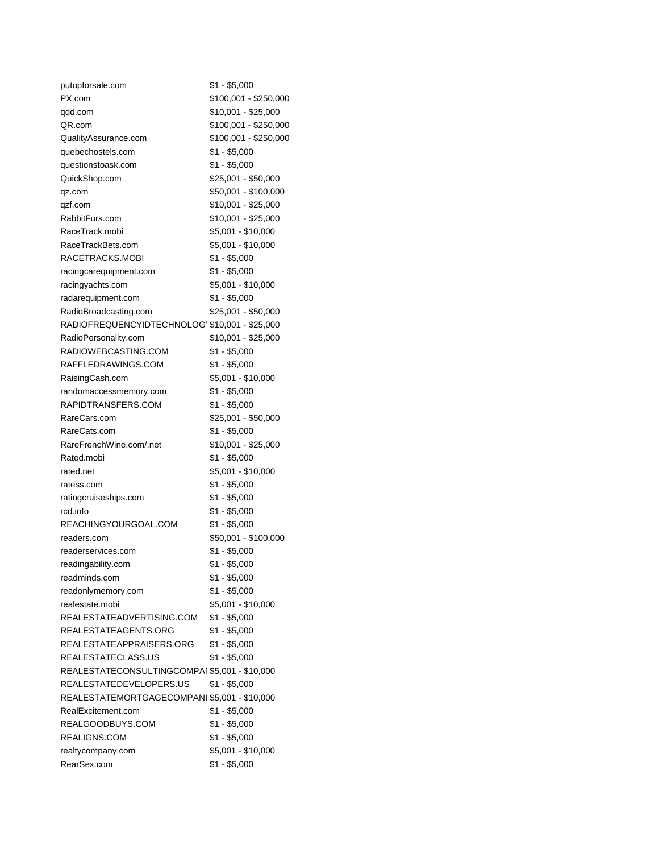| putupforsale.com                               | \$1 - \$5,000         |
|------------------------------------------------|-----------------------|
| PX.com                                         | \$100,001 - \$250,000 |
| qdd.com                                        | \$10,001 - \$25,000   |
| QR.com                                         | \$100,001 - \$250,000 |
| QualityAssurance.com                           | $$100,001 - $250,000$ |
| quebechostels.com                              | \$1 - \$5,000         |
| questionstoask.com                             | $$1 - $5,000$         |
| QuickShop.com                                  | \$25,001 - \$50,000   |
| qz.com                                         | \$50,001 - \$100,000  |
| qzf.com                                        | \$10,001 - \$25,000   |
| RabbitFurs.com                                 | \$10,001 - \$25,000   |
| RaceTrack.mobi                                 | \$5,001 - \$10,000    |
| RaceTrackBets.com                              | \$5,001 - \$10,000    |
| RACETRACKS.MOBI                                | $$1 - $5,000$         |
| racingcarequipment.com                         | $$1 - $5,000$         |
| racingyachts.com                               | $$5,001 - $10,000$    |
| radarequipment.com                             | \$1 - \$5,000         |
| RadioBroadcasting.com                          | \$25,001 - \$50,000   |
| RADIOFREQUENCYIDTECHNOLOG' \$10,001 - \$25,000 |                       |
| RadioPersonality.com                           | \$10,001 - \$25,000   |
| RADIOWEBCASTING.COM                            | \$1 - \$5,000         |
| RAFFLEDRAWINGS.COM                             | $$1 - $5,000$         |
| RaisingCash.com                                | \$5,001 - \$10,000    |
| randomaccessmemory.com                         | $$1 - $5,000$         |
| RAPIDTRANSFERS.COM                             | $$1 - $5,000$         |
| RareCars.com                                   | \$25,001 - \$50,000   |
| RareCats.com                                   | $$1 - $5,000$         |
| RareFrenchWine.com/.net                        | \$10,001 - \$25,000   |
| Rated.mobi                                     | $$1 - $5,000$         |
| rated.net                                      | \$5,001 - \$10,000    |
| ratess.com                                     | $$1 - $5,000$         |
| ratingcruiseships.com                          | $$1 - $5,000$         |
| rcd.info                                       | $$1 - $5,000$         |
| REACHINGYOURGOAL.COM                           | $$1 - $5,000$         |
| readers.com                                    | \$50,001 - \$100,000  |
| readerservices.com                             | $$1 - $5,000$         |
| readingability.com                             | $$1 - $5,000$         |
| readminds.com                                  | \$1 - \$5,000         |
| readonlymemory.com                             | $$1 - $5,000$         |
| realestate.mobi                                | \$5,001 - \$10,000    |
| REALESTATEADVERTISING.COM                      | $$1 - $5,000$         |
| REALESTATEAGENTS.ORG                           | $$1 - $5,000$         |
| REALESTATEAPPRAISERS.ORG                       | \$1 - \$5,000         |
| REALESTATECLASS.US                             | $$1 - $5,000$         |
| REALESTATECONSULTINGCOMPAI \$5,001 - \$10,000  |                       |
| REALESTATEDEVELOPERS.US                        | $$1 - $5,000$         |
| REALESTATEMORTGAGECOMPANI \$5,001 - \$10,000   |                       |
| RealExcitement.com                             | $$1 - $5,000$         |
| REALGOODBUYS.COM                               | $$1 - $5,000$         |
| REALIGNS.COM                                   | \$1 - \$5,000         |
| realtycompany.com                              | \$5,001 - \$10,000    |
| RearSex.com                                    | $$1 - $5,000$         |
|                                                |                       |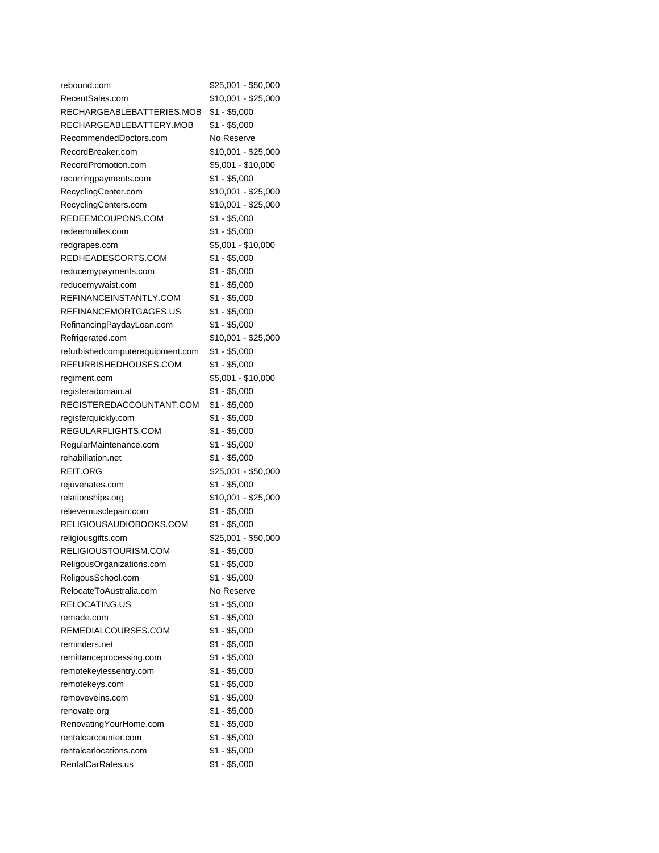| rebound.com                      | \$25,001 - \$50,000 |
|----------------------------------|---------------------|
| RecentSales.com                  | \$10,001 - \$25,000 |
| RECHARGEABLEBATTERIES.MOB        | \$1 - \$5,000       |
| RECHARGEABLEBATTERY.MOB          | \$1 - \$5,000       |
| RecommendedDoctors.com           | No Reserve          |
| RecordBreaker.com                | \$10,001 - \$25,000 |
| RecordPromotion.com              | \$5,001 - \$10,000  |
| recurringpayments.com            | $$1 - $5,000$       |
| RecyclingCenter.com              | \$10,001 - \$25,000 |
| RecyclingCenters.com             | \$10,001 - \$25,000 |
| REDEEMCOUPONS.COM                | \$1 - \$5,000       |
| redeemmiles.com                  | $$1 - $5,000$       |
| redgrapes.com                    | \$5,001 - \$10,000  |
| REDHEADESCORTS.COM               | $$1 - $5,000$       |
| reducemypayments.com             | $$1 - $5,000$       |
| reducemywaist.com                | $$1 - $5,000$       |
| REFINANCEINSTANTLY.COM           | $$1 - $5,000$       |
| REFINANCEMORTGAGES.US            | $$1 - $5,000$       |
| RefinancingPaydayLoan.com        | $$1 - $5,000$       |
| Refrigerated.com                 | \$10,001 - \$25,000 |
| refurbishedcomputerequipment.com | \$1 - \$5,000       |
| REFURBISHEDHOUSES.COM            | \$1 - \$5,000       |
| regiment.com                     | \$5,001 - \$10,000  |
| registeradomain.at               | $$1 - $5,000$       |
| REGISTEREDACCOUNTANT.COM         | \$1 - \$5,000       |
| registerquickly.com              | \$1 - \$5,000       |
| REGULARFLIGHTS.COM               | $$1 - $5,000$       |
| RegularMaintenance.com           | $$1 - $5,000$       |
| rehabiliation.net                | $$1 - $5,000$       |
| REIT.ORG                         | \$25,001 - \$50,000 |
| rejuvenates.com                  | $$1 - $5,000$       |
| relationships.org                | \$10,001 - \$25,000 |
| relievemusclepain.com            | \$1 - \$5,000       |
| RELIGIOUSAUDIOBOOKS.COM          | \$1 - \$5,000       |
| religiousgifts.com               | \$25,001 - \$50,000 |
| RELIGIOUSTOURISM.COM             | $$1 - $5,000$       |
| ReligousOrganizations.com        | \$1 - \$5,000       |
| ReligousSchool.com               | $$1 - $5,000$       |
| RelocateToAustralia.com          | No Reserve          |
| <b>RELOCATING.US</b>             | $$1 - $5,000$       |
| remade.com                       | \$1 - \$5,000       |
| REMEDIALCOURSES.COM              | \$1 - \$5,000       |
| reminders.net                    | $$1 - $5,000$       |
| remittanceprocessing.com         | $$1 - $5,000$       |
| remotekeylessentry.com           | $$1 - $5,000$       |
| remotekeys.com                   | $$1 - $5,000$       |
| removeveins.com                  | $$1 - $5,000$       |
| renovate.org                     | $$1 - $5,000$       |
| Renovating Your Home.com         | $$1 - $5,000$       |
| rentalcarcounter.com             | \$1 - \$5,000       |
| rentalcarlocations.com           | $$1 - $5,000$       |
| RentalCarRates.us                | \$1 - \$5,000       |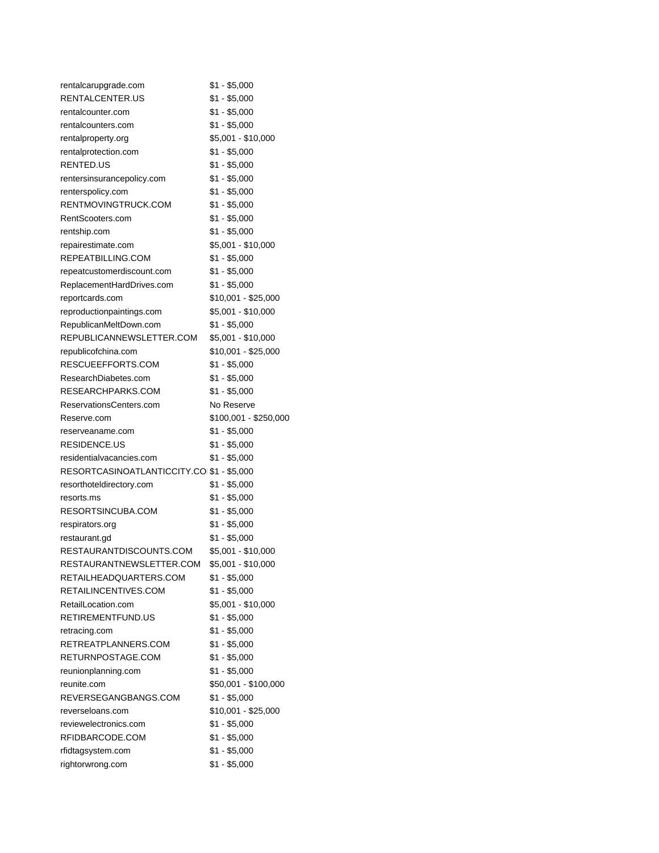| rentalcarupgrade.com                       | \$1 - \$5,000                       |
|--------------------------------------------|-------------------------------------|
| RENTALCENTER.US                            | $$1 - $5,000$                       |
| rentalcounter.com                          | \$1 - \$5,000                       |
| rentalcounters.com                         | \$1 - \$5,000                       |
| rentalproperty.org                         | \$5,001 - \$10,000                  |
| rentalprotection.com                       | $$1 - $5,000$                       |
| RENTED.US                                  | \$1 - \$5,000                       |
| rentersinsurancepolicy.com                 | $$1 - $5,000$                       |
| renterspolicy.com                          | $$1 - $5,000$                       |
| RENTMOVINGTRUCK.COM                        | $$1 - $5,000$                       |
| RentScooters.com                           | $$1 - $5,000$                       |
| rentship.com                               | \$1 - \$5,000                       |
| repairestimate.com                         | \$5,001 - \$10,000                  |
| REPEATBILLING.COM                          | \$1 - \$5,000                       |
| repeatcustomerdiscount.com                 | $$1 - $5,000$                       |
| ReplacementHardDrives.com                  | $$1 - $5,000$                       |
| reportcards.com                            | \$10,001 - \$25,000                 |
| reproductionpaintings.com                  | \$5,001 - \$10,000                  |
| RepublicanMeltDown.com                     | $$1 - $5,000$                       |
| REPUBLICANNEWSLETTER.COM                   | \$5,001 - \$10,000                  |
|                                            |                                     |
| republicofchina.com                        | \$10,001 - \$25,000                 |
| RESCUEEFFORTS.COM                          | \$1 - \$5,000                       |
| ResearchDiabetes.com                       | \$1 - \$5,000                       |
| RESEARCHPARKS.COM                          | $$1 - $5,000$                       |
| ReservationsCenters.com                    | No Reserve                          |
| Reserve.com                                | \$100,001 - \$250,000               |
| reserveaname.com                           | $$1 - $5,000$                       |
|                                            |                                     |
| RESIDENCE.US                               | $$1 - $5,000$                       |
| residentialvacancies.com                   | \$1 - \$5,000                       |
| RESORTCASINOATLANTICCITY.COI \$1 - \$5,000 |                                     |
| resorthoteldirectory.com                   | \$1 - \$5,000                       |
| resorts.ms                                 | $$1 - $5,000$                       |
| RESORTSINCUBA.COM                          | \$1 - \$5,000                       |
| respirators.org                            | $$1 - $5,000$                       |
| restaurant.gd                              | $$1 - $5,000$                       |
| RESTAURANTDISCOUNTS.COM                    | \$5,001 - \$10,000                  |
| RESTAURANTNEWSLETTER.COM                   | \$5,001 - \$10,000                  |
| RETAILHEADQUARTERS.COM                     | \$1 - \$5,000                       |
| RETAILINCENTIVES.COM                       |                                     |
| RetailLocation.com                         | $$1 - $5,000$<br>\$5,001 - \$10,000 |
|                                            |                                     |
| RETIREMENTFUND.US                          | $$1 - $5,000$                       |
| retracing.com                              | $$1 - $5,000$                       |
| RETREATPLANNERS.COM                        | $$1 - $5,000$                       |
| RETURNPOSTAGE.COM                          | $$1 - $5,000$                       |
| reunionplanning.com                        | $$1 - $5,000$                       |
| reunite.com                                | \$50,001 - \$100,000                |
| REVERSEGANGBANGS.COM                       | $$1 - $5,000$                       |
| reverseloans.com                           | \$10,001 - \$25,000                 |
| reviewelectronics.com                      | $$1 - $5,000$                       |
| RFIDBARCODE.COM                            | $$1 - $5,000$                       |
| rfidtagsystem.com<br>rightorwrong.com      | $$1 - $5,000$<br>$$1 - $5,000$      |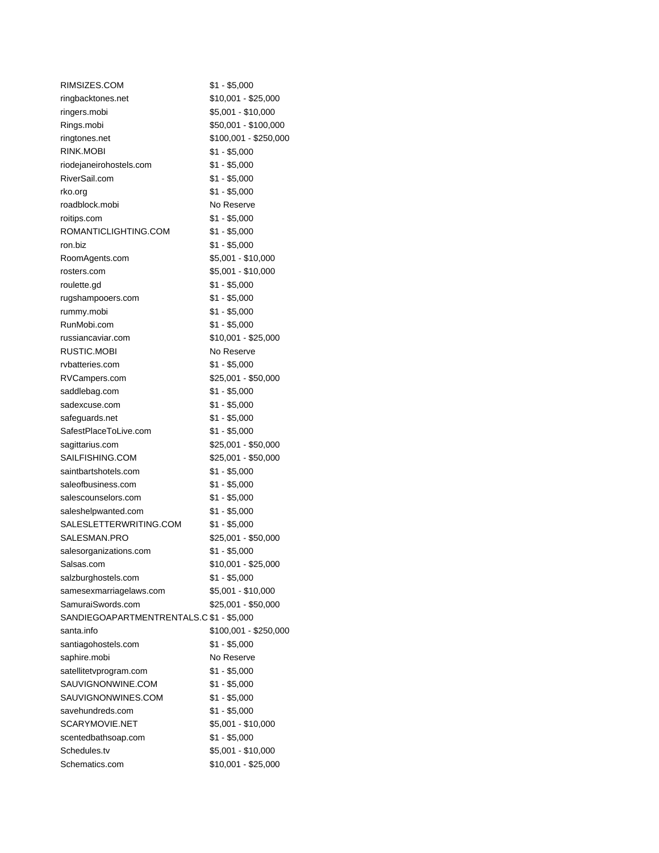| RIMSIZES.COM                             | $$1 - $5,000$         |
|------------------------------------------|-----------------------|
| ringbacktones.net                        | \$10,001 - \$25,000   |
| ringers.mobi                             | \$5,001 - \$10,000    |
| Rings.mobi                               | \$50,001 - \$100,000  |
| ringtones.net                            | \$100,001 - \$250,000 |
| RINK.MOBI                                | $$1 - $5,000$         |
| riodejaneirohostels.com                  | $$1 - $5,000$         |
| RiverSail.com                            | \$1 - \$5,000         |
| rko.org                                  | $$1 - $5,000$         |
| roadblock.mobi                           | No Reserve            |
| roitips.com                              | $$1 - $5,000$         |
| ROMANTICLIGHTING.COM                     | \$1 - \$5,000         |
| ron.biz                                  | $$1 - $5,000$         |
| RoomAgents.com                           | \$5,001 - \$10,000    |
| rosters.com                              | \$5,001 - \$10,000    |
| roulette.gd                              | $$1 - $5,000$         |
| rugshampooers.com                        | $$1 - $5,000$         |
| rummy.mobi                               | $$1 - $5,000$         |
| RunMobi.com                              | \$1 - \$5,000         |
| russiancaviar.com                        | \$10,001 - \$25,000   |
| RUSTIC.MOBI                              | No Reserve            |
| rvbatteries.com                          | $$1 - $5,000$         |
| RVCampers.com                            | \$25,001 - \$50,000   |
| saddlebag.com                            | $$1 - $5,000$         |
| sadexcuse.com                            | $$1 - $5,000$         |
| safeguards.net                           | $$1 - $5,000$         |
| SafestPlaceToLive.com                    | $$1 - $5,000$         |
| sagittarius.com                          | \$25,001 - \$50,000   |
| SAILFISHING.COM                          | \$25,001 - \$50,000   |
| saintbartshotels.com                     | \$1 - \$5,000         |
| saleofbusiness.com                       | \$1 - \$5,000         |
| salescounselors.com                      | $$1 - $5,000$         |
| saleshelpwanted.com                      | $$1 - $5,000$         |
| SALESLETTERWRITING.COM                   | $$1 - $5,000$         |
| SALESMAN.PRO                             | \$25,001 - \$50,000   |
| salesorganizations.com                   | $$1 - $5,000$         |
| Salsas.com                               | \$10,001 - \$25,000   |
| salzburghostels.com                      | $$1 - $5,000$         |
| samesexmarriagelaws.com                  | \$5,001 - \$10,000    |
| SamuraiSwords.com                        | \$25,001 - \$50,000   |
| SANDIEGOAPARTMENTRENTALS.C \$1 - \$5,000 |                       |
| santa.info                               | \$100,001 - \$250,000 |
| santiagohostels.com                      | $$1 - $5,000$         |
| saphire.mobi                             | No Reserve            |
| satellitetvprogram.com                   | \$1 - \$5,000         |
| SAUVIGNONWINE.COM                        | $$1 - $5,000$         |
| SAUVIGNONWINES.COM                       | $$1 - $5,000$         |
| savehundreds.com                         | $$1 - $5,000$         |
| SCARYMOVIE.NET                           | \$5,001 - \$10,000    |
| scentedbathsoap.com                      | $$1 - $5,000$         |
| Schedules.tv                             | \$5,001 - \$10,000    |
| Schematics.com                           | \$10,001 - \$25,000   |
|                                          |                       |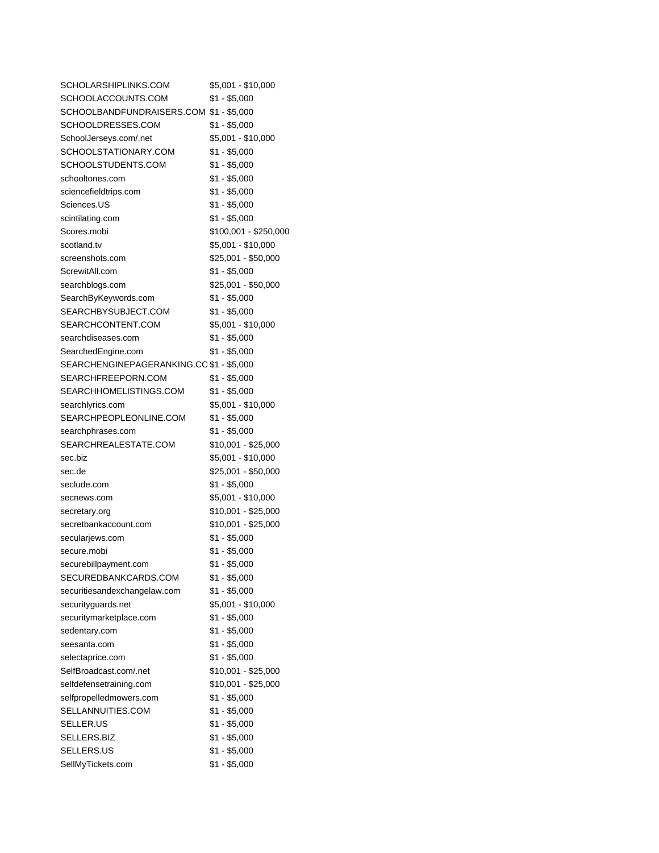| SCHOLARSHIPLINKS.COM                     | \$5,001 - \$10,000    |
|------------------------------------------|-----------------------|
| SCHOOLACCOUNTS.COM                       | \$1 - \$5,000         |
| SCHOOLBANDFUNDRAISERS.COM \$1 - \$5,000  |                       |
| SCHOOLDRESSES.COM                        | $$1 - $5,000$         |
| SchoolJerseys.com/.net                   | \$5,001 - \$10,000    |
| SCHOOLSTATIONARY.COM                     | \$1 - \$5,000         |
| SCHOOLSTUDENTS.COM                       | $$1 - $5,000$         |
| schooltones.com                          | $$1 - $5,000$         |
| sciencefieldtrips.com                    | $$1 - $5,000$         |
| Sciences.US                              | $$1 - $5,000$         |
| scintilating.com                         | $$1 - $5,000$         |
| Scores.mobi                              | \$100,001 - \$250,000 |
| scotland.tv                              | \$5,001 - \$10,000    |
| screenshots.com                          | \$25,001 - \$50,000   |
| ScrewitAll.com                           | $$1 - $5,000$         |
| searchblogs.com                          | \$25,001 - \$50,000   |
| SearchByKeywords.com                     | \$1 - \$5,000         |
| SEARCHBYSUBJECT.COM                      | \$1 - \$5,000         |
| SEARCHCONTENT.COM                        | \$5,001 - \$10,000    |
| searchdiseases.com                       | \$1 - \$5,000         |
| SearchedEngine.com                       | $$1 - $5,000$         |
| SEARCHENGINEPAGERANKING.CO \$1 - \$5,000 |                       |
| SEARCHFREEPORN.COM                       | $$1 - $5,000$         |
| SEARCHHOMELISTINGS.COM                   | $$1 - $5,000$         |
| searchlyrics.com                         | \$5,001 - \$10,000    |
| SEARCHPEOPLEONLINE.COM                   | $$1 - $5,000$         |
| searchphrases.com                        | $$1 - $5,000$         |
| SEARCHREALESTATE.COM                     | \$10,001 - \$25,000   |
| sec.biz                                  | \$5,001 - \$10,000    |
| sec.de                                   | \$25,001 - \$50,000   |
| seclude.com                              | $$1 - $5,000$         |
| secnews.com                              | \$5,001 - \$10,000    |
| secretary.org                            | \$10,001 - \$25,000   |
| secretbankaccount.com                    | \$10,001 - \$25,000   |
|                                          | \$1 - \$5,000         |
| secularjews.com<br>secure.mobi           | $$1 - $5,000$         |
| securebillpayment.com                    | $$1 - $5,000$         |
| SECUREDBANKCARDS.COM                     | $$1 - $5,000$         |
|                                          | $$1 - $5,000$         |
| securitiesandexchangelaw.com             |                       |
| securityguards.net                       | \$5,001 - \$10,000    |
| securitymarketplace.com                  | $$1 - $5,000$         |
| sedentary.com                            | $$1 - $5,000$         |
| seesanta.com                             | $$1 - $5,000$         |
| selectaprice.com                         | $$1 - $5,000$         |
| SelfBroadcast.com/.net                   | \$10,001 - \$25,000   |
| selfdefensetraining.com                  | \$10,001 - \$25,000   |
| selfpropelledmowers.com                  | $$1 - $5,000$         |
| SELLANNUITIES.COM                        | $$1 - $5,000$         |
| SELLER.US                                | $$1 - $5,000$         |
| SELLERS.BIZ                              | $$1 - $5,000$         |
| SELLERS.US                               | $$1 - $5,000$         |
| SellMyTickets.com                        | $$1 - $5,000$         |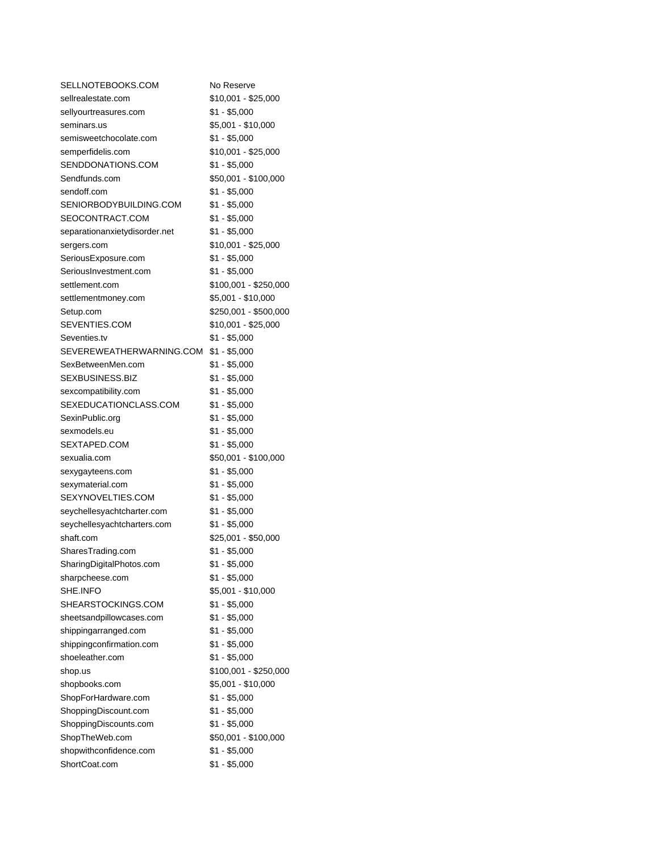| SELLNOTEBOOKS.COM                      | No Reserve            |
|----------------------------------------|-----------------------|
| sellrealestate.com                     | \$10,001 - \$25,000   |
| sellyourtreasures.com                  | $$1 - $5,000$         |
| seminars.us                            | \$5,001 - \$10,000    |
| semisweetchocolate.com                 | \$1 - \$5,000         |
| semperfidelis.com                      | \$10,001 - \$25,000   |
| SENDDONATIONS.COM                      | \$1 - \$5,000         |
| Sendfunds.com                          | \$50,001 - \$100,000  |
| sendoff.com                            | $$1 - $5,000$         |
| SENIORBODYBUILDING.COM                 | \$1 - \$5,000         |
| SEOCONTRACT.COM                        | \$1 - \$5,000         |
| separationanxietydisorder.net          | \$1 - \$5,000         |
| sergers.com                            | \$10,001 - \$25,000   |
| SeriousExposure.com                    | \$1 - \$5,000         |
| SeriousInvestment.com                  | $$1 - $5,000$         |
| settlement.com                         | \$100,001 - \$250,000 |
| settlementmoney.com                    | $$5,001 - $10,000$    |
| Setup.com                              | \$250,001 - \$500,000 |
| SEVENTIES.COM                          | \$10,001 - \$25,000   |
| Seventies.tv                           | $$1 - $5,000$         |
| SEVEREWEATHERWARNING.COM \$1 - \$5,000 |                       |
| SexBetweenMen.com                      | \$1 - \$5,000         |
| SEXBUSINESS.BIZ                        | $$1 - $5,000$         |
| sexcompatibility.com                   | $$1 - $5,000$         |
| SEXEDUCATIONCLASS.COM                  | \$1 - \$5,000         |
| SexinPublic.org                        | \$1 - \$5,000         |
| sexmodels.eu                           | $$1 - $5,000$         |
| SEXTAPED.COM                           | \$1 - \$5,000         |
| sexualia.com                           | \$50,001 - \$100,000  |
| sexygayteens.com                       | $$1 - $5,000$         |
| sexymaterial.com                       | $$1 - $5,000$         |
| SEXYNOVELTIES.COM                      | \$1 - \$5,000         |
| seychellesyachtcharter.com             | \$1 - \$5,000         |
| seychellesyachtcharters.com            | \$1 - \$5,000         |
| shaft.com                              | \$25,001 - \$50,000   |
| SharesTrading.com                      | $$1 - $5,000$         |
| SharingDigitalPhotos.com               | $$1 - $5,000$         |
| sharpcheese.com                        | $$1 - $5,000$         |
| SHE.INFO                               | \$5,001 - \$10,000    |
| SHEARSTOCKINGS.COM                     | $$1 - $5,000$         |
| sheetsandpillowcases.com               | $$1 - $5,000$         |
| shippingarranged.com                   | $$1 - $5,000$         |
| shippingconfirmation.com               | $$1 - $5,000$         |
| shoeleather.com                        | $$1 - $5,000$         |
| shop.us                                | \$100,001 - \$250,000 |
| shopbooks.com                          | \$5,001 - \$10,000    |
| ShopForHardware.com                    | $$1 - $5,000$         |
| ShoppingDiscount.com                   | $$1 - $5,000$         |
| ShoppingDiscounts.com                  | $$1 - $5,000$         |
| ShopTheWeb.com                         | \$50,001 - \$100,000  |
| shopwithconfidence.com                 | $$1 - $5,000$         |
| ShortCoat.com                          | $$1 - $5,000$         |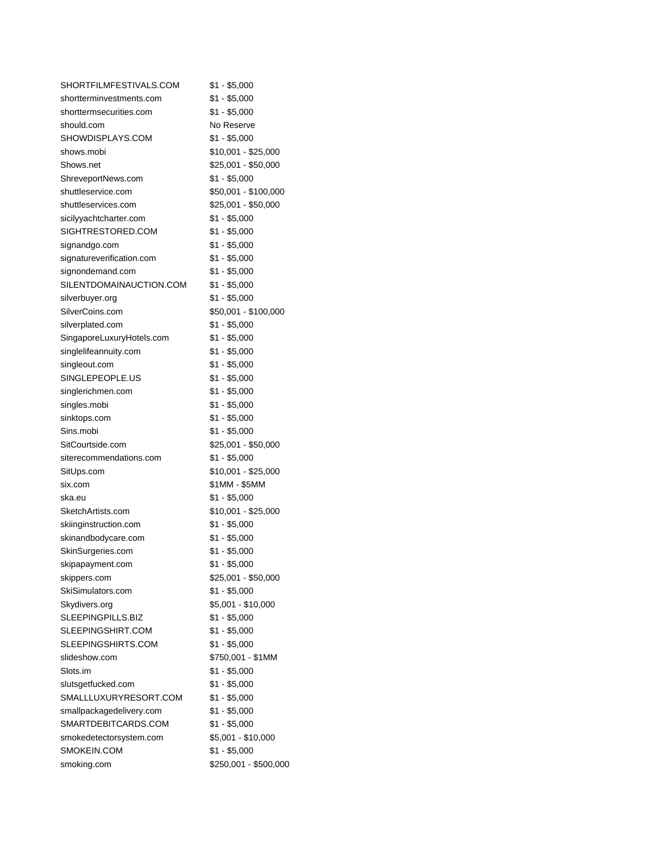| SHORTFILMFESTIVALS.COM    | \$1 - \$5,000         |
|---------------------------|-----------------------|
| shortterminvestments.com  | $$1 - $5,000$         |
| shorttermsecurities.com   | \$1 - \$5,000         |
| should.com                | No Reserve            |
| SHOWDISPLAYS.COM          | \$1 - \$5,000         |
| shows.mobi                | \$10,001 - \$25,000   |
| Shows.net                 | \$25,001 - \$50,000   |
| ShreveportNews.com        | $$1 - $5,000$         |
| shuttleservice.com        | \$50,001 - \$100,000  |
| shuttleservices.com       | \$25,001 - \$50,000   |
| sicilyyachtcharter.com    | $$1 - $5,000$         |
| SIGHTRESTORED.COM         | \$1 - \$5,000         |
| signandgo.com             | $$1 - $5,000$         |
| signatureverification.com | $$1 - $5,000$         |
| signondemand.com          | $$1 - $5,000$         |
| SILENTDOMAINAUCTION.COM   | $$1 - $5,000$         |
| silverbuyer.org           | \$1 - \$5,000         |
| SilverCoins.com           | \$50,001 - \$100,000  |
| silverplated.com          | $$1 - $5,000$         |
| SingaporeLuxuryHotels.com | $$1 - $5,000$         |
| singlelifeannuity.com     | $$1 - $5,000$         |
| singleout.com             | $$1 - $5,000$         |
| SINGLEPEOPLE.US           | $$1 - $5,000$         |
| singlerichmen.com         | $$1 - $5,000$         |
| singles.mobi              | $$1 - $5,000$         |
| sinktops.com              | $$1 - $5,000$         |
| Sins.mobi                 | $$1 - $5,000$         |
| SitCourtside.com          | \$25,001 - \$50,000   |
| siterecommendations.com   | $$1 - $5,000$         |
| SitUps.com                | \$10,001 - \$25,000   |
| six.com                   | \$1MM - \$5MM         |
| ska.eu                    | $$1 - $5,000$         |
| SketchArtists.com         | \$10,001 - \$25,000   |
| skiinginstruction.com     | $$1 - $5,000$         |
| skinandbodycare.com       | \$1 - \$5,000         |
| SkinSurgeries.com         | $$1 - $5,000$         |
| skipapayment.com          | $$1 - $5,000$         |
| skippers.com              | \$25,001 - \$50,000   |
| SkiSimulators.com         | $$1 - $5,000$         |
| Skydivers.org             | \$5,001 - \$10,000    |
| SLEEPINGPILLS.BIZ         | $$1 - $5,000$         |
| SLEEPINGSHIRT.COM         | $$1 - $5,000$         |
| SLEEPINGSHIRTS.COM        | $$1 - $5,000$         |
| slideshow.com             | \$750,001 - \$1MM     |
| Slots.im                  | $$1 - $5,000$         |
| slutsgetfucked.com        | $$1 - $5,000$         |
| SMALLLUXURYRESORT.COM     | $$1 - $5,000$         |
| smallpackagedelivery.com  | $$1 - $5,000$         |
| SMARTDEBITCARDS.COM       | $$1 - $5,000$         |
| smokedetectorsystem.com   | \$5,001 - \$10,000    |
| SMOKEIN.COM               | $$1 - $5,000$         |
| smoking.com               | \$250,001 - \$500,000 |
|                           |                       |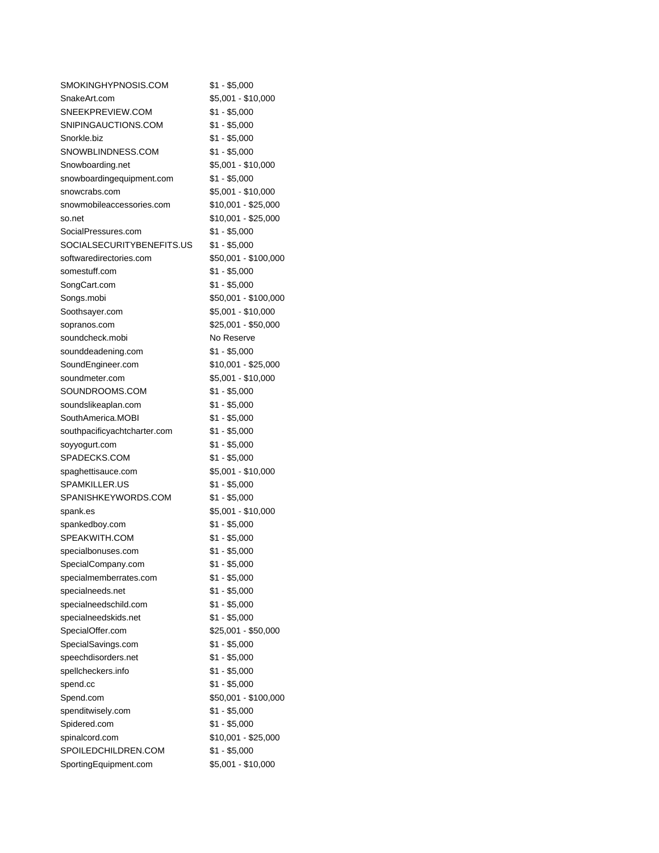| SMOKINGHYPNOSIS.COM          | \$1 - \$5,000        |
|------------------------------|----------------------|
| SnakeArt.com                 | \$5,001 - \$10,000   |
| SNEEKPREVIEW.COM             | $$1 - $5,000$        |
| SNIPINGAUCTIONS.COM          | \$1 - \$5,000        |
| Snorkle.biz                  | \$1 - \$5,000        |
| SNOWBLINDNESS.COM            | \$1 - \$5,000        |
| Snowboarding.net             | \$5,001 - \$10,000   |
| snowboardingequipment.com    | $$1 - $5,000$        |
| snowcrabs.com                | \$5,001 - \$10,000   |
| snowmobileaccessories.com    | \$10,001 - \$25,000  |
| so.net                       | \$10,001 - \$25,000  |
| SocialPressures.com          | \$1 - \$5,000        |
| SOCIALSECURITYBENEFITS.US    | $$1 - $5,000$        |
| softwaredirectories.com      | \$50,001 - \$100,000 |
| somestuff.com                | $$1 - $5,000$        |
| SongCart.com                 | \$1 - \$5,000        |
| Songs.mobi                   | \$50,001 - \$100,000 |
| Soothsayer.com               | \$5,001 - \$10,000   |
| sopranos.com                 | \$25,001 - \$50,000  |
| soundcheck.mobi              | No Reserve           |
| sounddeadening.com           | \$1 - \$5,000        |
| SoundEngineer.com            | \$10,001 - \$25,000  |
| soundmeter.com               | \$5,001 - \$10,000   |
| SOUNDROOMS.COM               | $$1 - $5,000$        |
| soundslikeaplan.com          | \$1 - \$5,000        |
| SouthAmerica.MOBI            | $$1 - $5,000$        |
| southpacificyachtcharter.com | $$1 - $5,000$        |
| soyyogurt.com                | \$1 - \$5,000        |
| SPADECKS.COM                 | \$1 - \$5,000        |
| spaghettisauce.com           | \$5,001 - \$10,000   |
| SPAMKILLER.US                | $$1 - $5,000$        |
| SPANISHKEYWORDS.COM          | $$1 - $5,000$        |
| spank.es                     | \$5,001 - \$10,000   |
| spankedboy.com               | $$1 - $5,000$        |
| SPEAKWITH.COM                | \$1 - \$5,000        |
| specialbonuses.com           | $$1 - $5,000$        |
| SpecialCompany.com           | $$1 - $5,000$        |
| specialmemberrates.com       | $$1 - $5,000$        |
| specialneeds.net             | $$1 - $5,000$        |
| specialneedschild.com        | $$1 - $5,000$        |
| specialneedskids.net         | $$1 - $5,000$        |
| SpecialOffer.com             | \$25,001 - \$50,000  |
| SpecialSavings.com           | $$1 - $5,000$        |
| speechdisorders.net          | $$1 - $5,000$        |
| spellcheckers.info           | $$1 - $5,000$        |
| spend.cc                     | $$1 - $5,000$        |
| Spend.com                    | \$50,001 - \$100,000 |
| spenditwisely.com            | $$1 - $5,000$        |
| Spidered.com                 | $$1 - $5,000$        |
| spinalcord.com               | \$10,001 - \$25,000  |
| SPOILEDCHILDREN.COM          | $$1 - $5,000$        |
| SportingEquipment.com        | \$5,001 - \$10,000   |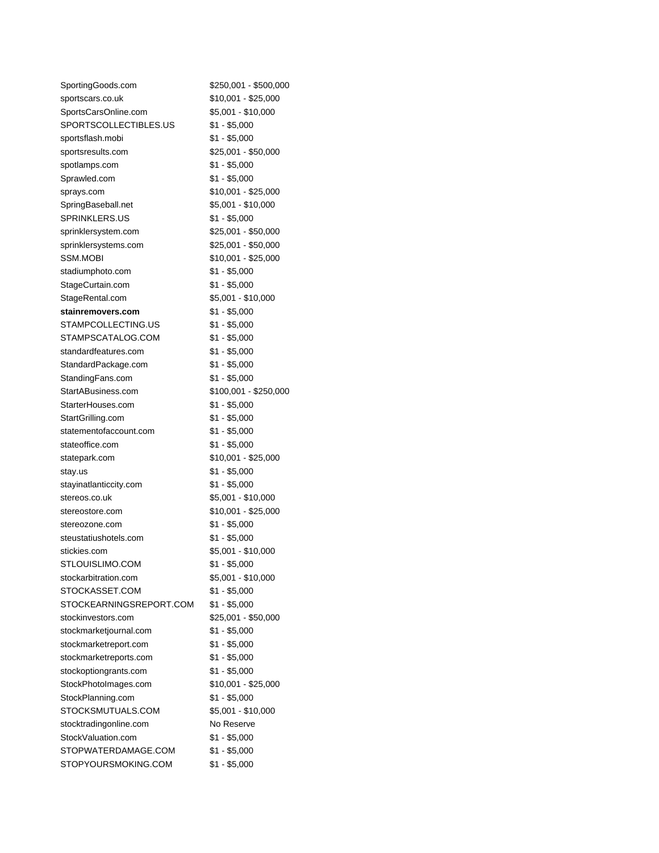| SportingGoods.com       | \$250,001 - \$500,000 |
|-------------------------|-----------------------|
| sportscars.co.uk        | \$10,001 - \$25,000   |
| SportsCarsOnline.com    | \$5,001 - \$10,000    |
| SPORTSCOLLECTIBLES.US   | \$1 - \$5,000         |
| sportsflash.mobi        | \$1 - \$5,000         |
| sportsresults.com       | \$25,001 - \$50,000   |
| spotlamps.com           | \$1 - \$5,000         |
| Sprawled.com            | \$1 - \$5,000         |
| sprays.com              | \$10,001 - \$25,000   |
| SpringBaseball.net      | \$5,001 - \$10,000    |
| SPRINKLERS.US           | $$1 - $5,000$         |
| sprinklersystem.com     | \$25,001 - \$50,000   |
| sprinklersystems.com    | \$25,001 - \$50,000   |
| SSM.MOBI                | \$10,001 - \$25,000   |
| stadiumphoto.com        | \$1 - \$5,000         |
| StageCurtain.com        | \$1 - \$5,000         |
| StageRental.com         | $$5,001 - $10,000$    |
| stainremovers.com       | \$1 - \$5,000         |
| STAMPCOLLECTING.US      | \$1 - \$5,000         |
| STAMPSCATALOG.COM       | \$1 - \$5,000         |
| standardfeatures.com    | \$1 - \$5,000         |
| StandardPackage.com     | \$1 - \$5,000         |
| StandingFans.com        | \$1 - \$5,000         |
| StartABusiness.com      | \$100,001 - \$250,000 |
| StarterHouses.com       | \$1 - \$5,000         |
| StartGrilling.com       | \$1 - \$5,000         |
| statementofaccount.com  | \$1 - \$5,000         |
| stateoffice.com         | $$1 - $5,000$         |
| statepark.com           | \$10,001 - \$25,000   |
| stay.us                 | \$1 - \$5,000         |
| stayinatlanticcity.com  | \$1 - \$5,000         |
| stereos.co.uk           | \$5,001 - \$10,000    |
| stereostore.com         | \$10,001 - \$25,000   |
| stereozone.com          | \$1 - \$5,000         |
| steustatiushotels.com   | \$1 - \$5,000         |
| stickies.com            | \$5,001 - \$10,000    |
| STLOUISLIMO.COM         | $$1 - $5,000$         |
| stockarbitration.com    | \$5,001 - \$10,000    |
| STOCKASSET.COM          | \$1 - \$5,000         |
| STOCKEARNINGSREPORT.COM | \$1 - \$5,000         |
| stockinvestors.com      | \$25,001 - \$50,000   |
| stockmarketjournal.com  | \$1 - \$5,000         |
| stockmarketreport.com   | \$1 - \$5,000         |
| stockmarketreports.com  | \$1 - \$5,000         |
| stockoptiongrants.com   | \$1 - \$5,000         |
| StockPhotoImages.com    | \$10,001 - \$25,000   |
| StockPlanning.com       | $$1 - $5,000$         |
| STOCKSMUTUALS.COM       | \$5,001 - \$10,000    |
| stocktradingonline.com  | No Reserve            |
| StockValuation.com      | \$1 - \$5,000         |
| STOPWATERDAMAGE.COM     | $$1 - $5,000$         |
| STOPYOURSMOKING.COM     | \$1 - \$5,000         |
|                         |                       |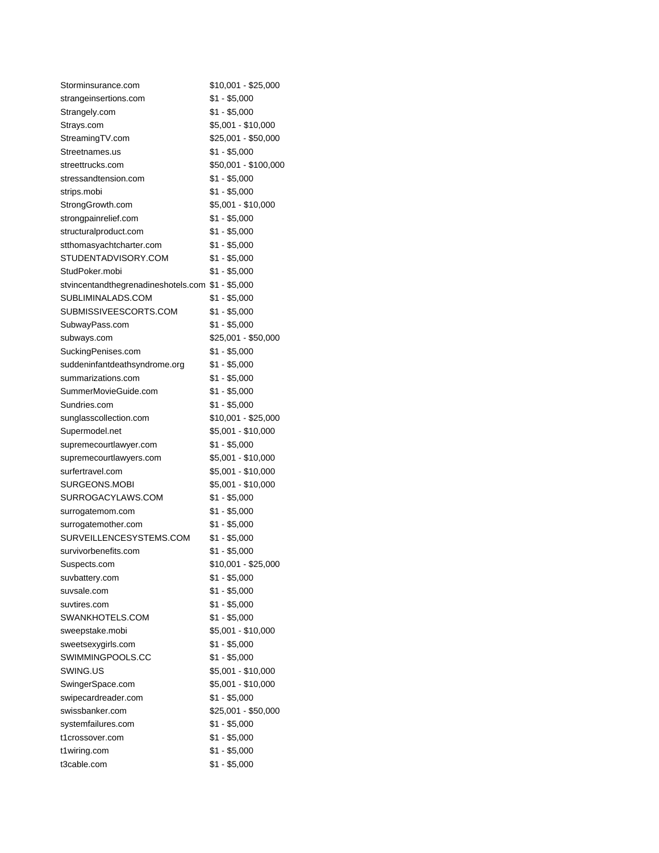| Storminsurance.com                                | \$10,001 - \$25,000  |
|---------------------------------------------------|----------------------|
| strangeinsertions.com                             | \$1 - \$5,000        |
| Strangely.com                                     | \$1 - \$5,000        |
| Strays.com                                        | \$5,001 - \$10,000   |
| StreamingTV.com                                   | \$25,001 - \$50,000  |
| Streetnames.us                                    | \$1 - \$5,000        |
| streettrucks.com                                  | \$50,001 - \$100,000 |
| stressandtension.com                              | \$1 - \$5,000        |
| strips.mobi                                       | $$1 - $5,000$        |
| StrongGrowth.com                                  | \$5,001 - \$10,000   |
| strongpainrelief.com                              | \$1 - \$5,000        |
| structuralproduct.com                             | \$1 - \$5,000        |
| stthomasyachtcharter.com                          | $$1 - $5,000$        |
| STUDENTADVISORY.COM                               | $$1 - $5,000$        |
| StudPoker.mobi                                    | $$1 - $5,000$        |
| stvincentandthegrenadineshotels.com \$1 - \$5,000 |                      |
| SUBLIMINALADS.COM                                 | $$1 - $5,000$        |
| SUBMISSIVEESCORTS.COM                             | \$1 - \$5,000        |
| SubwayPass.com                                    | \$1 - \$5,000        |
| subways.com                                       | \$25,001 - \$50,000  |
| SuckingPenises.com                                | \$1 - \$5,000        |
| suddeninfantdeathsyndrome.org                     | $$1 - $5,000$        |
| summarizations.com                                | $$1 - $5,000$        |
| SummerMovieGuide.com                              | $$1 - $5,000$        |
| Sundries.com                                      | $$1 - $5,000$        |
| sunglasscollection.com                            | \$10,001 - \$25,000  |
| Supermodel.net                                    | \$5,001 - \$10,000   |
| supremecourtlawyer.com                            | \$1 - \$5,000        |
| supremecourtlawyers.com                           | \$5,001 - \$10,000   |
| surfertravel.com                                  | \$5,001 - \$10,000   |
| SURGEONS.MOBI                                     | \$5,001 - \$10,000   |
| SURROGACYLAWS.COM                                 | $$1 - $5,000$        |
| surrogatemom.com                                  | $$1 - $5,000$        |
| surrogatemother.com                               | $$1 - $5,000$        |
| SURVEILLENCESYSTEMS.COM                           | \$1 - \$5,000        |
| survivorbenefits.com                              | $$1 - $5,000$        |
| Suspects.com                                      | \$10,001 - \$25,000  |
| suvbattery.com                                    | $$1 - $5,000$        |
| suvsale.com                                       | $$1 - $5,000$        |
| suvtires.com                                      | $$1 - $5,000$        |
| SWANKHOTELS.COM                                   | $$1 - $5,000$        |
| sweepstake.mobi                                   | \$5,001 - \$10,000   |
| sweetsexygirls.com                                | $$1 - $5,000$        |
| SWIMMINGPOOLS.CC                                  | $$1 - $5,000$        |
| SWING.US                                          | \$5,001 - \$10,000   |
| SwingerSpace.com                                  | \$5,001 - \$10,000   |
| swipecardreader.com                               | $$1 - $5,000$        |
| swissbanker.com                                   | \$25,001 - \$50,000  |
| systemfailures.com                                | $$1 - $5,000$        |
| t1crossover.com                                   | $$1 - $5,000$        |
| t1wiring.com                                      | $$1 - $5,000$        |
| t3cable.com                                       | $$1 - $5,000$        |
|                                                   |                      |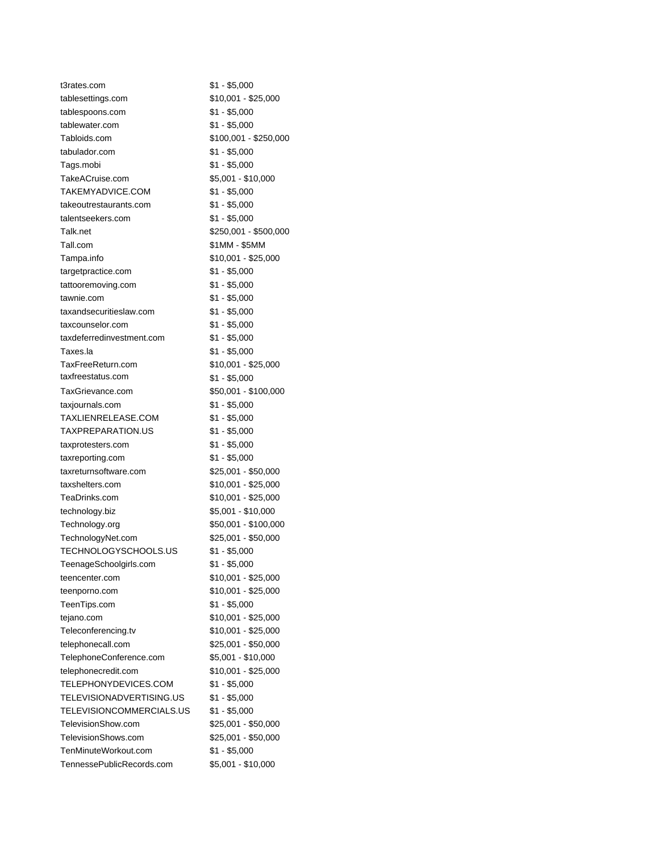| t3rates.com               | $$1 - $5,000$         |
|---------------------------|-----------------------|
| tablesettings.com         | \$10,001 - \$25,000   |
| tablespoons.com           | $$1 - $5,000$         |
| tablewater.com            | $$1 - $5,000$         |
| Tabloids.com              | \$100,001 - \$250,000 |
| tabulador.com             | $$1 - $5,000$         |
| Tags.mobi                 | $$1 - $5,000$         |
| TakeACruise.com           | \$5,001 - \$10,000    |
| TAKEMYADVICE.COM          | $$1 - $5,000$         |
| takeoutrestaurants.com    | $$1 - $5,000$         |
| talentseekers.com         | \$1 - \$5,000         |
| Talk.net                  | \$250,001 - \$500,000 |
| Tall.com                  | \$1MM - \$5MM         |
| Tampa.info                | $$10,001 - $25,000$   |
| targetpractice.com        | \$1 - \$5,000         |
| tattooremoving.com        | $$1 - $5,000$         |
| tawnie.com                | $$1 - $5,000$         |
| taxandsecuritieslaw.com   | $$1 - $5,000$         |
| taxcounselor.com          | $$1 - $5,000$         |
| taxdeferredinvestment.com | $$1 - $5,000$         |
| Taxes.la                  | $$1 - $5,000$         |
| TaxFreeReturn.com         | $$10,001 - $25,000$   |
| taxfreestatus.com         | \$1 - \$5,000         |
| TaxGrievance.com          | \$50,001 - \$100,000  |
| taxjournals.com           | $$1 - $5,000$         |
| TAXLIENRELEASE.COM        | $$1 - $5,000$         |
| TAXPREPARATION.US         | $$1 - $5,000$         |
| taxprotesters.com         | $$1 - $5,000$         |
| taxreporting.com          | $$1 - $5,000$         |
| taxreturnsoftware.com     | \$25,001 - \$50,000   |
| taxshelters.com           | \$10,001 - \$25,000   |
| TeaDrinks.com             | \$10,001 - \$25,000   |
| technology.biz            | \$5,001 - \$10,000    |
| Technology.org            | \$50,001 - \$100,000  |
| TechnologyNet.com         | \$25,001 - \$50,000   |
| TECHNOLOGYSCHOOLS.US      | \$1 - \$5,000         |
| TeenageSchoolgirls.com    | $$1 - $5,000$         |
| teencenter.com            | \$10,001 - \$25,000   |
| teenporno.com             | $$10,001 - $25,000$   |
| TeenTips.com              | $$1 - $5,000$         |
| tejano.com                | $$10,001 - $25,000$   |
| Teleconferencing.tv       | \$10,001 - \$25,000   |
| telephonecall.com         | \$25,001 - \$50,000   |
| TelephoneConference.com   | \$5,001 - \$10,000    |
| telephonecredit.com       | $$10,001 - $25,000$   |
| TELEPHONYDEVICES.COM      | $$1 - $5,000$         |
| TELEVISIONADVERTISING.US  | $$1 - $5,000$         |
| TELEVISIONCOMMERCIALS.US  | $$1 - $5,000$         |
| TelevisionShow.com        | \$25,001 - \$50,000   |
| TelevisionShows.com       | \$25,001 - \$50,000   |
| TenMinuteWorkout.com      | $$1 - $5,000$         |
| TennessePublicRecords.com | \$5,001 - \$10,000    |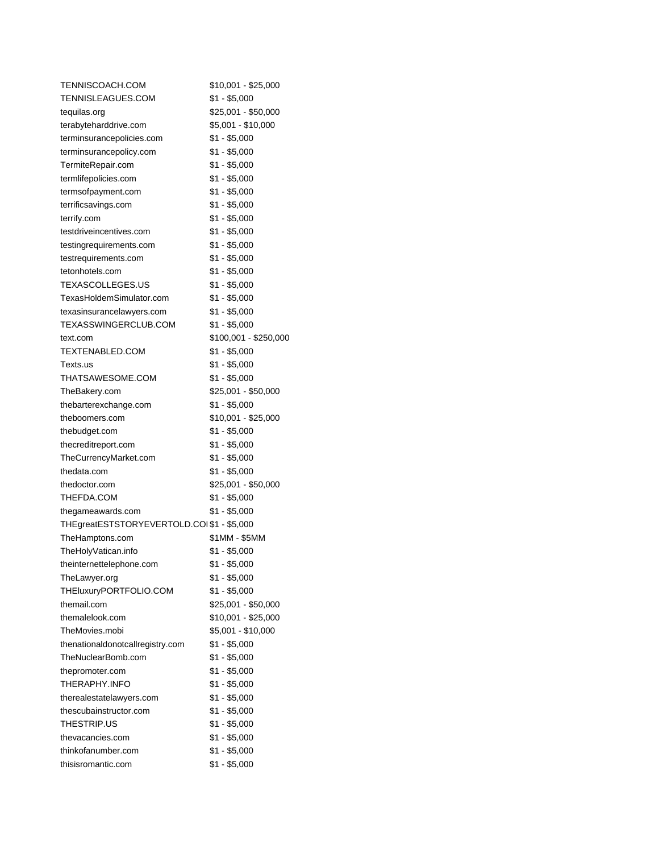| TENNISCOACH.COM                            | \$10,001 - \$25,000   |
|--------------------------------------------|-----------------------|
| TENNISLEAGUES.COM                          | $$1 - $5,000$         |
| tequilas.org                               | \$25,001 - \$50,000   |
| terabyteharddrive.com                      | \$5,001 - \$10,000    |
| terminsurancepolicies.com                  | $$1 - $5,000$         |
| terminsurancepolicy.com                    | $$1 - $5,000$         |
| TermiteRepair.com                          | \$1 - \$5,000         |
| termlifepolicies.com                       | \$1 - \$5,000         |
| termsofpayment.com                         | $$1 - $5,000$         |
| terrificsavings.com                        | $$1 - $5,000$         |
| terrify.com                                | $$1 - $5,000$         |
| testdriveincentives.com                    | $$1 - $5,000$         |
| testingrequirements.com                    | $$1 - $5,000$         |
| testrequirements.com                       | $$1 - $5,000$         |
| tetonhotels.com                            | $$1 - $5,000$         |
| TEXASCOLLEGES.US                           | \$1 - \$5,000         |
| TexasHoldemSimulator.com                   | $$1 - $5,000$         |
| texasinsurancelawyers.com                  | $$1 - $5,000$         |
| TEXASSWINGERCLUB.COM                       | \$1 - \$5,000         |
| text.com                                   | \$100,001 - \$250,000 |
| TEXTENABLED.COM                            | $$1 - $5,000$         |
| Texts.us                                   | $$1 - $5,000$         |
| THATSAWESOME.COM                           | $$1 - $5,000$         |
| TheBakery.com                              | \$25,001 - \$50,000   |
| thebarterexchange.com                      | $$1 - $5,000$         |
| theboomers.com                             | \$10,001 - \$25,000   |
| thebudget.com                              | $$1 - $5,000$         |
| thecreditreport.com                        | $$1 - $5,000$         |
| TheCurrencyMarket.com                      | $$1 - $5,000$         |
| thedata.com                                | $$1 - $5,000$         |
| thedoctor.com                              | \$25,001 - \$50,000   |
| THEFDA.COM                                 | $$1 - $5,000$         |
| thegameawards.com                          | \$1 - \$5,000         |
| THEgreatESTSTORYEVERTOLD.COI \$1 - \$5,000 |                       |
| TheHamptons.com                            | \$1MM - \$5MM         |
| TheHolyVatican.info                        | $$1 - $5,000$         |
| theinternettelephone.com                   | \$1 - \$5,000         |
| TheLawyer.org                              | $$1 - $5,000$         |
| THEluxuryPORTFOLIO.COM                     | $$1 - $5,000$         |
| themail.com                                | \$25,001 - \$50,000   |
| themalelook.com                            | \$10,001 - \$25,000   |
| TheMovies.mobi                             | \$5,001 - \$10,000    |
| thenationaldonotcallregistry.com           | $$1 - $5,000$         |
| TheNuclearBomb.com                         | $$1 - $5,000$         |
| thepromoter.com                            | $$1 - $5,000$         |
| THERAPHY.INFO                              | $$1 - $5,000$         |
| therealestatelawyers.com                   | $$1 - $5,000$         |
| thescubainstructor.com                     | $$1 - $5,000$         |
| THESTRIP.US                                | \$1 - \$5,000         |
| thevacancies.com                           | $$1 - $5,000$         |
| thinkofanumber.com                         | $$1 - $5,000$         |
| thisisromantic.com                         | \$1 - \$5,000         |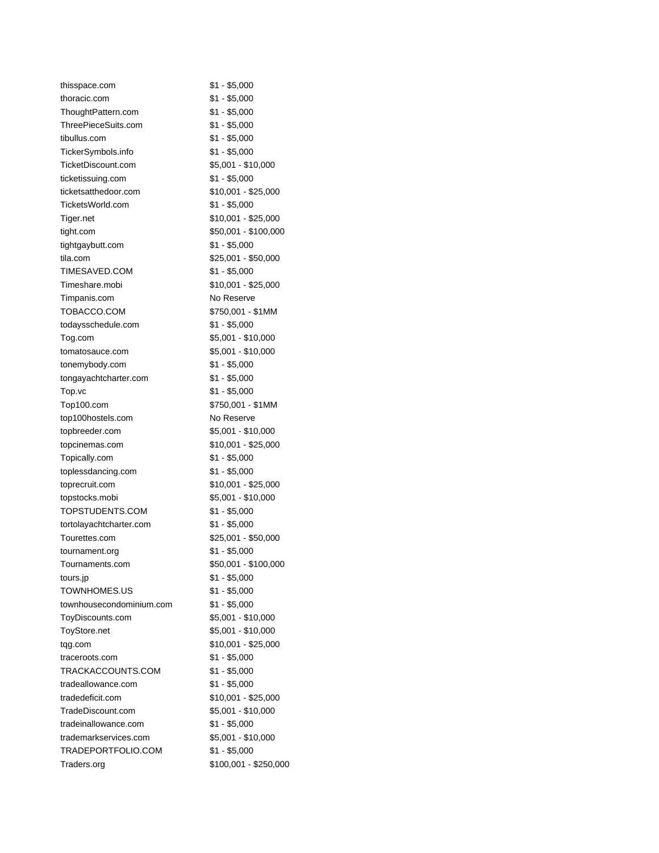| thisspace.com            | \$1 - \$5,000         |
|--------------------------|-----------------------|
| thoracic.com             | $$1 - $5,000$         |
| ThoughtPattern.com       | \$1 - \$5,000         |
| ThreePieceSuits.com      | $$1 - $5,000$         |
| tibullus.com             | $$1 - $5,000$         |
| TickerSymbols.info       | $$1 - $5,000$         |
| TicketDiscount.com       | \$5,001 - \$10,000    |
| ticketissuing.com        | $$1 - $5,000$         |
| ticketsatthedoor.com     | \$10,001 - \$25,000   |
| TicketsWorld.com         | $$1 - $5,000$         |
| Tiger.net                | \$10,001 - \$25,000   |
| tight.com                | \$50,001 - \$100,000  |
| tightgaybutt.com         | $$1 - $5,000$         |
| tila.com                 | \$25,001 - \$50,000   |
| TIMESAVED.COM            | $$1 - $5,000$         |
| Timeshare.mobi           | \$10,001 - \$25,000   |
| Timpanis.com             | No Reserve            |
| TOBACCO.COM              | \$750,001 - \$1MM     |
| todaysschedule.com       | \$1 - \$5,000         |
| Tog.com                  | \$5,001 - \$10,000    |
| tomatosauce.com          | \$5,001 - \$10,000    |
| tonemybody.com           | $$1 - $5,000$         |
| tongayachtcharter.com    | $$1 - $5,000$         |
| Top.vc                   | $$1 - $5,000$         |
| Top100.com               | \$750,001 - \$1MM     |
| top100hostels.com        | No Reserve            |
| topbreeder.com           | \$5,001 - \$10,000    |
| topcinemas.com           | \$10,001 - \$25,000   |
| Topically.com            | \$1 - \$5,000         |
| toplessdancing.com       | $$1 - $5,000$         |
| toprecruit.com           | \$10,001 - \$25,000   |
| topstocks.mobi           | \$5,001 - \$10,000    |
| TOPSTUDENTS.COM          | $$1 - $5,000$         |
| tortolayachtcharter.com  | $$1 - $5,000$         |
| Tourettes.com            | \$25,001 - \$50,000   |
| tournament.org           | $$1 - $5,000$         |
| Tournaments.com          | \$50,001 - \$100,000  |
| tours.jp                 | \$1 - \$5,000         |
| TOWNHOMES.US             | $$1 - $5,000$         |
| townhousecondominium.com | $$1 - $5,000$         |
| ToyDiscounts.com         | \$5,001 - \$10,000    |
| ToyStore.net             | \$5,001 - \$10,000    |
| tqg.com                  | \$10,001 - \$25,000   |
| traceroots.com           | $$1 - $5,000$         |
| TRACKACCOUNTS.COM        | $$1 - $5,000$         |
| tradeallowance.com       | $$1 - $5,000$         |
| tradedeficit.com         | \$10,001 - \$25,000   |
| TradeDiscount.com        | \$5,001 - \$10,000    |
| tradeinallowance.com     | $$1 - $5,000$         |
| trademarkservices.com    | \$5,001 - \$10,000    |
| TRADEPORTFOLIO.COM       | $$1 - $5,000$         |
| Traders.org              | \$100,001 - \$250,000 |
|                          |                       |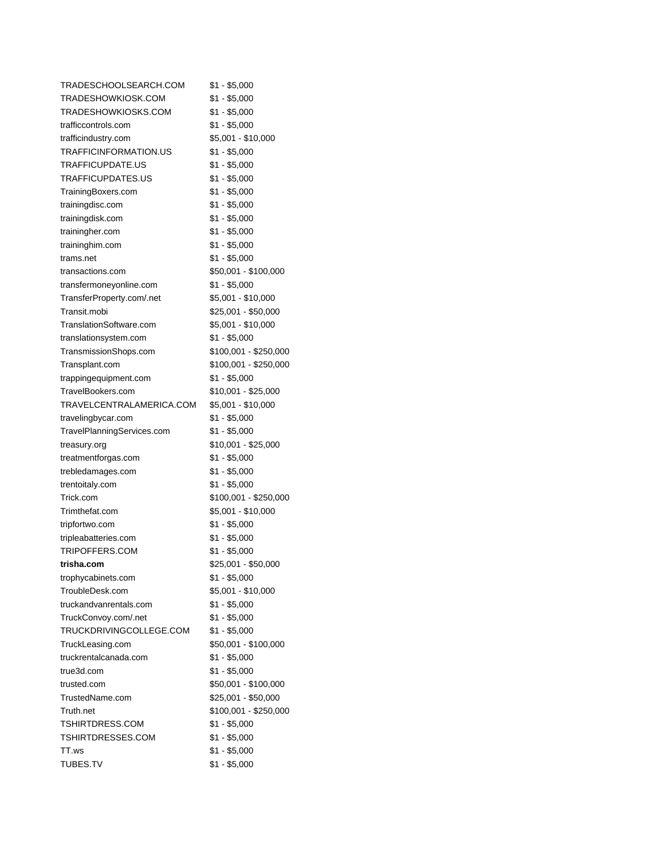| TRADESCHOOLSEARCH.COM      | \$1 - \$5,000         |
|----------------------------|-----------------------|
| TRADESHOWKIOSK.COM         | $$1 - $5,000$         |
| TRADESHOWKIOSKS.COM        | $$1 - $5,000$         |
| trafficcontrols.com        | \$1 - \$5,000         |
| trafficindustry.com        | \$5,001 - \$10,000    |
| TRAFFICINFORMATION.US      | $$1 - $5,000$         |
| TRAFFICUPDATE.US           | $$1 - $5,000$         |
| TRAFFICUPDATES.US          | \$1 - \$5,000         |
| TrainingBoxers.com         | $$1 - $5,000$         |
| trainingdisc.com           | $$1 - $5,000$         |
| trainingdisk.com           | $$1 - $5,000$         |
| trainingher.com            | $$1 - $5,000$         |
| traininghim.com            | $$1 - $5,000$         |
| trams.net                  | \$1 - \$5,000         |
| transactions.com           | \$50,001 - \$100,000  |
| transfermoneyonline.com    | \$1 - \$5,000         |
| TransferProperty.com/.net  | \$5,001 - \$10,000    |
| Transit.mobi               | \$25,001 - \$50,000   |
| TranslationSoftware.com    | \$5,001 - \$10,000    |
| translationsystem.com      | \$1 - \$5,000         |
| TransmissionShops.com      | \$100,001 - \$250,000 |
| Transplant.com             | \$100,001 - \$250,000 |
| trapping equipment.com     | $$1 - $5,000$         |
| TravelBookers.com          | \$10,001 - \$25,000   |
| TRAVELCENTRALAMERICA.COM   | \$5,001 - \$10,000    |
| travelingbycar.com         | $$1 - $5,000$         |
| TravelPlanningServices.com | $$1 - $5,000$         |
| treasury.org               | \$10,001 - \$25,000   |
| treatmentforgas.com        | $$1 - $5,000$         |
| trebledamages.com          | $$1 - $5,000$         |
| trentoitaly.com            | $$1 - $5,000$         |
| Trick.com                  | \$100,001 - \$250,000 |
| Trimthefat.com             | \$5,001 - \$10,000    |
| tripfortwo.com             | \$1 - \$5,000         |
| tripleabatteries.com       | $$1 - $5,000$         |
| TRIPOFFERS.COM             | $$1 - $5,000$         |
| trisha.com                 | \$25,001 - \$50,000   |
| trophycabinets.com         | \$1 - \$5,000         |
| TroubleDesk.com            | \$5,001 - \$10,000    |
| truckandvanrentals.com     | $$1 - $5,000$         |
|                            | $$1 - $5,000$         |
| TruckConvoy.com/.net       |                       |
| TRUCKDRIVINGCOLLEGE.COM    | $$1 - $5,000$         |
| TruckLeasing.com           | \$50,001 - \$100,000  |
| truckrentalcanada.com      | $$1 - $5,000$         |
| true3d.com                 | $$1 - $5,000$         |
| trusted.com                | \$50,001 - \$100,000  |
| TrustedName.com            | \$25,001 - \$50,000   |
| Truth.net                  | \$100,001 - \$250,000 |
| TSHIRTDRESS.COM            | $$1 - $5,000$         |
| TSHIRTDRESSES.COM          | $$1 - $5,000$         |
| TT.ws                      | $$1 - $5,000$         |
| TUBES.TV                   | $$1 - $5,000$         |
|                            |                       |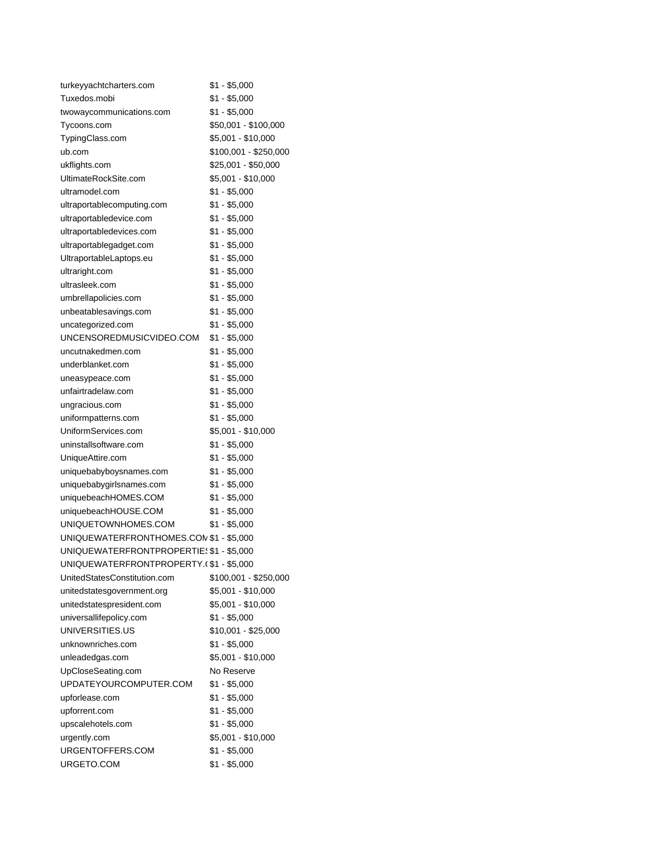| turkeyyachtcharters.com                  | \$1 - \$5,000         |
|------------------------------------------|-----------------------|
| Tuxedos.mobi                             | $$1 - $5,000$         |
| twowaycommunications.com                 | $$1 - $5,000$         |
| Tycoons.com                              | \$50,001 - \$100,000  |
| TypingClass.com                          | \$5,001 - \$10,000    |
| ub.com                                   | \$100,001 - \$250,000 |
| ukflights.com                            | \$25,001 - \$50,000   |
| UltimateRockSite.com                     | \$5,001 - \$10,000    |
| ultramodel.com                           | $$1 - $5,000$         |
| ultraportablecomputing.com               | $$1 - $5,000$         |
| ultraportabledevice.com                  | $$1 - $5,000$         |
| ultraportabledevices.com                 | $$1 - $5,000$         |
| ultraportablegadget.com                  | $$1 - $5,000$         |
| UltraportableLaptops.eu                  | $$1 - $5,000$         |
| ultraright.com                           | $$1 - $5,000$         |
| ultrasleek.com                           | $$1 - $5,000$         |
| umbrellapolicies.com                     | $$1 - $5,000$         |
| unbeatablesavings.com                    | $$1 - $5,000$         |
| uncategorized.com                        | $$1 - $5,000$         |
| UNCENSOREDMUSICVIDEO.COM                 | $$1 - $5,000$         |
| uncutnakedmen.com                        | $$1 - $5,000$         |
| underblanket.com                         | $$1 - $5,000$         |
| uneasypeace.com                          | $$1 - $5,000$         |
| unfairtradelaw.com                       | $$1 - $5,000$         |
| ungracious.com                           | $$1 - $5,000$         |
| uniformpatterns.com                      | $$1 - $5,000$         |
| UniformServices.com                      | \$5,001 - \$10,000    |
| uninstallsoftware.com                    | $$1 - $5,000$         |
| UniqueAttire.com                         | $$1 - $5,000$         |
| uniquebabyboysnames.com                  | \$1 - \$5,000         |
| uniquebabygirlsnames.com                 | $$1 - $5,000$         |
| uniquebeachHOMES.COM                     | $$1 - $5,000$         |
| uniquebeachHOUSE.COM                     | $$1 - $5,000$         |
| UNIQUETOWNHOMES.COM                      | $$1 - $5,000$         |
| UNIQUEWATERFRONTHOMES.CON \$1 - \$5,000  |                       |
| UNIQUEWATERFRONTPROPERTIE: \$1 - \$5,000 |                       |
| UNIQUEWATERFRONTPROPERTY.(\$1 - \$5,000  |                       |
| UnitedStatesConstitution.com             | \$100,001 - \$250,000 |
| unitedstatesgovernment.org               | \$5,001 - \$10,000    |
| unitedstatespresident.com                | \$5,001 - \$10,000    |
| universallifepolicy.com                  | $$1 - $5,000$         |
| UNIVERSITIES.US                          | \$10,001 - \$25,000   |
| unknownriches.com                        | $$1 - $5,000$         |
| unleadedgas.com                          | \$5,001 - \$10,000    |
| UpCloseSeating.com                       | No Reserve            |
| UPDATEYOURCOMPUTER.COM                   | $$1 - $5,000$         |
| upforlease.com                           | $$1 - $5,000$         |
| upforrent.com                            | $$1 - $5,000$         |
| upscalehotels.com                        | $$1 - $5,000$         |
| urgently.com                             | \$5,001 - \$10,000    |
| URGENTOFFERS.COM                         | $$1 - $5,000$         |
| URGETO.COM                               | $$1 - $5,000$         |
|                                          |                       |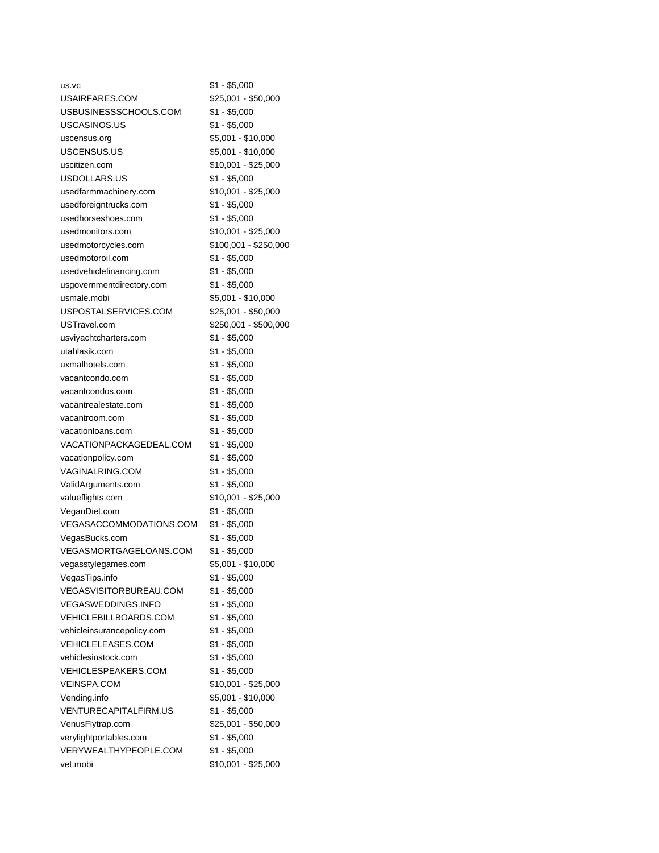| us.vc                         | \$1 - \$5,000         |
|-------------------------------|-----------------------|
| USAIRFARES.COM                | \$25,001 - \$50,000   |
| USBUSINESSSCHOOLS.COM         | \$1 - \$5,000         |
| USCASINOS.US                  | \$1 - \$5,000         |
| uscensus.org                  | \$5,001 - \$10,000    |
| USCENSUS.US                   | \$5,001 - \$10,000    |
| uscitizen.com                 | \$10,001 - \$25,000   |
| USDOLLARS.US                  | \$1 - \$5,000         |
| usedfarmmachinery.com         | $$10,001 - $25,000$   |
| usedforeigntrucks.com         | \$1 - \$5,000         |
| usedhorseshoes.com            | $$1 - $5,000$         |
| usedmonitors.com              | \$10,001 - \$25,000   |
| usedmotorcycles.com           | \$100,001 - \$250,000 |
| usedmotoroil.com              | \$1 - \$5,000         |
| usedvehiclefinancing.com      | \$1 - \$5,000         |
| usgovernmentdirectory.com     | \$1 - \$5,000         |
| usmale.mobi                   | \$5,001 - \$10,000    |
| USPOSTALSERVICES.COM          | $$25,001 - $50,000$   |
| USTravel.com                  | \$250,001 - \$500,000 |
| usviyachtcharters.com         | \$1 - \$5,000         |
| utahlasik.com                 | $$1 - $5,000$         |
| uxmalhotels.com               | \$1 - \$5,000         |
| vacantcondo.com               | \$1 - \$5,000         |
| vacantcondos.com              | \$1 - \$5,000         |
| vacantrealestate.com          |                       |
|                               | \$1 - \$5,000         |
| vacantroom.com                | \$1 - \$5,000         |
| vacationloans.com             | \$1 - \$5,000         |
| VACATIONPACKAGEDEAL.COM       | \$1 - \$5,000         |
| vacationpolicy.com            | \$1 - \$5,000         |
| VAGINALRING.COM               | \$1 - \$5,000         |
| ValidArguments.com            | \$1 - \$5,000         |
| valueflights.com              | \$10,001 - \$25,000   |
| VeganDiet.com                 | \$1 - \$5,000         |
| VEGASACCOMMODATIONS.COM       | $$1 - $5,000$         |
| VegasBucks.com                | $$1 - $5,000$         |
| VEGASMORTGAGELOANS.COM        | $$1 - $5,000$         |
| vegasstylegames.com           | \$5,001 - \$10,000    |
| VegasTips.info                | \$1 - \$5,000         |
| <b>VEGASVISITORBUREAU.COM</b> | $$1 - $5,000$         |
| <b>VEGASWEDDINGS.INFO</b>     | \$1 - \$5,000         |
| <b>VEHICLEBILLBOARDS.COM</b>  | $$1 - $5,000$         |
| vehicleinsurancepolicy.com    | $$1 - $5,000$         |
| <b>VEHICLELEASES.COM</b>      | $$1 - $5,000$         |
| vehiclesinstock.com           | $$1 - $5,000$         |
| <b>VEHICLESPEAKERS.COM</b>    | $$1 - $5,000$         |
| <b>VEINSPA.COM</b>            | \$10,001 - \$25,000   |
| Vending.info                  | \$5,001 - \$10,000    |
| VENTURECAPITALFIRM.US         | $$1 - $5,000$         |
| VenusFlytrap.com              | \$25,001 - \$50,000   |
| verylightportables.com        | $$1 - $5,000$         |
| VERYWEALTHYPEOPLE.COM         | $$1 - $5,000$         |
| vet.mobi                      | \$10,001 - \$25,000   |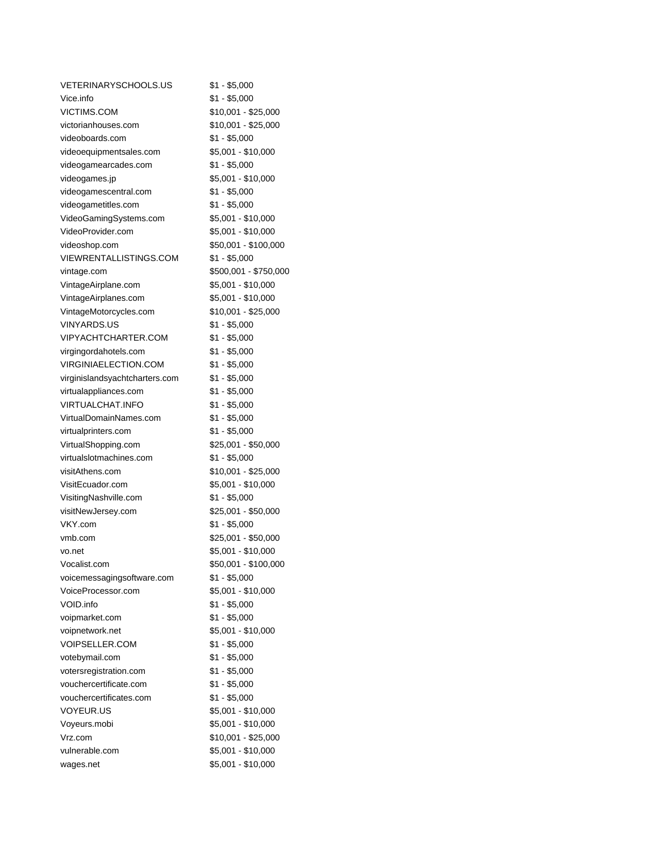| <b>VETERINARYSCHOOLS.US</b>    | \$1 - \$5,000         |
|--------------------------------|-----------------------|
| Vice.info                      | $$1 - $5,000$         |
| <b>VICTIMS.COM</b>             | \$10,001 - \$25,000   |
| victorianhouses.com            | \$10,001 - \$25,000   |
| videoboards.com                | $$1 - $5,000$         |
| videoequipmentsales.com        | \$5,001 - \$10,000    |
| videogamearcades.com           | $$1 - $5,000$         |
| videogames.jp                  | \$5,001 - \$10,000    |
| videogamescentral.com          | $$1 - $5,000$         |
| videogametitles.com            | $$1 - $5,000$         |
| VideoGamingSystems.com         | \$5,001 - \$10,000    |
| VideoProvider.com              | \$5,001 - \$10,000    |
| videoshop.com                  | \$50,001 - \$100,000  |
| VIEWRENTALLISTINGS.COM         | $$1 - $5,000$         |
| vintage.com                    | \$500,001 - \$750,000 |
| VintageAirplane.com            | \$5,001 - \$10,000    |
| VintageAirplanes.com           | \$5,001 - \$10,000    |
| VintageMotorcycles.com         | \$10,001 - \$25,000   |
| <b>VINYARDS.US</b>             | $$1 - $5,000$         |
| <b>VIPYACHTCHARTER.COM</b>     | $$1 - $5,000$         |
| virgingordahotels.com          | $$1 - $5,000$         |
| VIRGINIAELECTION.COM           | $$1 - $5,000$         |
| virginislandsyachtcharters.com | $$1 - $5,000$         |
| virtualappliances.com          | $$1 - $5,000$         |
| VIRTUALCHAT.INFO               | $$1 - $5,000$         |
| VirtualDomainNames.com         | $$1 - $5,000$         |
| virtualprinters.com            | $$1 - $5,000$         |
| VirtualShopping.com            | \$25,001 - \$50,000   |
| virtualslotmachines.com        | $$1 - $5,000$         |
| visitAthens.com                | \$10,001 - \$25,000   |
| VisitEcuador.com               | \$5,001 - \$10,000    |
| VisitingNashville.com          | $$1 - $5,000$         |
| visitNewJersey.com             | \$25,001 - \$50,000   |
| VKY.com                        | $$1 - $5,000$         |
| ymb.com                        | \$25,001 - \$50,000   |
| vo.net                         | \$5,001 - \$10,000    |
| Vocalist.com                   | \$50,001 - \$100,000  |
| voicemessagingsoftware.com     | \$1 - \$5,000         |
| VoiceProcessor.com             | \$5,001 - \$10,000    |
| VOID.info                      | $$1 - $5,000$         |
| voipmarket.com                 | $$1 - $5,000$         |
| voipnetwork.net                | \$5,001 - \$10,000    |
| VOIPSELLER.COM                 | $$1 - $5,000$         |
| votebymail.com                 | $$1 - $5,000$         |
| votersregistration.com         | $$1 - $5,000$         |
| vouchercertificate.com         | $$1 - $5,000$         |
| vouchercertificates.com        | $$1 - $5,000$         |
| VOYEUR.US                      | \$5,001 - \$10,000    |
| Voyeurs.mobi                   | \$5,001 - \$10,000    |
| Vrz.com                        | $$10,001 - $25,000$   |
| vulnerable.com                 | \$5,001 - \$10,000    |
| wages.net                      | \$5,001 - \$10,000    |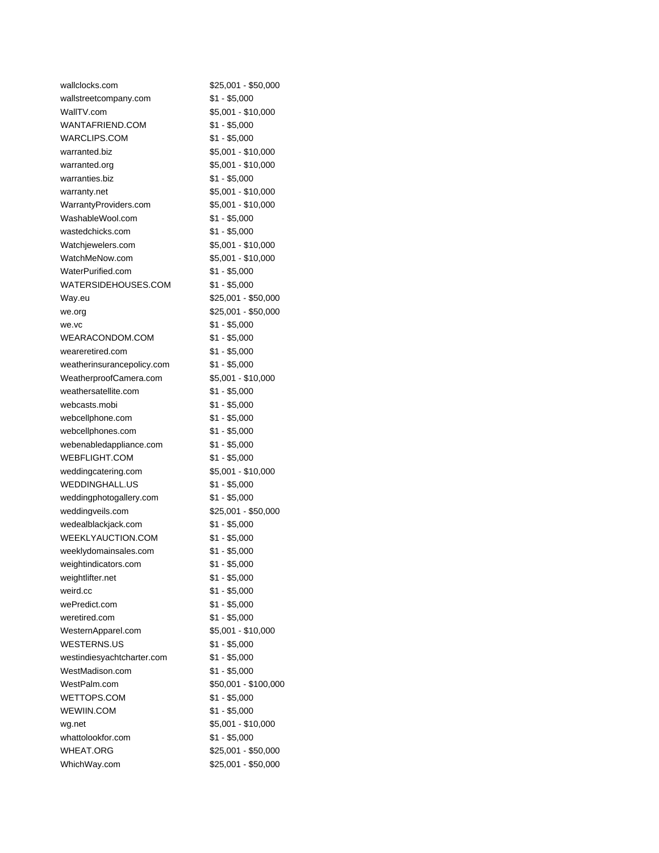| wallclocks.com                  | \$25,001 - \$50,000            |
|---------------------------------|--------------------------------|
| wallstreetcompany.com           | $$1 - $5,000$                  |
| WallTV.com                      | \$5,001 - \$10,000             |
| WANTAFRIEND.COM                 | $$1 - $5,000$                  |
| <b>WARCLIPS.COM</b>             | $$1 - $5,000$                  |
| warranted.biz                   | \$5,001 - \$10,000             |
| warranted.org                   | \$5,001 - \$10,000             |
| warranties.biz                  | $$1 - $5,000$                  |
| warranty.net                    | \$5,001 - \$10,000             |
| WarrantyProviders.com           | \$5,001 - \$10,000             |
| WashableWool.com                | $$1 - $5,000$                  |
| wastedchicks.com                | $$1 - $5,000$                  |
| Watchjewelers.com               | \$5,001 - \$10,000             |
| WatchMeNow.com                  | \$5,001 - \$10,000             |
| WaterPurified.com               | $$1 - $5,000$                  |
| WATERSIDEHOUSES.COM             | $$1 - $5,000$                  |
| Way.eu                          | \$25,001 - \$50,000            |
| we.org                          | \$25,001 - \$50,000            |
| we.vc                           | \$1 - \$5,000                  |
| WEARACONDOM.COM                 | $$1 - $5,000$                  |
| weareretired.com                | $$1 - $5,000$                  |
| weatherinsurancepolicy.com      | $$1 - $5,000$                  |
| WeatherproofCamera.com          | \$5,001 - \$10,000             |
| weathersatellite.com            | $$1 - $5,000$                  |
| webcasts.mobi                   | $$1 - $5,000$                  |
| webcellphone.com                | $$1 - $5,000$                  |
| webcellphones.com               | $$1 - $5,000$                  |
| webenabledappliance.com         | $$1 - $5,000$                  |
| <b>WEBFLIGHT.COM</b>            | $$1 - $5,000$                  |
| weddingcatering.com             | \$5,001 - \$10,000             |
| <b>WEDDINGHALL.US</b>           | $$1 - $5,000$                  |
| weddingphotogallery.com         | $$1 - $5,000$                  |
| weddingveils.com                | \$25,001 - \$50,000            |
| wedealblackjack.com             | $$1 - $5,000$                  |
| WEEKLYAUCTION.COM               | $$1 - $5,000$                  |
| weeklydomainsales.com           | $$1 - $5,000$                  |
| weightindicators.com            | $$1 - $5,000$                  |
| weightlifter.net                | $$1 - $5,000$                  |
| weird.cc                        | $$1 - $5,000$                  |
| wePredict.com                   | $$1 - $5,000$                  |
| weretired.com                   | $$1 - $5,000$                  |
| WesternApparel.com              | \$5,001 - \$10,000             |
| <b>WESTERNS.US</b>              | $$1 - $5,000$                  |
|                                 |                                |
| westindiesyachtcharter.com      | $$1 - $5,000$<br>$$1 - $5,000$ |
| WestMadison.com<br>WestPalm.com |                                |
|                                 | \$50,001 - \$100,000           |
| WETTOPS.COM                     | $$1 - $5,000$                  |
| WEWIIN.COM                      | $$1 - $5,000$                  |
| wg.net                          | \$5,001 - \$10,000             |
| whattolookfor.com               | $$1 - $5,000$                  |
| <b>WHEAT.ORG</b>                | \$25,001 - \$50,000            |
| WhichWay.com                    | \$25,001 - \$50,000            |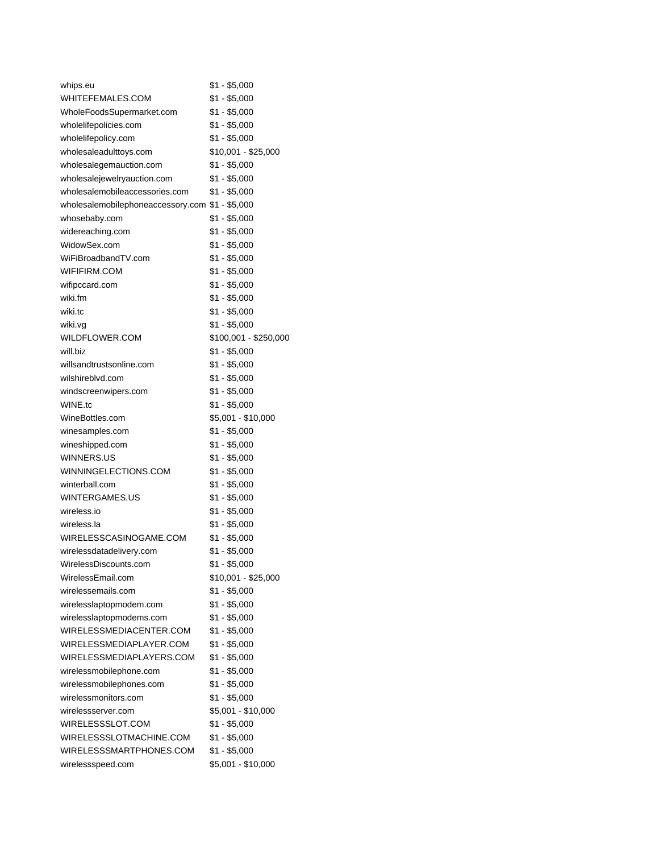| whips.eu                                        | \$1 - \$5,000         |
|-------------------------------------------------|-----------------------|
| WHITEFEMALES.COM                                | $$1 - $5,000$         |
| WholeFoodsSupermarket.com                       | $$1 - $5,000$         |
| wholelifepolicies.com                           | $$1 - $5,000$         |
| wholelifepolicy.com                             | $$1 - $5,000$         |
| wholesaleadulttoys.com                          | \$10,001 - \$25,000   |
| wholesalegemauction.com                         | \$1 - \$5,000         |
| wholesalejewelryauction.com                     | $$1 - $5,000$         |
| wholesalemobileaccessories.com                  | \$1 - \$5,000         |
| wholesalemobilephoneaccessory.com \$1 - \$5,000 |                       |
| whosebaby.com                                   | \$1 - \$5,000         |
| widereaching.com                                | $$1 - $5,000$         |
| WidowSex.com                                    | $$1 - $5,000$         |
| WiFiBroadbandTV.com                             | $$1 - $5,000$         |
| WIFIFIRM.COM                                    | $$1 - $5,000$         |
| wifipccard.com                                  | $$1 - $5,000$         |
| wiki.fm                                         | $$1 - $5,000$         |
| wiki.tc                                         | $$1 - $5,000$         |
| wiki.vg                                         | \$1 - \$5,000         |
| WILDFLOWER.COM                                  | \$100,001 - \$250,000 |
| will.biz                                        | $$1 - $5,000$         |
| willsandtrustsonline.com                        | \$1 - \$5,000         |
| wilshireblvd.com                                | $$1 - $5,000$         |
| windscreenwipers.com                            | $$1 - $5,000$         |
| WINE.tc                                         | $$1 - $5,000$         |
| WineBottles.com                                 | \$5,001 - \$10,000    |
| winesamples.com                                 | \$1 - \$5,000         |
| wineshipped.com                                 | $$1 - $5,000$         |
|                                                 |                       |
| WINNERS.US<br>WINNINGELECTIONS.COM              | \$1 - \$5,000         |
|                                                 | \$1 - \$5,000         |
| winterball.com                                  | \$1 - \$5,000         |
| WINTERGAMES.US                                  | $$1 - $5,000$         |
| wireless.jo                                     | $$1 - $5,000$         |
| wireless.la                                     | $$1 - $5,000$         |
| WIRELESSCASINOGAME.COM                          | \$1 - \$5,000         |
| wirelessdatadelivery.com                        | \$1 - \$5,000         |
| WirelessDiscounts.com                           | $$1 - $5,000$         |
| WirelessEmail.com                               | \$10,001 - \$25,000   |
| wirelessemails.com                              | $$1 - $5,000$         |
| wirelesslaptopmodem.com                         | $$1 - $5,000$         |
| wirelesslaptopmodems.com                        | $$1 - $5,000$         |
| WIRELESSMEDIACENTER.COM                         | $$1 - $5,000$         |
| WIRELESSMEDIAPLAYER.COM                         | $$1 - $5,000$         |
| WIRELESSMEDIAPLAYERS.COM                        | $$1 - $5,000$         |
| wirelessmobilephone.com                         | $$1 - $5,000$         |
| wirelessmobilephones.com                        | $$1 - $5,000$         |
| wirelessmonitors.com                            | $$1 - $5,000$         |
| wirelessserver.com                              | \$5,001 - \$10,000    |
| WIRELESSSLOT.COM                                | $$1 - $5,000$         |
| WIRELESSSLOTMACHINE.COM                         | $$1 - $5,000$         |
| WIRELESSSMARTPHONES.COM                         | $$1 - $5,000$         |
| wirelessspeed.com                               | \$5,001 - \$10,000    |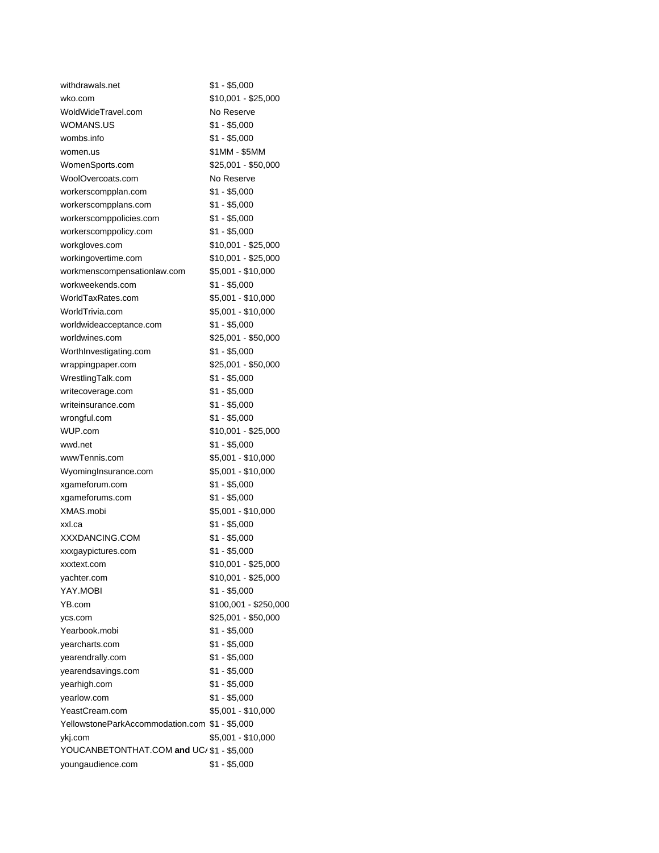| withdrawals.net                                | \$1 - \$5,000                                |
|------------------------------------------------|----------------------------------------------|
| wko.com                                        | \$10,001 - \$25,000                          |
| WoldWideTravel.com                             | No Reserve                                   |
| WOMANS.US                                      | \$1 - \$5,000                                |
| wombs.info                                     | $$1 - $5,000$                                |
| women.us                                       | \$1MM - \$5MM                                |
| WomenSports.com                                | \$25,001 - \$50,000                          |
| WoolOvercoats.com                              | No Reserve                                   |
| workerscompplan.com                            | $$1 - $5,000$                                |
| workerscompplans.com                           | \$1 - \$5,000                                |
| workerscomppolicies.com                        | $$1 - $5,000$                                |
| workerscomppolicy.com                          | $$1 - $5,000$                                |
| workgloves.com                                 | \$10,001 - \$25,000                          |
| workingovertime.com                            | \$10,001 - \$25,000                          |
| workmenscompensationlaw.com                    | \$5,001 - \$10,000                           |
| workweekends.com                               | $$1 - $5,000$                                |
| WorldTaxRates.com                              | \$5,001 - \$10,000                           |
| WorldTrivia.com                                | \$5,001 - \$10,000                           |
| worldwideacceptance.com                        | \$1 - \$5,000                                |
| worldwines.com                                 | \$25,001 - \$50,000                          |
| WorthInvestigating.com                         | \$1 - \$5,000                                |
| wrappingpaper.com                              | \$25,001 - \$50,000                          |
| WrestlingTalk.com                              | \$1 - \$5,000                                |
| writecoverage.com                              | $$1 - $5,000$                                |
| writeinsurance.com                             | $$1 - $5,000$                                |
| wrongful.com                                   | $$1 - $5,000$                                |
| WUP.com                                        | \$10,001 - \$25,000                          |
| wwd.net                                        | \$1 - \$5,000                                |
| wwwTennis.com                                  | \$5,001 - \$10,000                           |
| WyomingInsurance.com                           | \$5,001 - \$10,000                           |
| xgameforum.com                                 | $$1 - $5,000$                                |
| xgameforums.com                                | $$1 - $5,000$                                |
| XMAS.mobi                                      | \$5,001 - \$10,000                           |
| xxl.ca                                         | $$1 - $5,000$                                |
| XXXDANCING.COM                                 | $$1 - $5,000$                                |
| xxxgaypictures.com                             | $$1 - $5,000$                                |
|                                                | \$10,001 - \$25,000                          |
| xxxtext.com<br>yachter.com                     | \$10,001 - \$25,000                          |
| YAY.MOBI                                       | $$1 - $5,000$                                |
| YB.com                                         |                                              |
|                                                | \$100,001 - \$250,000<br>\$25,001 - \$50,000 |
| ycs.com<br>Yearbook.mobi                       | $$1 - $5,000$                                |
|                                                |                                              |
| yearcharts.com                                 | $$1 - $5,000$                                |
| yearendrally.com                               | $$1 - $5,000$                                |
| yearendsavings.com                             | $$1 - $5,000$                                |
| yearhigh.com                                   | $$1 - $5,000$                                |
| yearlow.com                                    | $$1 - $5,000$                                |
| YeastCream.com                                 | \$5,001 - \$10,000                           |
| YellowstoneParkAccommodation.com \$1 - \$5,000 |                                              |
| ykj.com                                        | \$5,001 - \$10,000                           |
| YOUCANBETONTHAT.COM and UC/ \$1 - \$5,000      |                                              |
| youngaudience.com                              | \$1 - \$5,000                                |